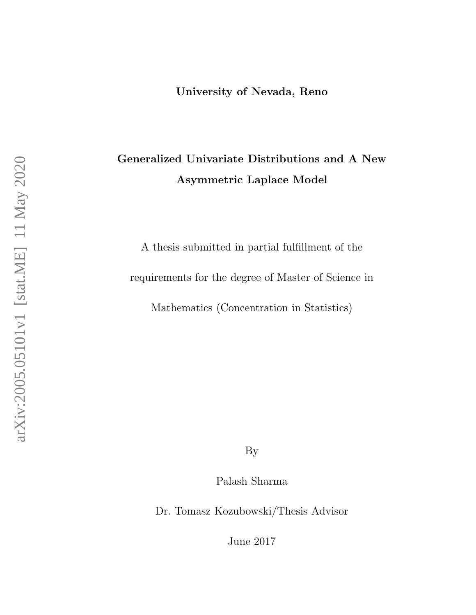## <span id="page-0-0"></span>Generalized Univariate Distributions and A New Asymmetric Laplace Model

A thesis submitted in partial fulfillment of the requirements for the degree of Master of Science in Mathematics (Concentration in Statistics)

By

Palash Sharma

Dr. Tomasz Kozubowski/Thesis Advisor

June 2017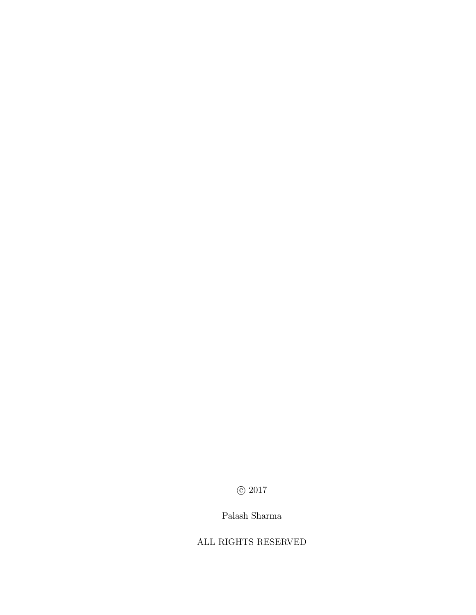$\odot$  2017

#### Palash Sharma

#### ALL RIGHTS RESERVED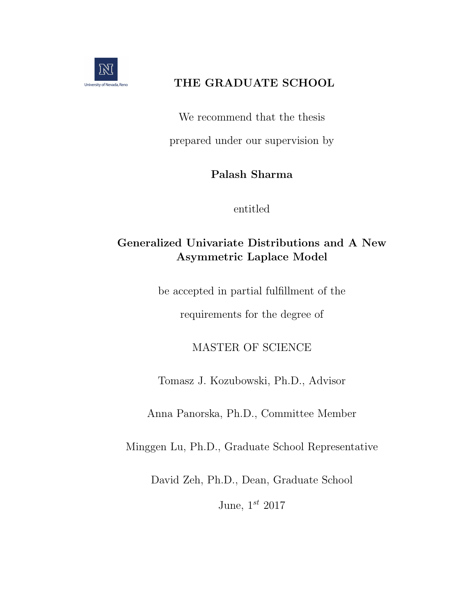

### THE GRADUATE SCHOOL

We recommend that the thesis prepared under our supervision by

### Palash Sharma

entitled

## Generalized Univariate Distributions and A New Asymmetric Laplace Model

be accepted in partial fulfillment of the

requirements for the degree of

## MASTER OF SCIENCE

Tomasz J. Kozubowski, Ph.D., Advisor

Anna Panorska, Ph.D., Committee Member

Minggen Lu, Ph.D., Graduate School Representative

David Zeh, Ph.D., Dean, Graduate School

June,  $1^{st}$  2017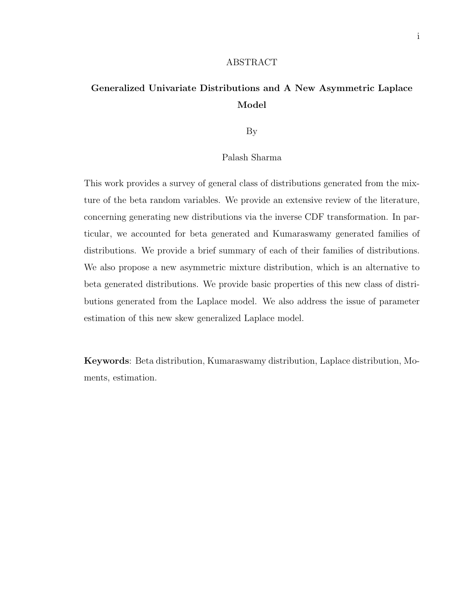#### ABSTRACT

### Generalized Univariate Distributions and A New Asymmetric Laplace Model

By

#### Palash Sharma

This work provides a survey of general class of distributions generated from the mixture of the beta random variables. We provide an extensive review of the literature, concerning generating new distributions via the inverse CDF transformation. In particular, we accounted for beta generated and Kumaraswamy generated families of distributions. We provide a brief summary of each of their families of distributions. We also propose a new asymmetric mixture distribution, which is an alternative to beta generated distributions. We provide basic properties of this new class of distributions generated from the Laplace model. We also address the issue of parameter estimation of this new skew generalized Laplace model.

Keywords: Beta distribution, Kumaraswamy distribution, Laplace distribution, Moments, estimation.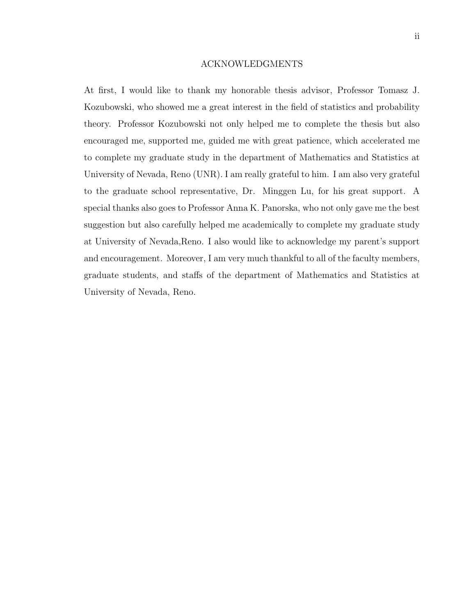#### ACKNOWLEDGMENTS

At first, I would like to thank my honorable thesis advisor, Professor Tomasz J. Kozubowski, who showed me a great interest in the field of statistics and probability theory. Professor Kozubowski not only helped me to complete the thesis but also encouraged me, supported me, guided me with great patience, which accelerated me to complete my graduate study in the department of Mathematics and Statistics at University of Nevada, Reno (UNR). I am really grateful to him. I am also very grateful to the graduate school representative, Dr. Minggen Lu, for his great support. A special thanks also goes to Professor Anna K. Panorska, who not only gave me the best suggestion but also carefully helped me academically to complete my graduate study at University of Nevada,Reno. I also would like to acknowledge my parent's support and encouragement. Moreover, I am very much thankful to all of the faculty members, graduate students, and staffs of the department of Mathematics and Statistics at University of Nevada, Reno.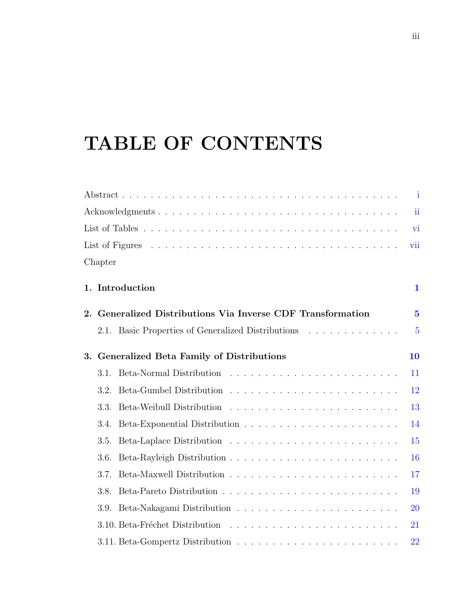# <span id="page-5-0"></span>TABLE OF CONTENTS

|    |                                                          |                                                    | $\mathbf{1}$   |
|----|----------------------------------------------------------|----------------------------------------------------|----------------|
|    |                                                          |                                                    | ii             |
|    |                                                          |                                                    |                |
|    | vii                                                      |                                                    |                |
|    | Chapter                                                  |                                                    |                |
|    |                                                          | 1. Introduction                                    | $\mathbf{1}$   |
| 2. | Generalized Distributions Via Inverse CDF Transformation |                                                    | $\overline{5}$ |
|    |                                                          | 2.1. Basic Properties of Generalized Distributions | $\overline{5}$ |
| 3. |                                                          | Generalized Beta Family of Distributions           | 10             |
|    | 3.1.                                                     |                                                    | 11             |
|    | 3.2.                                                     |                                                    | 12             |
|    | 3.3.                                                     |                                                    | 13             |
|    | 3.4.                                                     |                                                    | 14             |
|    | 3.5.                                                     |                                                    | 15             |
|    | 3.6.                                                     |                                                    | 16             |
|    | 3.7.                                                     |                                                    | 17             |
|    | 3.8.                                                     |                                                    | 19             |
|    | 3.9.                                                     |                                                    | 20             |
|    |                                                          |                                                    | 21             |
|    |                                                          |                                                    | 22             |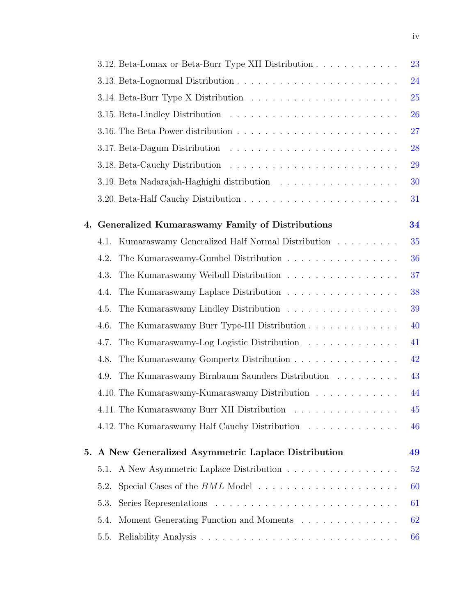|    |      |                                                                                     | 23 |
|----|------|-------------------------------------------------------------------------------------|----|
|    |      |                                                                                     | 24 |
|    |      |                                                                                     | 25 |
|    |      |                                                                                     | 26 |
|    |      |                                                                                     | 27 |
|    |      |                                                                                     | 28 |
|    |      |                                                                                     | 29 |
|    |      |                                                                                     | 30 |
|    |      |                                                                                     | 31 |
| 4. |      | <b>Generalized Kumaraswamy Family of Distributions</b>                              | 34 |
|    | 4.1. | Kumaraswamy Generalized Half Normal Distribution                                    | 35 |
|    | 4.2. | The Kumaraswamy-Gumbel Distribution                                                 | 36 |
|    | 4.3. | The Kumaraswamy Weibull Distribution                                                | 37 |
|    | 4.4. | The Kumaraswamy Laplace Distribution                                                | 38 |
|    | 4.5. | The Kumaraswamy Lindley Distribution                                                | 39 |
|    | 4.6. | The Kumaraswamy Burr Type-III Distribution                                          | 40 |
|    | 4.7. | The Kumaraswamy-Log Logistic Distribution                                           | 41 |
|    | 4.8. | The Kumaraswamy Gompertz Distribution                                               | 42 |
|    | 4.9. | The Kumaraswamy Birnbaum Saunders Distribution                                      | 43 |
|    |      | 4.10. The Kumaraswamy-Kumaraswamy Distribution                                      | 44 |
|    |      | 4.11. The Kumaraswamy Burr XII Distribution                                         | 45 |
|    |      | 4.12. The Kumaraswamy Half Cauchy Distribution                                      | 46 |
| 5. |      | A New Generalized Asymmetric Laplace Distribution                                   | 49 |
|    | 5.1. | A New Asymmetric Laplace Distribution                                               | 52 |
|    | 5.2. | Special Cases of the $BML$ Model $\ldots \ldots \ldots \ldots \ldots \ldots \ldots$ | 60 |
|    | 5.3. |                                                                                     | 61 |
|    | 5.4. | Moment Generating Function and Moments                                              | 62 |
|    | 5.5. |                                                                                     | 66 |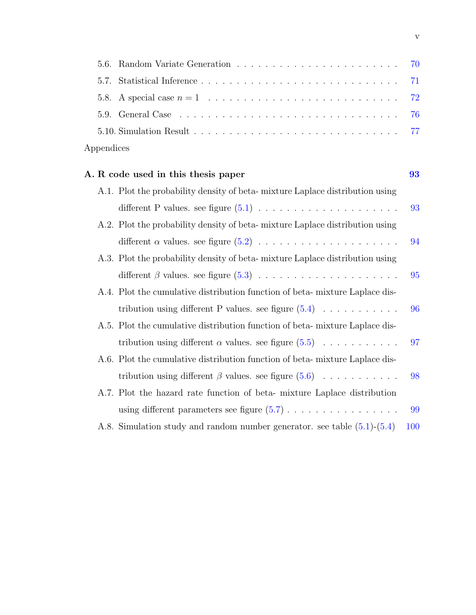| Appendices |  |
|------------|--|

| A. R code used in this thesis paper                                            | 93  |
|--------------------------------------------------------------------------------|-----|
| A.1. Plot the probability density of beta-mixture Laplace distribution using   |     |
|                                                                                | 93  |
| A.2. Plot the probability density of beta-mixture Laplace distribution using   |     |
|                                                                                | 94  |
| A.3. Plot the probability density of beta-mixture Laplace distribution using   |     |
|                                                                                | 95  |
| A.4. Plot the cumulative distribution function of beta-mixture Laplace dis-    |     |
| tribution using different P values. see figure $(5.4) \ldots \ldots \ldots$    | 96  |
| A.5. Plot the cumulative distribution function of beta-mixture Laplace dis-    |     |
| tribution using different $\alpha$ values. see figure $(5.5)$                  | 97  |
| A.6. Plot the cumulative distribution function of beta-mixture Laplace dis-    |     |
| tribution using different $\beta$ values. see figure $(5.6)$                   | 98  |
| A.7. Plot the hazard rate function of beta- mixture Laplace distribution       |     |
|                                                                                | 99  |
| A.8. Simulation study and random number generator. see table $(5.1)$ - $(5.4)$ | 100 |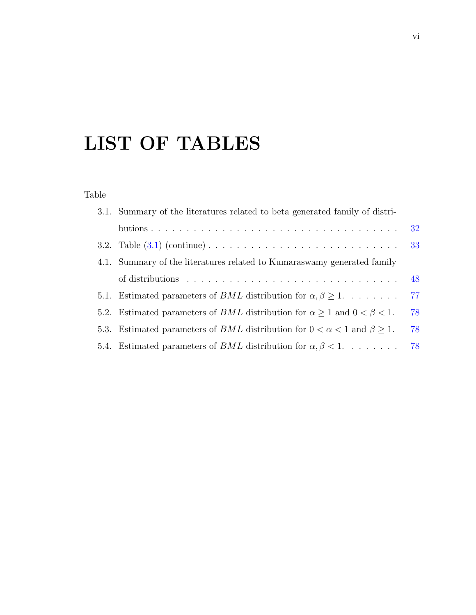# <span id="page-8-0"></span>LIST OF TABLES

#### Table

| 3.1. Summary of the literatures related to be a generated family of distri-                 |    |
|---------------------------------------------------------------------------------------------|----|
|                                                                                             | 32 |
|                                                                                             | 33 |
| 4.1. Summary of the literatures related to Kumaraswamy generated family                     |    |
|                                                                                             | 48 |
| 5.1. Estimated parameters of <i>BML</i> distribution for $\alpha, \beta \geq 1$             | 77 |
| 5.2. Estimated parameters of <i>BML</i> distribution for $\alpha > 1$ and $0 < \beta < 1$ . | 78 |
| 5.3. Estimated parameters of BML distribution for $0 < \alpha < 1$ and $\beta > 1$ .        | 78 |
| 5.4. Estimated parameters of <i>BML</i> distribution for $\alpha, \beta < 1$                | 78 |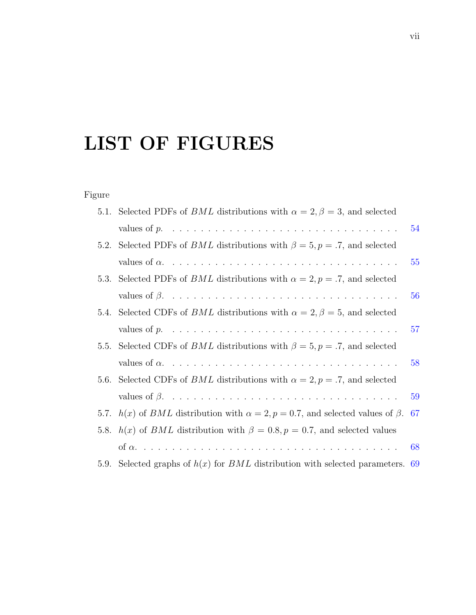# LIST OF FIGURES

## Figure

|      | 5.1. Selected PDFs of <i>BML</i> distributions with $\alpha = 2, \beta = 3$ , and selected         |     |
|------|----------------------------------------------------------------------------------------------------|-----|
|      | values of $p. \ldots \ldots \ldots \ldots \ldots \ldots \ldots \ldots \ldots \ldots \ldots$        | 54  |
|      | 5.2. Selected PDFs of <i>BML</i> distributions with $\beta = 5$ , $p = .7$ , and selected          |     |
|      |                                                                                                    | 55  |
| 5.3. | Selected PDFs of <i>BML</i> distributions with $\alpha = 2, p = .7$ , and selected                 |     |
|      |                                                                                                    | 56  |
|      | 5.4. Selected CDFs of <i>BML</i> distributions with $\alpha = 2, \beta = 5$ , and selected         |     |
|      | values of $p. \ldots \ldots \ldots \ldots \ldots \ldots \ldots \ldots \ldots \ldots \ldots \ldots$ | 57  |
|      | 5.5. Selected CDFs of <i>BML</i> distributions with $\beta = 5$ , $p = .7$ , and selected          |     |
|      |                                                                                                    | 58  |
| 5.6. | Selected CDFs of <i>BML</i> distributions with $\alpha = 2, p = .7$ , and selected                 |     |
|      |                                                                                                    | 59  |
|      | 5.7. $h(x)$ of BML distribution with $\alpha = 2$ , $p = 0.7$ , and selected values of $\beta$ .   | -67 |
|      | 5.8. $h(x)$ of BML distribution with $\beta = 0.8, p = 0.7$ , and selected values                  |     |
|      |                                                                                                    | 68  |
| 5.9. | Selected graphs of $h(x)$ for BML distribution with selected parameters. 69                        |     |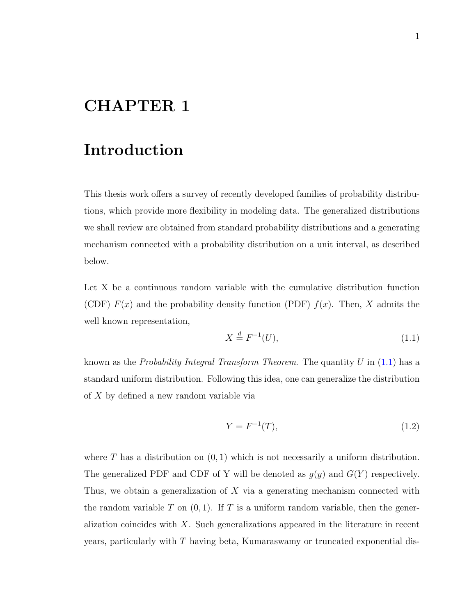# <span id="page-10-0"></span>CHAPTER 1

## Introduction

This thesis work offers a survey of recently developed families of probability distributions, which provide more flexibility in modeling data. The generalized distributions we shall review are obtained from standard probability distributions and a generating mechanism connected with a probability distribution on a unit interval, as described below.

Let X be a continuous random variable with the cumulative distribution function (CDF)  $F(x)$  and the probability density function (PDF)  $f(x)$ . Then, X admits the well known representation,

<span id="page-10-1"></span>
$$
X \stackrel{d}{=} F^{-1}(U),\tag{1.1}
$$

known as the *Probability Integral Transform Theorem*. The quantity  $U$  in [\(1.1\)](#page-10-1) has a standard uniform distribution. Following this idea, one can generalize the distribution of X by defined a new random variable via

<span id="page-10-2"></span>
$$
Y = F^{-1}(T),
$$
\n(1.2)

where T has a distribution on  $(0, 1)$  which is not necessarily a uniform distribution. The generalized PDF and CDF of Y will be denoted as  $g(y)$  and  $G(Y)$  respectively. Thus, we obtain a generalization of X via a generating mechanism connected with the random variable  $T$  on  $(0, 1)$ . If  $T$  is a uniform random variable, then the generalization coincides with  $X$ . Such generalizations appeared in the literature in recent years, particularly with  $T$  having beta, Kumaraswamy or truncated exponential dis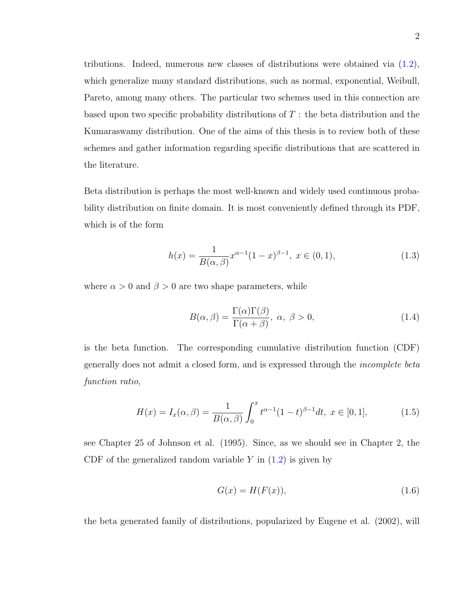tributions. Indeed, numerous new classes of distributions were obtained via [\(1.2\)](#page-10-2), which generalize many standard distributions, such as normal, exponential, Weibull, Pareto, among many others. The particular two schemes used in this connection are based upon two specific probability distributions of  $T$ : the beta distribution and the Kumaraswamy distribution. One of the aims of this thesis is to review both of these schemes and gather information regarding specific distributions that are scattered in the literature.

Beta distribution is perhaps the most well-known and widely used continuous probability distribution on finite domain. It is most conveniently defined through its PDF, which is of the form

<span id="page-11-0"></span>
$$
h(x) = \frac{1}{B(\alpha, \beta)} x^{\alpha - 1} (1 - x)^{\beta - 1}, \ x \in (0, 1), \tag{1.3}
$$

where  $\alpha > 0$  and  $\beta > 0$  are two shape parameters, while

<span id="page-11-2"></span>
$$
B(\alpha, \beta) = \frac{\Gamma(\alpha)\Gamma(\beta)}{\Gamma(\alpha + \beta)}, \ \alpha, \ \beta > 0,
$$
\n(1.4)

is the beta function. The corresponding cumulative distribution function (CDF) generally does not admit a closed form, and is expressed through the incomplete beta function ratio,

$$
H(x) = I_x(\alpha, \beta) = \frac{1}{B(\alpha, \beta)} \int_0^x t^{\alpha - 1} (1 - t)^{\beta - 1} dt, \ x \in [0, 1], \tag{1.5}
$$

see Chapter 25 of Johnson et al. (1995). Since, as we should see in Chapter 2, the CDF of the generalized random variable  $Y$  in  $(1.2)$  is given by

<span id="page-11-1"></span>
$$
G(x) = H(F(x)),\tag{1.6}
$$

the beta generated family of distributions, popularized by Eugene et al. (2002), will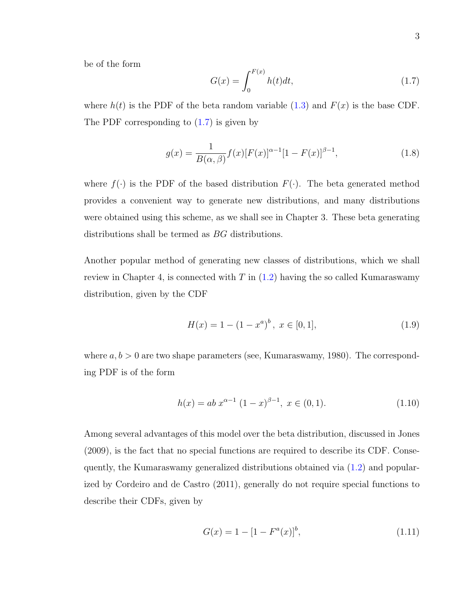be of the form

<span id="page-12-0"></span>
$$
G(x) = \int_0^{F(x)} h(t)dt,
$$
\n(1.7)

where  $h(t)$  is the PDF of the beta random variable [\(1.3\)](#page-11-0) and  $F(x)$  is the base CDF. The PDF corresponding to [\(1.7\)](#page-12-0) is given by

$$
g(x) = \frac{1}{B(\alpha, \beta)} f(x) [F(x)]^{\alpha - 1} [1 - F(x)]^{\beta - 1},
$$
\n(1.8)

where  $f(\cdot)$  is the PDF of the based distribution  $F(\cdot)$ . The beta generated method provides a convenient way to generate new distributions, and many distributions were obtained using this scheme, as we shall see in Chapter 3. These beta generating distributions shall be termed as BG distributions.

Another popular method of generating new classes of distributions, which we shall review in Chapter 4, is connected with  $T$  in  $(1.2)$  having the so called Kumaraswamy distribution, given by the CDF

$$
H(x) = 1 - (1 - x^a)^b, \ x \in [0, 1], \tag{1.9}
$$

where  $a, b > 0$  are two shape parameters (see, Kumaraswamy, 1980). The corresponding PDF is of the form

$$
h(x) = ab x^{\alpha - 1} (1 - x)^{\beta - 1}, \ x \in (0, 1).
$$
 (1.10)

Among several advantages of this model over the beta distribution, discussed in Jones (2009), is the fact that no special functions are required to describe its CDF. Consequently, the Kumaraswamy generalized distributions obtained via [\(1.2\)](#page-10-2) and popularized by Cordeiro and de Castro (2011), generally do not require special functions to describe their CDFs, given by

$$
G(x) = 1 - [1 - Fa(x)]b, \t(1.11)
$$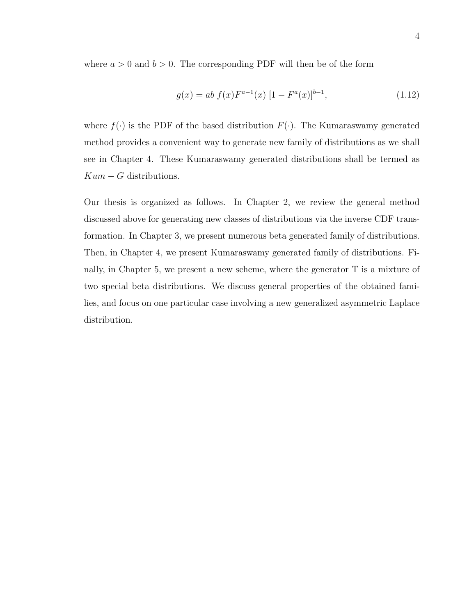where  $a > 0$  and  $b > 0$ . The corresponding PDF will then be of the form

$$
g(x) = ab f(x)F^{a-1}(x) [1 - F^{a}(x)]^{b-1},
$$
\n(1.12)

where  $f(\cdot)$  is the PDF of the based distribution  $F(\cdot)$ . The Kumaraswamy generated method provides a convenient way to generate new family of distributions as we shall see in Chapter 4. These Kumaraswamy generated distributions shall be termed as  $Kum - G$  distributions.

Our thesis is organized as follows. In Chapter 2, we review the general method discussed above for generating new classes of distributions via the inverse CDF transformation. In Chapter 3, we present numerous beta generated family of distributions. Then, in Chapter 4, we present Kumaraswamy generated family of distributions. Finally, in Chapter 5, we present a new scheme, where the generator T is a mixture of two special beta distributions. We discuss general properties of the obtained families, and focus on one particular case involving a new generalized asymmetric Laplace distribution.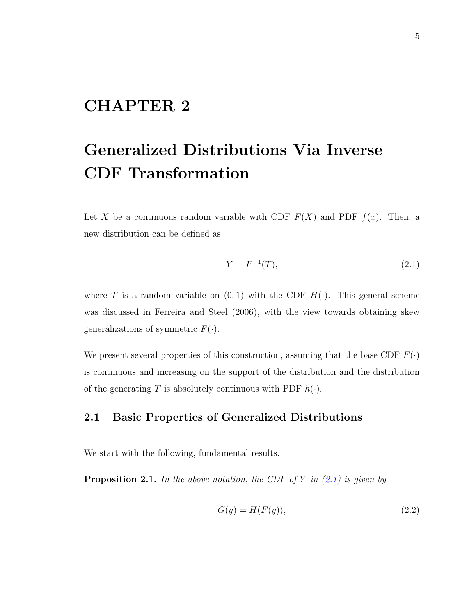# <span id="page-14-0"></span>CHAPTER 2

# Generalized Distributions Via Inverse CDF Transformation

Let X be a continuous random variable with CDF  $F(X)$  and PDF  $f(x)$ . Then, a new distribution can be defined as

<span id="page-14-2"></span>
$$
Y = F^{-1}(T),
$$
\n(2.1)

where T is a random variable on  $(0, 1)$  with the CDF  $H(\cdot)$ . This general scheme was discussed in Ferreira and Steel (2006), with the view towards obtaining skew generalizations of symmetric  $F(\cdot)$ .

We present several properties of this construction, assuming that the base CDF  $F(\cdot)$ is continuous and increasing on the support of the distribution and the distribution of the generating T is absolutely continuous with PDF  $h(.)$ .

#### <span id="page-14-1"></span>2.1 Basic Properties of Generalized Distributions

We start with the following, fundamental results.

**Proposition 2.1.** In the above notation, the CDF of Y in  $(2.1)$  is given by

$$
G(y) = H(F(y)),\tag{2.2}
$$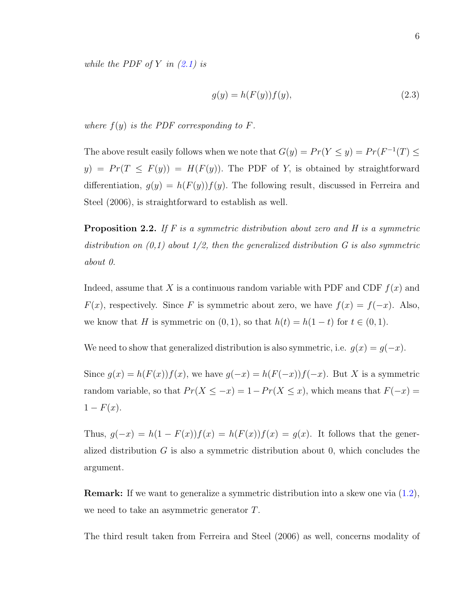while the PDF of Y in  $(2.1)$  is

$$
g(y) = h(F(y))f(y),\tag{2.3}
$$

where  $f(y)$  is the PDF corresponding to F.

The above result easily follows when we note that  $G(y) = Pr(Y \le y) = Pr(F^{-1}(T) \le$  $y$ ) =  $Pr(T \leq F(y)) = H(F(y))$ . The PDF of Y, is obtained by straightforward differentiation,  $g(y) = h(F(y))f(y)$ . The following result, discussed in Ferreira and Steel (2006), is straightforward to establish as well.

**Proposition 2.2.** If  $F$  is a symmetric distribution about zero and  $H$  is a symmetric distribution on  $(0,1)$  about  $1/2$ , then the generalized distribution G is also symmetric about 0.

Indeed, assume that X is a continuous random variable with PDF and CDF  $f(x)$  and  $F(x)$ , respectively. Since F is symmetric about zero, we have  $f(x) = f(-x)$ . Also, we know that H is symmetric on  $(0, 1)$ , so that  $h(t) = h(1-t)$  for  $t \in (0, 1)$ .

We need to show that generalized distribution is also symmetric, i.e.  $g(x) = g(-x)$ .

Since  $g(x) = h(F(x))f(x)$ , we have  $g(-x) = h(F(-x))f(-x)$ . But X is a symmetric random variable, so that  $Pr(X \leq -x) = 1 - Pr(X \leq x)$ , which means that  $F(-x) =$  $1 - F(x)$ .

Thus,  $g(-x) = h(1 - F(x))f(x) = h(F(x))f(x) = g(x)$ . It follows that the generalized distribution  $G$  is also a symmetric distribution about 0, which concludes the argument.

Remark: If we want to generalize a symmetric distribution into a skew one via [\(1.2\)](#page-10-2), we need to take an asymmetric generator T.

The third result taken from Ferreira and Steel (2006) as well, concerns modality of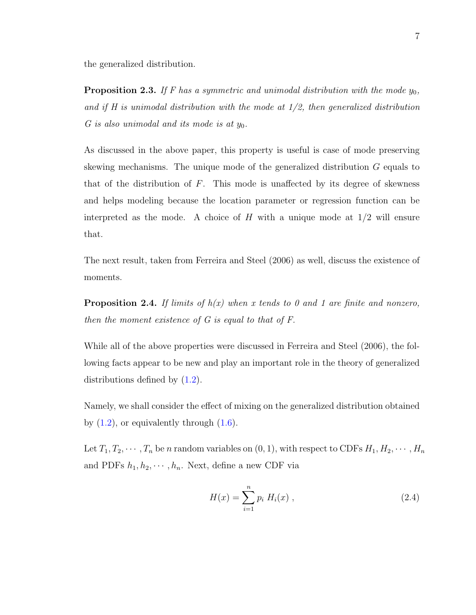the generalized distribution.

**Proposition 2.3.** If F has a symmetric and unimodal distribution with the mode  $y_0$ , and if H is unimodal distribution with the mode at  $1/2$ , then generalized distribution G is also unimodal and its mode is at  $y_0$ .

As discussed in the above paper, this property is useful is case of mode preserving skewing mechanisms. The unique mode of the generalized distribution G equals to that of the distribution of  $F$ . This mode is unaffected by its degree of skewness and helps modeling because the location parameter or regression function can be interpreted as the mode. A choice of  $H$  with a unique mode at  $1/2$  will ensure that.

The next result, taken from Ferreira and Steel (2006) as well, discuss the existence of moments.

**Proposition 2.4.** If limits of  $h(x)$  when x tends to 0 and 1 are finite and nonzero, then the moment existence of G is equal to that of F.

While all of the above properties were discussed in Ferreira and Steel (2006), the following facts appear to be new and play an important role in the theory of generalized distributions defined by [\(1.2\)](#page-10-2).

Namely, we shall consider the effect of mixing on the generalized distribution obtained by  $(1.2)$ , or equivalently through  $(1.6)$ .

Let  $T_1, T_2, \cdots, T_n$  be n random variables on  $(0, 1)$ , with respect to CDFs  $H_1, H_2, \cdots, H_n$ and PDFs  $h_1, h_2, \dots, h_n$ . Next, define a new CDF via

<span id="page-16-0"></span>
$$
H(x) = \sum_{i=1}^{n} p_i H_i(x) , \qquad (2.4)
$$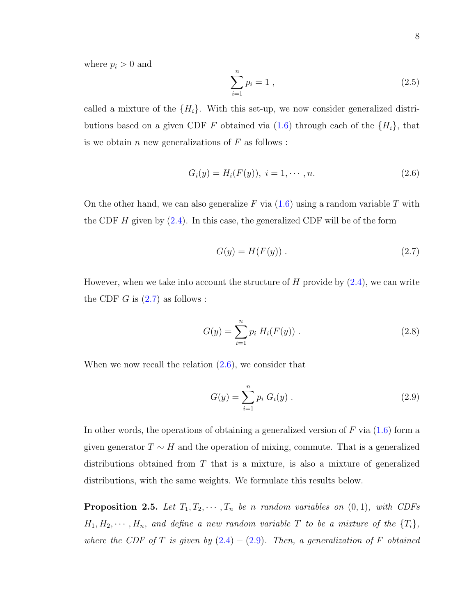where  $p_i > 0$  and

$$
\sum_{i=1}^{n} p_i = 1 \tag{2.5}
$$

called a mixture of the  $\{H_i\}$ . With this set-up, we now consider generalized distributions based on a given CDF F obtained via  $(1.6)$  through each of the  $\{H_i\}$ , that is we obtain n new generalizations of  $F$  as follows :

<span id="page-17-1"></span>
$$
G_i(y) = H_i(F(y)), \ i = 1, \cdots, n. \tag{2.6}
$$

On the other hand, we can also generalize F via  $(1.6)$  using a random variable T with the CDF  $H$  given by  $(2.4)$ . In this case, the generalized CDF will be of the form

<span id="page-17-0"></span>
$$
G(y) = H(F(y)).
$$
\n
$$
(2.7)
$$

However, when we take into account the structure of  $H$  provide by  $(2.4)$ , we can write the CDF  $G$  is  $(2.7)$  as follows :

$$
G(y) = \sum_{i=1}^{n} p_i H_i(F(y)) .
$$
 (2.8)

When we now recall the relation  $(2.6)$ , we consider that

<span id="page-17-2"></span>
$$
G(y) = \sum_{i=1}^{n} p_i G_i(y) .
$$
 (2.9)

In other words, the operations of obtaining a generalized version of  $F$  via  $(1.6)$  form a given generator  $T \sim H$  and the operation of mixing, commute. That is a generalized distributions obtained from T that is a mixture, is also a mixture of generalized distributions, with the same weights. We formulate this results below.

**Proposition 2.5.** Let  $T_1, T_2, \cdots, T_n$  be n random variables on  $(0, 1)$ , with CDFs  $H_1, H_2, \cdots, H_n$ , and define a new random variable T to be a mixture of the  $\{T_i\}$ , where the CDF of T is given by  $(2.4) - (2.9)$  $(2.4) - (2.9)$  $(2.4) - (2.9)$ . Then, a generalization of F obtained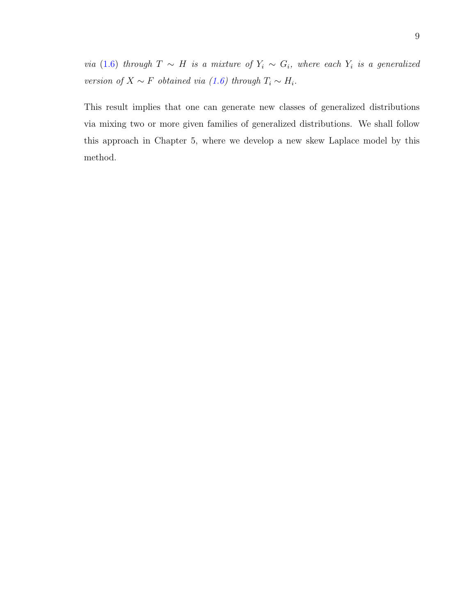via (1.[6\)](#page-11-1) through  $T \sim H$  is a mixture of  $Y_i \sim G_i$ , where each  $Y_i$  is a generalized version of  $X \sim F$  obtained via [\(1.6\)](#page-11-1) through  $T_i \sim H_i$ .

This result implies that one can generate new classes of generalized distributions via mixing two or more given families of generalized distributions. We shall follow this approach in Chapter 5, where we develop a new skew Laplace model by this method.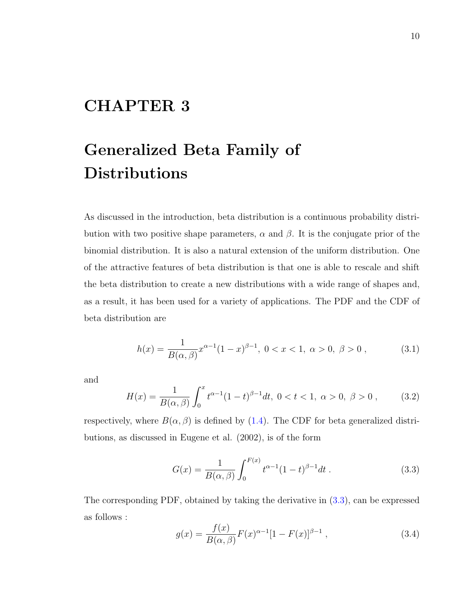# <span id="page-19-0"></span>CHAPTER 3

# Generalized Beta Family of Distributions

As discussed in the introduction, beta distribution is a continuous probability distribution with two positive shape parameters,  $\alpha$  and  $\beta$ . It is the conjugate prior of the binomial distribution. It is also a natural extension of the uniform distribution. One of the attractive features of beta distribution is that one is able to rescale and shift the beta distribution to create a new distributions with a wide range of shapes and, as a result, it has been used for a variety of applications. The PDF and the CDF of beta distribution are

$$
h(x) = \frac{1}{B(\alpha, \beta)} x^{\alpha - 1} (1 - x)^{\beta - 1}, \ 0 < x < 1, \ \alpha > 0, \ \beta > 0 \,, \tag{3.1}
$$

and

$$
H(x) = \frac{1}{B(\alpha, \beta)} \int_0^x t^{\alpha - 1} (1 - t)^{\beta - 1} dt, \ 0 < t < 1, \ \alpha > 0, \ \beta > 0 \;, \tag{3.2}
$$

respectively, where  $B(\alpha, \beta)$  is defined by [\(1.4\)](#page-11-2). The CDF for beta generalized distributions, as discussed in Eugene et al. (2002), is of the form

<span id="page-19-1"></span>
$$
G(x) = \frac{1}{B(\alpha, \beta)} \int_0^{F(x)} t^{\alpha - 1} (1 - t)^{\beta - 1} dt.
$$
 (3.3)

The corresponding PDF, obtained by taking the derivative in [\(3.3\)](#page-19-1), can be expressed as follows :

<span id="page-19-2"></span>
$$
g(x) = \frac{f(x)}{B(\alpha, \beta)} F(x)^{\alpha - 1} [1 - F(x)]^{\beta - 1},
$$
\n(3.4)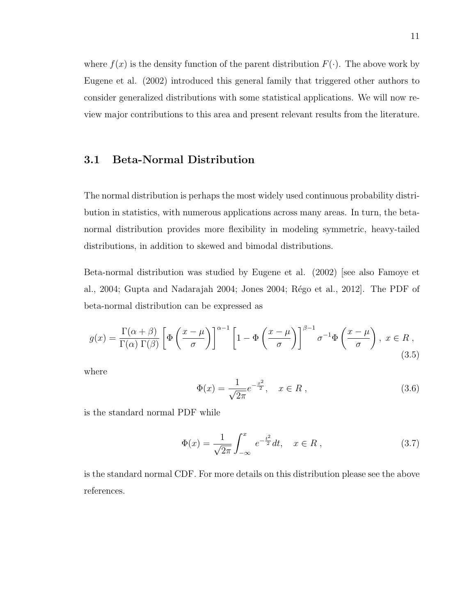where  $f(x)$  is the density function of the parent distribution  $F(\cdot)$ . The above work by Eugene et al. (2002) introduced this general family that triggered other authors to consider generalized distributions with some statistical applications. We will now review major contributions to this area and present relevant results from the literature.

#### <span id="page-20-0"></span>3.1 Beta-Normal Distribution

The normal distribution is perhaps the most widely used continuous probability distribution in statistics, with numerous applications across many areas. In turn, the betanormal distribution provides more flexibility in modeling symmetric, heavy-tailed distributions, in addition to skewed and bimodal distributions.

Beta-normal distribution was studied by Eugene et al. (2002) [see also Famoye et al., 2004; Gupta and Nadarajah 2004; Jones 2004; Régo et al., 2012. The PDF of beta-normal distribution can be expressed as

$$
g(x) = \frac{\Gamma(\alpha + \beta)}{\Gamma(\alpha)\,\Gamma(\beta)} \left[ \Phi\left(\frac{x - \mu}{\sigma}\right) \right]^{\alpha - 1} \left[ 1 - \Phi\left(\frac{x - \mu}{\sigma}\right) \right]^{\beta - 1} \sigma^{-1} \Phi\left(\frac{x - \mu}{\sigma}\right), \ x \in R \tag{3.5}
$$

where

$$
\Phi(x) = \frac{1}{\sqrt{2\pi}} e^{-\frac{x^2}{2}}, \quad x \in R ,
$$
\n(3.6)

is the standard normal PDF while

$$
\Phi(x) = \frac{1}{\sqrt{2\pi}} \int_{-\infty}^{x} e^{-\frac{t^2}{2}} dt, \quad x \in R ,
$$
\n(3.7)

is the standard normal CDF. For more details on this distribution please see the above references.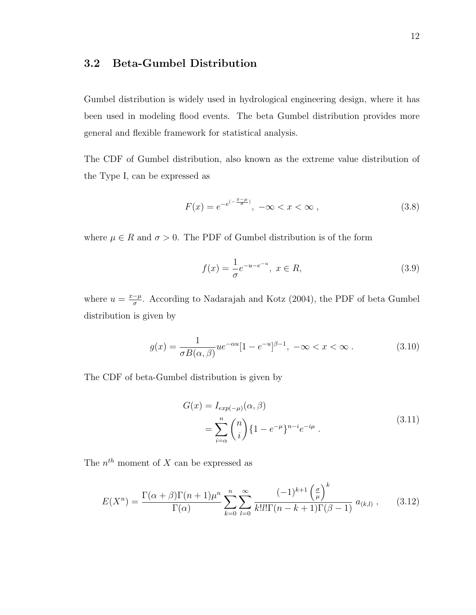#### <span id="page-21-0"></span>3.2 Beta-Gumbel Distribution

Gumbel distribution is widely used in hydrological engineering design, where it has been used in modeling flood events. The beta Gumbel distribution provides more general and flexible framework for statistical analysis.

The CDF of Gumbel distribution, also known as the extreme value distribution of the Type I, can be expressed as

$$
F(x) = e^{-e^{(-\frac{x-\mu}{\sigma})}}, \ -\infty < x < \infty \,, \tag{3.8}
$$

where  $\mu \in R$  and  $\sigma > 0$ . The PDF of Gumbel distribution is of the form

$$
f(x) = \frac{1}{\sigma} e^{-u - e^{-u}}, \ x \in R,
$$
\n(3.9)

where  $u = \frac{x-\mu}{\sigma}$  $\frac{-\mu}{\sigma}$ . According to Nadarajah and Kotz (2004), the PDF of beta Gumbel distribution is given by

$$
g(x) = \frac{1}{\sigma B(\alpha, \beta)} u e^{-\alpha u} [1 - e^{-u}]^{\beta - 1}, \ -\infty < x < \infty \tag{3.10}
$$

The CDF of beta-Gumbel distribution is given by

$$
G(x) = I_{exp(-\mu)}(\alpha, \beta)
$$
  
= 
$$
\sum_{i=\alpha}^{n} {n \choose i} \{1 - e^{-\mu}\}^{n-i} e^{-i\mu}.
$$
 (3.11)

The  $n^{th}$  moment of X can be expressed as

$$
E(X^n) = \frac{\Gamma(\alpha + \beta)\Gamma(n+1)\mu^n}{\Gamma(\alpha)} \sum_{k=0}^n \sum_{l=0}^\infty \frac{(-1)^{k+1} \left(\frac{\sigma}{\mu}\right)^k}{k!l!\Gamma(n-k+1)\Gamma(\beta-1)} a_{(k,l)},
$$
(3.12)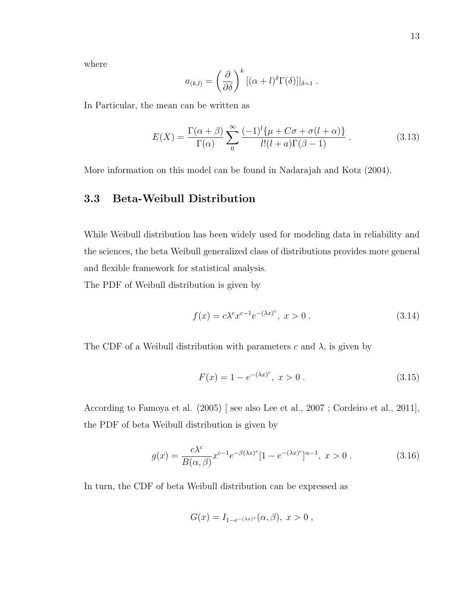where

$$
a_{(k,l)} = \left(\frac{\partial}{\partial \delta}\right)^k [(\alpha+l)^{\delta} \Gamma(\delta)]|_{\delta=1}.
$$

In Particular, the mean can be written as

$$
E(X) = \frac{\Gamma(\alpha + \beta)}{\Gamma(\alpha)} \sum_{0}^{\infty} \frac{(-1)^{l} \{\mu + C\sigma + \sigma(l + \alpha)\}}{l!(l + a)\Gamma(\beta - 1)}.
$$
 (3.13)

<span id="page-22-0"></span>More information on this model can be found in Nadarajah and Kotz (2004).

#### 3.3 Beta-Weibull Distribution

While Weibull distribution has been widely used for modeling data in reliability and the sciences, the beta Weibull generalized class of distributions provides more general and flexible framework for statistical analysis.

The PDF of Weibull distribution is given by

$$
f(x) = c\lambda^{c} x^{c-1} e^{-(\lambda x)^{c}}, \ x > 0.
$$
 (3.14)

The CDF of a Weibull distribution with parameters c and  $\lambda$ , is given by

$$
F(x) = 1 - e^{-(\lambda x)^c}, \ x > 0.
$$
 (3.15)

According to Famoya et al. (2005) [ see also Lee et al., 2007 ; Cordeiro et al., 2011], the PDF of beta Weibull distribution is given by

$$
g(x) = \frac{c\lambda^{c}}{B(\alpha, \beta)} x^{c-1} e^{-\beta(\lambda x)^{c}} [1 - e^{-(\lambda x)^{c}}]^{\alpha - 1}, \ x > 0.
$$
 (3.16)

In turn, the CDF of beta Weibull distribution can be expressed as

$$
G(x) = I_{1-e^{-(\lambda x)^c}}(\alpha, \beta), \ x > 0 ,
$$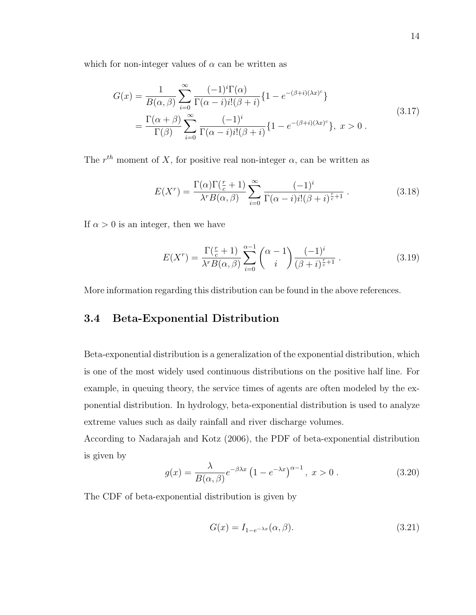which for non-integer values of  $\alpha$  can be written as

$$
G(x) = \frac{1}{B(\alpha, \beta)} \sum_{i=0}^{\infty} \frac{(-1)^i \Gamma(\alpha)}{\Gamma(\alpha - i) i! (\beta + i)} \{1 - e^{-(\beta + i)(\lambda x)^c} \}
$$
  
= 
$$
\frac{\Gamma(\alpha + \beta)}{\Gamma(\beta)} \sum_{i=0}^{\infty} \frac{(-1)^i}{\Gamma(\alpha - i) i! (\beta + i)} \{1 - e^{-(\beta + i)(\lambda x)^c} \}, \ x > 0.
$$
 (3.17)

The  $r^{th}$  moment of X, for positive real non-integer  $\alpha$ , can be written as

$$
E(X^r) = \frac{\Gamma(\alpha)\Gamma(\frac{r}{c}+1)}{\lambda^r B(\alpha,\beta)} \sum_{i=0}^{\infty} \frac{(-1)^i}{\Gamma(\alpha-i)i!(\beta+i)^{\frac{r}{c}+1}}.
$$
(3.18)

If  $\alpha > 0$  is an integer, then we have

$$
E(X^r) = \frac{\Gamma(\frac{r}{c} + 1)}{\lambda^r B(\alpha, \beta)} \sum_{i=0}^{\alpha - 1} {\alpha - 1 \choose i} \frac{(-1)^i}{(\beta + i)^{\frac{r}{c} + 1}}.
$$
 (3.19)

<span id="page-23-0"></span>More information regarding this distribution can be found in the above references.

#### 3.4 Beta-Exponential Distribution

Beta-exponential distribution is a generalization of the exponential distribution, which is one of the most widely used continuous distributions on the positive half line. For example, in queuing theory, the service times of agents are often modeled by the exponential distribution. In hydrology, beta-exponential distribution is used to analyze extreme values such as daily rainfall and river discharge volumes.

According to Nadarajah and Kotz (2006), the PDF of beta-exponential distribution is given by

$$
g(x) = \frac{\lambda}{B(\alpha, \beta)} e^{-\beta \lambda x} \left(1 - e^{-\lambda x}\right)^{\alpha - 1}, \ x > 0. \tag{3.20}
$$

The CDF of beta-exponential distribution is given by

$$
G(x) = I_{1-e^{-\lambda x}}(\alpha, \beta).
$$
\n(3.21)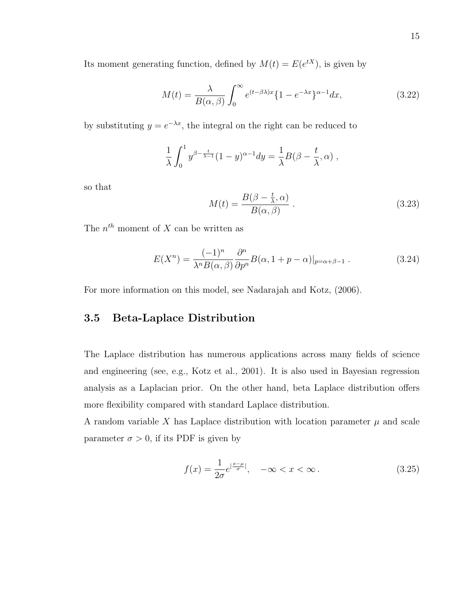Its moment generating function, defined by  $M(t) = E(e^{tX})$ , is given by

$$
M(t) = \frac{\lambda}{B(\alpha, \beta)} \int_0^\infty e^{(t-\beta\lambda)x} \{1 - e^{-\lambda x}\}^{\alpha - 1} dx,\tag{3.22}
$$

by substituting  $y = e^{-\lambda x}$ , the integral on the right can be reduced to

$$
\frac{1}{\lambda} \int_0^1 y^{\beta - \frac{t}{\lambda - 1}} (1 - y)^{\alpha - 1} dy = \frac{1}{\lambda} B(\beta - \frac{t}{\lambda}, \alpha) ,
$$

so that

$$
M(t) = \frac{B(\beta - \frac{t}{\lambda}, \alpha)}{B(\alpha, \beta)}.
$$
\n(3.23)

The  $n^{th}$  moment of X can be written as

$$
E(X^n) = \frac{(-1)^n}{\lambda^n B(\alpha, \beta)} \frac{\partial^n}{\partial p^n} B(\alpha, 1 + p - \alpha)|_{p = \alpha + \beta - 1}.
$$
 (3.24)

<span id="page-24-0"></span>For more information on this model, see Nadarajah and Kotz, (2006).

#### 3.5 Beta-Laplace Distribution

The Laplace distribution has numerous applications across many fields of science and engineering (see, e.g., Kotz et al., 2001). It is also used in Bayesian regression analysis as a Laplacian prior. On the other hand, beta Laplace distribution offers more flexibility compared with standard Laplace distribution.

A random variable X has Laplace distribution with location parameter  $\mu$  and scale parameter  $\sigma > 0$ , if its PDF is given by

$$
f(x) = \frac{1}{2\sigma} e^{\left|\frac{x-\mu}{\sigma}\right|}, \quad -\infty < x < \infty. \tag{3.25}
$$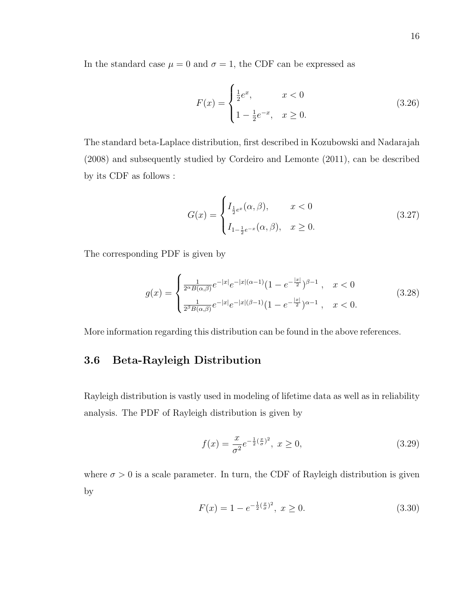In the standard case  $\mu = 0$  and  $\sigma = 1$ , the CDF can be expressed as

$$
F(x) = \begin{cases} \frac{1}{2}e^x, & x < 0\\ 1 - \frac{1}{2}e^{-x}, & x \ge 0. \end{cases}
$$
 (3.26)

The standard beta-Laplace distribution, first described in Kozubowski and Nadarajah (2008) and subsequently studied by Cordeiro and Lemonte (2011), can be described by its CDF as follows :

$$
G(x) = \begin{cases} I_{\frac{1}{2}e^x}(\alpha, \beta), & x < 0 \\ I_{1-\frac{1}{2}e^{-x}}(\alpha, \beta), & x \ge 0. \end{cases}
$$
(3.27)

The corresponding PDF is given by

$$
g(x) = \begin{cases} \frac{1}{2^{\alpha}B(\alpha,\beta)}e^{-|x|}e^{-|x|(\alpha-1)}(1-e^{-\frac{|x|}{2}})^{\beta-1}, & x < 0\\ \frac{1}{2^{\beta}B(\alpha,\beta)}e^{-|x|}e^{-|x|(\beta-1)}(1-e^{-\frac{|x|}{2}})^{\alpha-1}, & x < 0. \end{cases}
$$
(3.28)

<span id="page-25-0"></span>More information regarding this distribution can be found in the above references.

#### 3.6 Beta-Rayleigh Distribution

Rayleigh distribution is vastly used in modeling of lifetime data as well as in reliability analysis. The PDF of Rayleigh distribution is given by

$$
f(x) = \frac{x}{\sigma^2} e^{-\frac{1}{2}(\frac{x}{\sigma})^2}, \ x \ge 0,
$$
\n(3.29)

where  $\sigma > 0$  is a scale parameter. In turn, the CDF of Rayleigh distribution is given by

$$
F(x) = 1 - e^{-\frac{1}{2}(\frac{x}{\sigma})^2}, \ x \ge 0.
$$
 (3.30)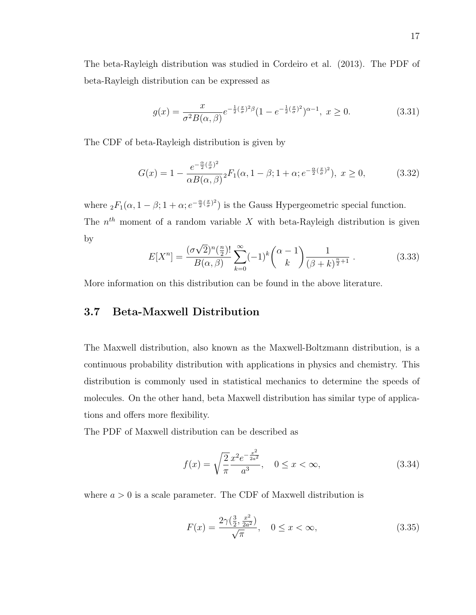The beta-Rayleigh distribution was studied in Cordeiro et al. (2013). The PDF of beta-Rayleigh distribution can be expressed as

$$
g(x) = \frac{x}{\sigma^2 B(\alpha, \beta)} e^{-\frac{1}{2}(\frac{x}{\sigma})^2 \beta} (1 - e^{-\frac{1}{2}(\frac{x}{\sigma})^2})^{\alpha - 1}, \ x \ge 0.
$$
 (3.31)

The CDF of beta-Rayleigh distribution is given by

$$
G(x) = 1 - \frac{e^{-\frac{\alpha}{2}(\frac{x}{\sigma})^2}}{\alpha B(\alpha, \beta)}{}_2F_1(\alpha, 1-\beta; 1+\alpha; e^{-\frac{\alpha}{2}(\frac{x}{\sigma})^2}), \ x \ge 0,
$$
 (3.32)

where  ${}_2F_1(\alpha, 1-\beta; 1+\alpha; e^{-\frac{\alpha}{2}(\frac{x}{\sigma})^2})$  is the Gauss Hypergeometric special function. The  $n<sup>th</sup>$  moment of a random variable X with beta-Rayleigh distribution is given by √

$$
E[X^{n}] = \frac{(\sigma\sqrt{2})^{n}(\frac{n}{2})!}{B(\alpha,\beta)} \sum_{k=0}^{\infty} (-1)^{k} {\binom{\alpha-1}{k}} \frac{1}{(\beta+k)^{\frac{n}{2}+1}}.
$$
 (3.33)

<span id="page-26-0"></span>More information on this distribution can be found in the above literature.

#### 3.7 Beta-Maxwell Distribution

The Maxwell distribution, also known as the Maxwell-Boltzmann distribution, is a continuous probability distribution with applications in physics and chemistry. This distribution is commonly used in statistical mechanics to determine the speeds of molecules. On the other hand, beta Maxwell distribution has similar type of applications and offers more flexibility.

The PDF of Maxwell distribution can be described as

$$
f(x) = \sqrt{\frac{2}{\pi}} \frac{x^2 e^{-\frac{x^2}{2a^2}}}{a^3}, \quad 0 \le x < \infty,
$$
 (3.34)

where  $a > 0$  is a scale parameter. The CDF of Maxwell distribution is

$$
F(x) = \frac{2\gamma(\frac{3}{2}, \frac{x^2}{2a^2})}{\sqrt{\pi}}, \quad 0 \le x < \infty,
$$
\n(3.35)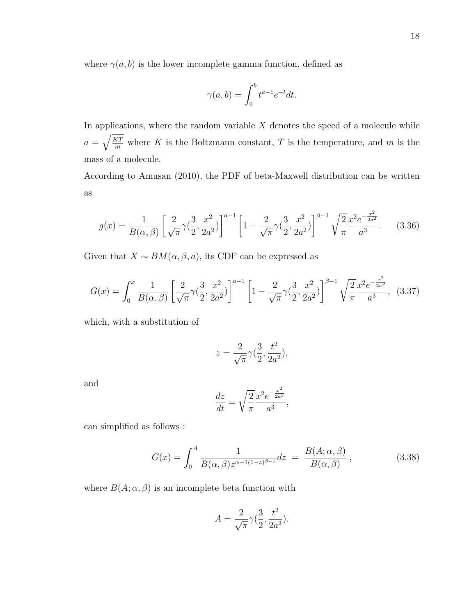where  $\gamma(a, b)$  is the lower incomplete gamma function, defined as

$$
\gamma(a,b) = \int_0^b t^{a-1} e^{-t} dt.
$$

In applications, where the random variable  $X$  denotes the speed of a molecule while  $a = \sqrt{\frac{KT}{m}}$  where K is the Boltzmann constant, T is the temperature, and m is the mass of a molecule.

According to Amusan (2010), the PDF of beta-Maxwell distribution can be written as

$$
g(x) = \frac{1}{B(\alpha, \beta)} \left[ \frac{2}{\sqrt{\pi}} \gamma \left( \frac{3}{2}, \frac{x^2}{2a^2} \right) \right]^{a-1} \left[ 1 - \frac{2}{\sqrt{\pi}} \gamma \left( \frac{3}{2}, \frac{x^2}{2a^2} \right) \right]^{\beta - 1} \sqrt{\frac{2}{\pi}} \frac{x^2 e^{-\frac{x^2}{2a^2}}}{a^3} . \tag{3.36}
$$

Given that  $X \sim BM(\alpha, \beta, a)$ , its CDF can be expressed as

$$
G(x) = \int_0^x \frac{1}{B(\alpha, \beta)} \left[ \frac{2}{\sqrt{\pi}} \gamma \left( \frac{3}{2}, \frac{x^2}{2a^2} \right) \right]^{a-1} \left[ 1 - \frac{2}{\sqrt{\pi}} \gamma \left( \frac{3}{2}, \frac{x^2}{2a^2} \right) \right]^{\beta - 1} \sqrt{\frac{2}{\pi}} \frac{x^2 e^{-\frac{x^2}{2a^2}}}{a^3},
$$
(3.37)

which, with a substitution of

$$
z = \frac{2}{\sqrt{\pi}} \gamma \left(\frac{3}{2}, \frac{t^2}{2a^2}\right),
$$

and

$$
\frac{dz}{dt} = \sqrt{\frac{2}{\pi}} \frac{x^2 e^{-\frac{x^2}{2a^2}}}{a^3},
$$

can simplified as follows :

$$
G(x) = \int_0^A \frac{1}{B(\alpha, \beta) z^{\alpha - 1(1 - z)^{\beta - 1}}} dz = \frac{B(A; \alpha, \beta)}{B(\alpha, \beta)},
$$
(3.38)

where  $B(A; \alpha, \beta)$  is an incomplete beta function with

$$
A = \frac{2}{\sqrt{\pi}} \gamma(\frac{3}{2}, \frac{t^2}{2a^2}).
$$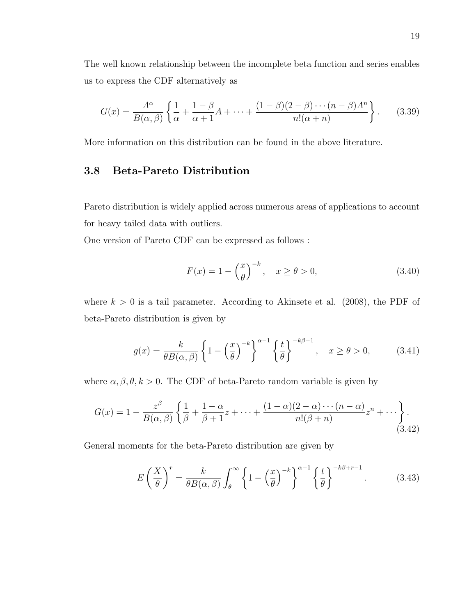The well known relationship between the incomplete beta function and series enables us to express the CDF alternatively as

$$
G(x) = \frac{A^{\alpha}}{B(\alpha, \beta)} \left\{ \frac{1}{\alpha} + \frac{1 - \beta}{\alpha + 1} A + \dots + \frac{(1 - \beta)(2 - \beta) \cdots (n - \beta) A^n}{n! (\alpha + n)} \right\}.
$$
 (3.39)

<span id="page-28-0"></span>More information on this distribution can be found in the above literature.

#### 3.8 Beta-Pareto Distribution

Pareto distribution is widely applied across numerous areas of applications to account for heavy tailed data with outliers.

One version of Pareto CDF can be expressed as follows :

$$
F(x) = 1 - \left(\frac{x}{\theta}\right)^{-k}, \quad x \ge \theta > 0,
$$
\n
$$
(3.40)
$$

where  $k > 0$  is a tail parameter. According to Akinsete et al. (2008), the PDF of beta-Pareto distribution is given by

$$
g(x) = \frac{k}{\theta B(\alpha, \beta)} \left\{ 1 - \left(\frac{x}{\theta}\right)^{-k} \right\}^{\alpha - 1} \left\{ \frac{t}{\theta} \right\}^{-k\beta - 1}, \quad x \ge \theta > 0,
$$
 (3.41)

where  $\alpha, \beta, \theta, k > 0$ . The CDF of beta-Pareto random variable is given by

$$
G(x) = 1 - \frac{z^{\beta}}{B(\alpha, \beta)} \left\{ \frac{1}{\beta} + \frac{1 - \alpha}{\beta + 1} z + \dots + \frac{(1 - \alpha)(2 - \alpha) \cdots (n - \alpha)}{n!(\beta + n)} z^{n} + \dots \right\}.
$$
\n(3.42)

General moments for the beta-Pareto distribution are given by

$$
E\left(\frac{X}{\theta}\right)^r = \frac{k}{\theta B(\alpha,\beta)} \int_{\theta}^{\infty} \left\{1 - \left(\frac{x}{\theta}\right)^{-k}\right\}^{\alpha-1} \left\{\frac{t}{\theta}\right\}^{-k\beta+r-1}.
$$
 (3.43)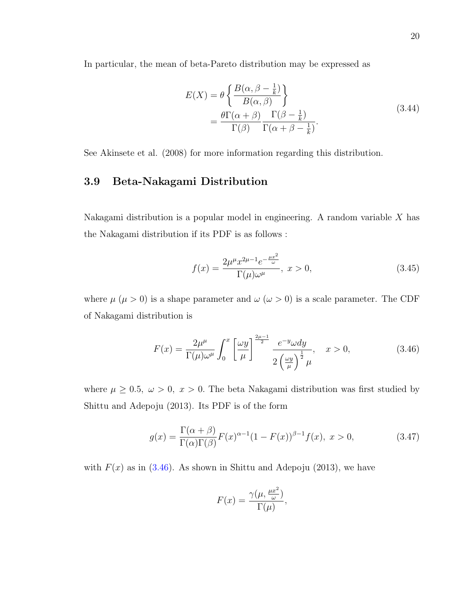In particular, the mean of beta-Pareto distribution may be expressed as

$$
E(X) = \theta \left\{ \frac{B(\alpha, \beta - \frac{1}{k})}{B(\alpha, \beta)} \right\}
$$
  
= 
$$
\frac{\theta \Gamma(\alpha + \beta)}{\Gamma(\beta)} \frac{\Gamma(\beta - \frac{1}{k})}{\Gamma(\alpha + \beta - \frac{1}{k})}.
$$
 (3.44)

<span id="page-29-0"></span>See Akinsete et al. (2008) for more information regarding this distribution.

#### 3.9 Beta-Nakagami Distribution

Nakagami distribution is a popular model in engineering. A random variable  $X$  has the Nakagami distribution if its PDF is as follows :

$$
f(x) = \frac{2\mu^{\mu}x^{2\mu - 1}e^{-\frac{\mu x^{2}}{\omega}}}{\Gamma(\mu)\omega^{\mu}}, \ x > 0,
$$
\n(3.45)

where  $\mu$  ( $\mu > 0$ ) is a shape parameter and  $\omega$  ( $\omega > 0$ ) is a scale parameter. The CDF of Nakagami distribution is

<span id="page-29-1"></span>
$$
F(x) = \frac{2\mu^{\mu}}{\Gamma(\mu)\omega^{\mu}} \int_0^x \left[\frac{\omega y}{\mu}\right]^{\frac{2\mu - 1}{2}} \frac{e^{-y}\omega dy}{2\left(\frac{\omega y}{\mu}\right)^{\frac{1}{2}}\mu}, \quad x > 0,
$$
\n(3.46)

where  $\mu \geq 0.5$ ,  $\omega > 0$ ,  $x > 0$ . The beta Nakagami distribution was first studied by Shittu and Adepoju (2013). Its PDF is of the form

$$
g(x) = \frac{\Gamma(\alpha + \beta)}{\Gamma(\alpha)\Gamma(\beta)} F(x)^{\alpha - 1} (1 - F(x))^{\beta - 1} f(x), \ x > 0,
$$
\n(3.47)

with  $F(x)$  as in [\(3.46\)](#page-29-1). As shown in Shittu and Adepoju (2013), we have

$$
F(x) = \frac{\gamma(\mu, \frac{\mu x^2}{\omega})}{\Gamma(\mu)},
$$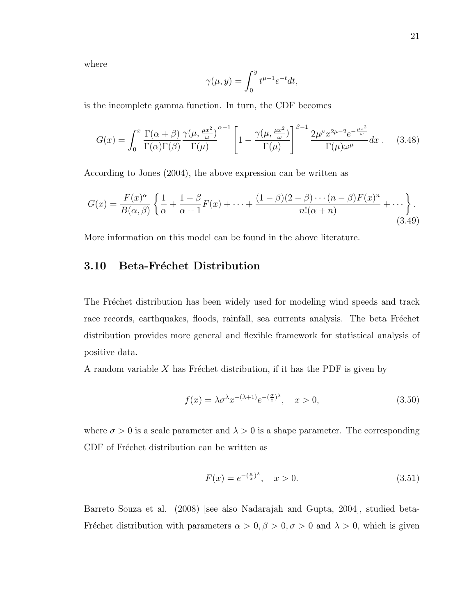where

$$
\gamma(\mu, y) = \int_0^y t^{\mu - 1} e^{-t} dt,
$$

is the incomplete gamma function. In turn, the CDF becomes

$$
G(x) = \int_0^x \frac{\Gamma(\alpha+\beta)}{\Gamma(\alpha)\Gamma(\beta)} \frac{\gamma(\mu, \frac{\mu x^2}{\omega})}{\Gamma(\mu)}^{\alpha-1} \left[1 - \frac{\gamma(\mu, \frac{\mu x^2}{\omega})}{\Gamma(\mu)}\right]^{\beta-1} \frac{2\mu^{\mu} x^{2\mu-2} e^{-\frac{\mu x^2}{\omega}}}{\Gamma(\mu)\omega^{\mu}} dx \ . \tag{3.48}
$$

According to Jones (2004), the above expression can be written as

$$
G(x) = \frac{F(x)^{\alpha}}{B(\alpha,\beta)} \left\{ \frac{1}{\alpha} + \frac{1-\beta}{\alpha+1} F(x) + \dots + \frac{(1-\beta)(2-\beta)\cdots(n-\beta)F(x)^n}{n!(\alpha+n)} + \dots \right\}.
$$
\n(3.49)

<span id="page-30-0"></span>More information on this model can be found in the above literature.

#### 3.10 Beta-Fréchet Distribution

The Fréchet distribution has been widely used for modeling wind speeds and track race records, earthquakes, floods, rainfall, sea currents analysis. The beta Fréchet distribution provides more general and flexible framework for statistical analysis of positive data.

A random variable  $X$  has Fréchet distribution, if it has the PDF is given by

$$
f(x) = \lambda \sigma^{\lambda} x^{-(\lambda+1)} e^{-\left(\frac{\sigma}{x}\right)^{\lambda}}, \quad x > 0,
$$
\n(3.50)

where  $\sigma > 0$  is a scale parameter and  $\lambda > 0$  is a shape parameter. The corresponding CDF of Fréchet distribution can be written as

$$
F(x) = e^{-(\frac{\sigma}{x})^{\lambda}}, \quad x > 0.
$$
\n
$$
(3.51)
$$

Barreto Souza et al. (2008) [see also Nadarajah and Gupta, 2004], studied beta-Fréchet distribution with parameters  $\alpha > 0, \beta > 0, \sigma > 0$  and  $\lambda > 0$ , which is given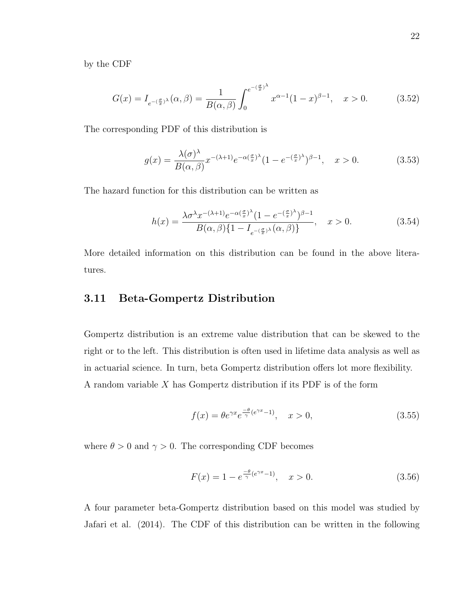by the CDF

$$
G(x) = I_{e^{-(\frac{\sigma}{x})^{\lambda}}}(\alpha, \beta) = \frac{1}{B(\alpha, \beta)} \int_0^{e^{-(\frac{\sigma}{x})^{\lambda}}} x^{\alpha-1} (1-x)^{\beta-1}, \quad x > 0.
$$
 (3.52)

The corresponding PDF of this distribution is

$$
g(x) = \frac{\lambda(\sigma)^{\lambda}}{B(\alpha,\beta)} x^{-(\lambda+1)} e^{-\alpha(\frac{\sigma}{x})^{\lambda}} (1 - e^{-(\frac{\sigma}{x})^{\lambda}})^{\beta - 1}, \quad x > 0.
$$
 (3.53)

The hazard function for this distribution can be written as

$$
h(x) = \frac{\lambda \sigma^{\lambda} x^{-(\lambda+1)} e^{-\alpha(\frac{\sigma}{x})^{\lambda}} (1 - e^{-(\frac{\sigma}{x})^{\lambda}})^{\beta - 1}}{B(\alpha, \beta) \{1 - I_{e^{-(\frac{\sigma}{x})^{\lambda}}}(\alpha, \beta)\}}, \quad x > 0.
$$
 (3.54)

More detailed information on this distribution can be found in the above literatures.

#### <span id="page-31-0"></span>3.11 Beta-Gompertz Distribution

Gompertz distribution is an extreme value distribution that can be skewed to the right or to the left. This distribution is often used in lifetime data analysis as well as in actuarial science. In turn, beta Gompertz distribution offers lot more flexibility. A random variable X has Gompertz distribution if its PDF is of the form

$$
f(x) = \theta e^{\gamma x} e^{\frac{-\theta}{\gamma}(e^{\gamma x} - 1)}, \quad x > 0,
$$
\n(3.55)

where  $\theta > 0$  and  $\gamma > 0$ . The corresponding CDF becomes

$$
F(x) = 1 - e^{\frac{-\theta}{\gamma}(e^{\gamma x} - 1)}, \quad x > 0.
$$
\n(3.56)

A four parameter beta-Gompertz distribution based on this model was studied by Jafari et al. (2014). The CDF of this distribution can be written in the following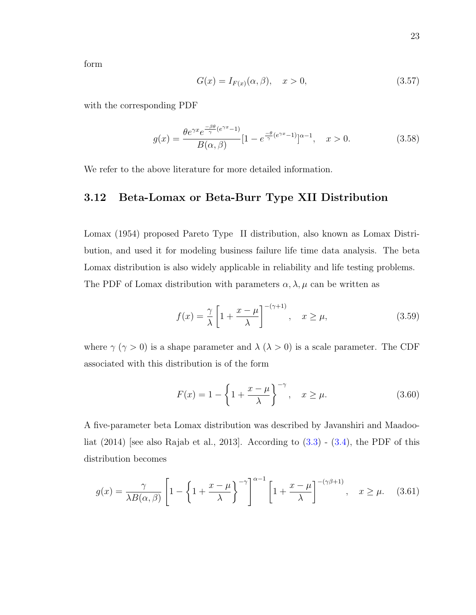form

$$
G(x) = I_{F(x)}(\alpha, \beta), \quad x > 0,
$$
\n(3.57)

with the corresponding PDF

$$
g(x) = \frac{\theta e^{\gamma x} e^{\frac{-\beta \theta}{\gamma} (e^{\gamma x} - 1)}}{B(\alpha, \beta)} [1 - e^{\frac{-\theta}{\gamma} (e^{\gamma x} - 1)}]^{\alpha - 1}, \quad x > 0.
$$
 (3.58)

<span id="page-32-0"></span>We refer to the above literature for more detailed information.

#### 3.12 Beta-Lomax or Beta-Burr Type XII Distribution

Lomax (1954) proposed Pareto Type II distribution, also known as Lomax Distribution, and used it for modeling business failure life time data analysis. The beta Lomax distribution is also widely applicable in reliability and life testing problems. The PDF of Lomax distribution with parameters  $\alpha, \lambda, \mu$  can be written as

$$
f(x) = \frac{\gamma}{\lambda} \left[ 1 + \frac{x - \mu}{\lambda} \right]^{-(\gamma + 1)}, \quad x \ge \mu,
$$
\n(3.59)

where  $\gamma$  ( $\gamma > 0$ ) is a shape parameter and  $\lambda$  ( $\lambda > 0$ ) is a scale parameter. The CDF associated with this distribution is of the form

$$
F(x) = 1 - \left\{1 + \frac{x - \mu}{\lambda}\right\}^{-\gamma}, \quad x \ge \mu.
$$
 (3.60)

A five-parameter beta Lomax distribution was described by Javanshiri and Maadooliat  $(2014)$  [see also Rajab et al., 2013]. According to  $(3.3)$  -  $(3.4)$ , the PDF of this distribution becomes

$$
g(x) = \frac{\gamma}{\lambda B(\alpha, \beta)} \left[ 1 - \left\{ 1 + \frac{x - \mu}{\lambda} \right\}^{-\gamma} \right]^{\alpha - 1} \left[ 1 + \frac{x - \mu}{\lambda} \right]^{-(\gamma \beta + 1)}, \quad x \ge \mu. \tag{3.61}
$$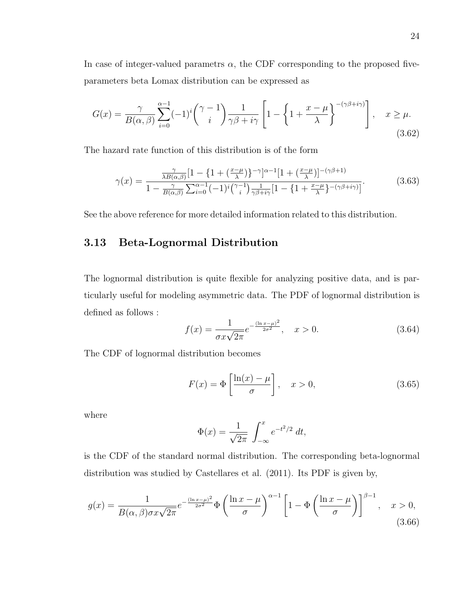In case of integer-valued parametrs  $\alpha$ , the CDF corresponding to the proposed fiveparameters beta Lomax distribution can be expressed as

$$
G(x) = \frac{\gamma}{B(\alpha,\beta)} \sum_{i=0}^{\alpha-1} (-1)^i {\binom{\gamma-1}{i}} \frac{1}{\gamma\beta + i\gamma} \left[ 1 - \left\{ 1 + \frac{x-\mu}{\lambda} \right\}^{-(\gamma\beta + i\gamma)} \right], \quad x \ge \mu.
$$
\n(3.62)

The hazard rate function of this distribution is of the form

$$
\gamma(x) = \frac{\frac{\gamma}{\lambda B(\alpha,\beta)}[1 - \left\{1 + \left(\frac{x-\mu}{\lambda}\right)\right\}^{-\gamma}]^{\alpha-1}[1 + \left(\frac{x-\mu}{\lambda}\right)]^{-(\gamma\beta+1)}}{1 - \frac{\gamma}{B(\alpha,\beta)}\sum_{i=0}^{\alpha-1}(-1)^i {\gamma-1 \choose i} \frac{1}{\gamma\beta+i\gamma}[1 - \left\{1 + \frac{x-\mu}{\lambda}\right\}^{-(\gamma\beta+i\gamma)}]}.
$$
(3.63)

<span id="page-33-0"></span>See the above reference for more detailed information related to this distribution.

#### 3.13 Beta-Lognormal Distribution

The lognormal distribution is quite flexible for analyzing positive data, and is particularly useful for modeling asymmetric data. The PDF of lognormal distribution is defined as follows :

$$
f(x) = \frac{1}{\sigma x \sqrt{2\pi}} e^{-\frac{(\ln x - \mu)^2}{2\sigma^2}}, \quad x > 0.
$$
 (3.64)

The CDF of lognormal distribution becomes

$$
F(x) = \Phi\left[\frac{\ln(x) - \mu}{\sigma}\right], \quad x > 0,
$$
\n(3.65)

where

$$
\Phi(x) = \frac{1}{\sqrt{2\pi}} \int_{-\infty}^{x} e^{-t^2/2} dt,
$$

is the CDF of the standard normal distribution. The corresponding beta-lognormal distribution was studied by Castellares et al. (2011). Its PDF is given by,

$$
g(x) = \frac{1}{B(\alpha, \beta)\sigma x \sqrt{2\pi}} e^{-\frac{(\ln x - \mu)^2}{2\sigma^2}} \Phi\left(\frac{\ln x - \mu}{\sigma}\right)^{\alpha - 1} \left[1 - \Phi\left(\frac{\ln x - \mu}{\sigma}\right)\right]^{\beta - 1}, \quad x > 0,
$$
\n(3.66)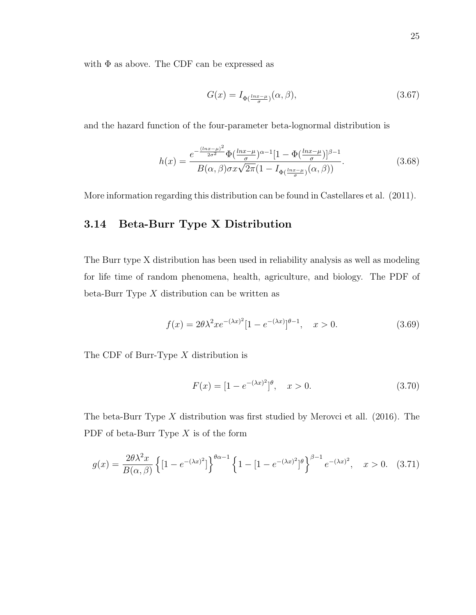with  $\Phi$  as above. The CDF can be expressed as

$$
G(x) = I_{\Phi\left(\frac{\ln x - \mu}{\sigma}\right)}(\alpha, \beta),\tag{3.67}
$$

and the hazard function of the four-parameter beta-lognormal distribution is

$$
h(x) = \frac{e^{-\frac{(\ln x - \mu)^2}{2\sigma^2}} \Phi(\frac{\ln x - \mu}{\sigma})^{\alpha - 1} [1 - \Phi(\frac{\ln x - \mu}{\sigma})]^{\beta - 1}}{B(\alpha, \beta) \sigma x \sqrt{2\pi} (1 - I_{\Phi(\frac{\ln x - \mu}{\sigma})}(\alpha, \beta))}.
$$
(3.68)

<span id="page-34-0"></span>More information regarding this distribution can be found in Castellares et al. (2011).

#### 3.14 Beta-Burr Type X Distribution

The Burr type X distribution has been used in reliability analysis as well as modeling for life time of random phenomena, health, agriculture, and biology. The PDF of beta-Burr Type  $X$  distribution can be written as

$$
f(x) = 2\theta\lambda^2 x e^{-(\lambda x)^2} [1 - e^{-(\lambda x)}]^{\theta - 1}, \quad x > 0.
$$
 (3.69)

The CDF of Burr-Type X distribution is

$$
F(x) = [1 - e^{-(\lambda x)^2}]^{\theta}, \quad x > 0.
$$
 (3.70)

The beta-Burr Type X distribution was first studied by Merovci et all. (2016). The PDF of beta-Burr Type  $X$  is of the form

$$
g(x) = \frac{2\theta\lambda^2 x}{B(\alpha, \beta)} \left\{ [1 - e^{-(\lambda x)^2}] \right\}^{\theta\alpha - 1} \left\{ 1 - [1 - e^{-(\lambda x)^2}]^\theta \right\}^{\beta - 1} e^{-(\lambda x)^2}, \quad x > 0. \tag{3.71}
$$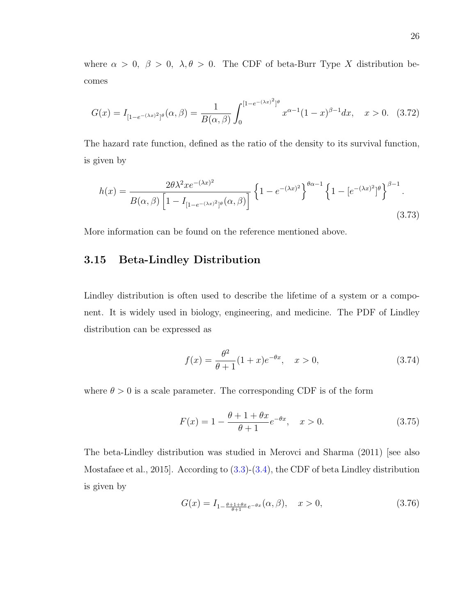where  $\alpha > 0$ ,  $\beta > 0$ ,  $\lambda, \theta > 0$ . The CDF of beta-Burr Type X distribution becomes

$$
G(x) = I_{[1-e^{-(\lambda x)^2}]^\theta}(\alpha, \beta) = \frac{1}{B(\alpha, \beta)} \int_0^{[1-e^{-(\lambda x)^2}]^\theta} x^{\alpha-1} (1-x)^{\beta-1} dx, \quad x > 0. \tag{3.72}
$$

The hazard rate function, defined as the ratio of the density to its survival function, is given by

$$
h(x) = \frac{2\theta\lambda^2 x e^{-(\lambda x)^2}}{B(\alpha, \beta) \left[1 - I_{\left[1 - e^{-(\lambda x)^2}\right]^\theta}(\alpha, \beta)\right]} \left\{1 - e^{-(\lambda x)^2}\right\}^{\theta\alpha - 1} \left\{1 - \left[e^{-(\lambda x)^2}\right]^\theta\right\}^{\beta - 1}.
$$
\n(3.73)

<span id="page-35-0"></span>More information can be found on the reference mentioned above.

#### 3.15 Beta-Lindley Distribution

Lindley distribution is often used to describe the lifetime of a system or a component. It is widely used in biology, engineering, and medicine. The PDF of Lindley distribution can be expressed as

$$
f(x) = \frac{\theta^2}{\theta + 1} (1 + x)e^{-\theta x}, \quad x > 0,
$$
\n(3.74)

where  $\theta > 0$  is a scale parameter. The corresponding CDF is of the form

$$
F(x) = 1 - \frac{\theta + 1 + \theta x}{\theta + 1} e^{-\theta x}, \quad x > 0.
$$
 (3.75)

The beta-Lindley distribution was studied in Merovci and Sharma (2011) [see also Mostafaee et al., 2015]. According to [\(3.3\)](#page-19-1)-[\(3.4\)](#page-19-2), the CDF of beta Lindley distribution is given by

$$
G(x) = I_{1 - \frac{\theta + 1 + \theta x}{\theta + 1} e^{-\theta x}}(\alpha, \beta), \quad x > 0,
$$
\n(3.76)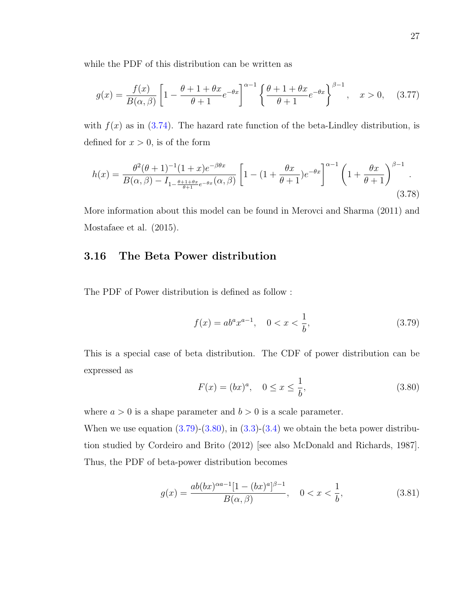while the PDF of this distribution can be written as

$$
g(x) = \frac{f(x)}{B(\alpha, \beta)} \left[ 1 - \frac{\theta + 1 + \theta x}{\theta + 1} e^{-\theta x} \right]^{\alpha - 1} \left\{ \frac{\theta + 1 + \theta x}{\theta + 1} e^{-\theta x} \right\}^{\beta - 1}, \quad x > 0, \quad (3.77)
$$

with  $f(x)$  as in [\(3.74\)](#page-35-0). The hazard rate function of the beta-Lindley distribution, is defined for  $x > 0$ , is of the form

$$
h(x) = \frac{\theta^2(\theta+1)^{-1}(1+x)e^{-\beta\theta x}}{B(\alpha,\beta) - I_{1-\frac{\theta+1+\theta x}{\theta+1}e^{-\theta x}}(\alpha,\beta)} \left[1 - (1+\frac{\theta x}{\theta+1})e^{-\theta x}\right]^{\alpha-1} \left(1 + \frac{\theta x}{\theta+1}\right)^{\beta-1}.
$$
\n(3.78)

More information about this model can be found in Merovci and Sharma (2011) and Mostafaee et al. (2015).

#### 3.16 The Beta Power distribution

The PDF of Power distribution is defined as follow :

<span id="page-36-0"></span>
$$
f(x) = ab^{a}x^{a-1}, \quad 0 < x < \frac{1}{b},\tag{3.79}
$$

This is a special case of beta distribution. The CDF of power distribution can be expressed as

<span id="page-36-1"></span>
$$
F(x) = (bx)^a, \quad 0 \le x \le \frac{1}{b}, \tag{3.80}
$$

where  $a > 0$  is a shape parameter and  $b > 0$  is a scale parameter.

When we use equation  $(3.79)$ - $(3.80)$ , in  $(3.3)$ - $(3.4)$  we obtain the beta power distribution studied by Cordeiro and Brito (2012) [see also McDonald and Richards, 1987]. Thus, the PDF of beta-power distribution becomes

$$
g(x) = \frac{ab(bx)^{\alpha a - 1}[1 - (bx)^a]^{\beta - 1}}{B(\alpha, \beta)}, \quad 0 < x < \frac{1}{b},\tag{3.81}
$$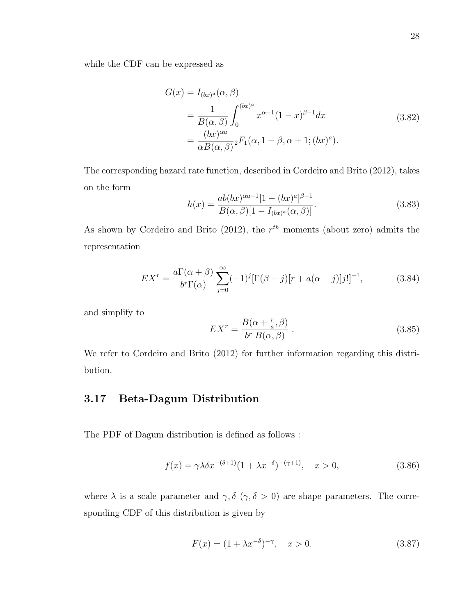while the CDF can be expressed as

$$
G(x) = I_{(bx)^a}(\alpha, \beta)
$$
  
= 
$$
\frac{1}{B(\alpha, \beta)} \int_0^{(bx)^a} x^{\alpha-1} (1-x)^{\beta-1} dx
$$
  
= 
$$
\frac{(bx)^{\alpha a}}{\alpha B(\alpha, \beta)} {}_2F_1(\alpha, 1-\beta, \alpha+1; (bx)^a).
$$
 (3.82)

The corresponding hazard rate function, described in Cordeiro and Brito (2012), takes on the form

$$
h(x) = \frac{ab(bx)^{\alpha a - 1}[1 - (bx)^a]^{\beta - 1}}{B(\alpha, \beta)[1 - I_{(bx)^a}(\alpha, \beta)]}.
$$
\n(3.83)

As shown by Cordeiro and Brito (2012), the  $r^{th}$  moments (about zero) admits the representation

$$
EX^r = \frac{a\Gamma(\alpha+\beta)}{b^r\Gamma(\alpha)} \sum_{j=0}^{\infty} (-1)^j [\Gamma(\beta-j)[r + a(\alpha+j)]j!]^{-1},
$$
\n(3.84)

and simplify to

$$
EX^{r} = \frac{B(\alpha + \frac{r}{a}, \beta)}{b^{r} B(\alpha, \beta)}.
$$
\n(3.85)

We refer to Cordeiro and Brito (2012) for further information regarding this distribution.

### 3.17 Beta-Dagum Distribution

The PDF of Dagum distribution is defined as follows :

$$
f(x) = \gamma \lambda \delta x^{-(\delta+1)} (1 + \lambda x^{-\delta})^{-(\gamma+1)}, \quad x > 0,
$$
\n(3.86)

where  $\lambda$  is a scale parameter and  $\gamma$ ,  $\delta$  ( $\gamma$ ,  $\delta > 0$ ) are shape parameters. The corresponding CDF of this distribution is given by

<span id="page-37-0"></span>
$$
F(x) = (1 + \lambda x^{-\delta})^{-\gamma}, \quad x > 0.
$$
 (3.87)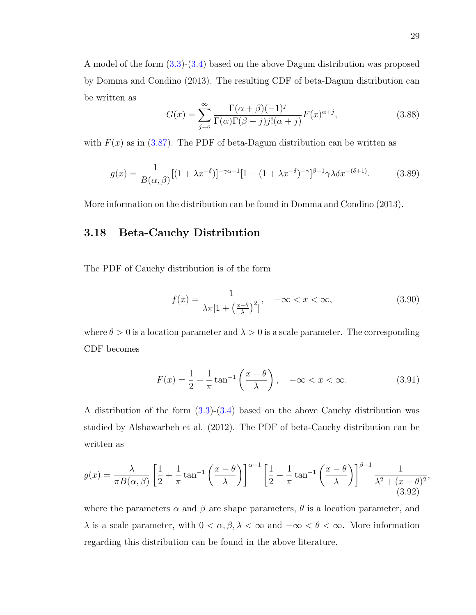A model of the form [\(3.3\)](#page-19-0)-[\(3.4\)](#page-19-1) based on the above Dagum distribution was proposed by Domma and Condino (2013). The resulting CDF of beta-Dagum distribution can be written as

$$
G(x) = \sum_{j=0}^{\infty} \frac{\Gamma(\alpha+\beta)(-1)^j}{\Gamma(\alpha)\Gamma(\beta-j)j!(\alpha+j)} F(x)^{\alpha+j},
$$
\n(3.88)

with  $F(x)$  as in [\(3.87\)](#page-37-0). The PDF of beta-Dagum distribution can be written as

$$
g(x) = \frac{1}{B(\alpha, \beta)} [(1 + \lambda x^{-\delta})]^{-\gamma \alpha - 1} [1 - (1 + \lambda x^{-\delta})^{-\gamma}]^{\beta - 1} \gamma \lambda \delta x^{-(\delta + 1)}.
$$
 (3.89)

More information on the distribution can be found in Domma and Condino (2013).

#### 3.18 Beta-Cauchy Distribution

The PDF of Cauchy distribution is of the form

$$
f(x) = \frac{1}{\lambda \pi [1 + \left(\frac{x-\theta}{\lambda}\right)^2]}, \quad -\infty < x < \infty,\tag{3.90}
$$

where  $\theta > 0$  is a location parameter and  $\lambda > 0$  is a scale parameter. The corresponding CDF becomes

$$
F(x) = \frac{1}{2} + \frac{1}{\pi} \tan^{-1} \left( \frac{x - \theta}{\lambda} \right), \quad -\infty < x < \infty. \tag{3.91}
$$

A distribution of the form  $(3.3)-(3.4)$  $(3.3)-(3.4)$  based on the above Cauchy distribution was studied by Alshawarbeh et al. (2012). The PDF of beta-Cauchy distribution can be written as

$$
g(x) = \frac{\lambda}{\pi B(\alpha, \beta)} \left[ \frac{1}{2} + \frac{1}{\pi} \tan^{-1} \left( \frac{x - \theta}{\lambda} \right) \right]^{\alpha - 1} \left[ \frac{1}{2} - \frac{1}{\pi} \tan^{-1} \left( \frac{x - \theta}{\lambda} \right) \right]^{\beta - 1} \frac{1}{\lambda^2 + (x - \theta)^2},\tag{3.92}
$$

where the parameters  $\alpha$  and  $\beta$  are shape parameters,  $\theta$  is a location parameter, and  $\lambda$  is a scale parameter, with  $0 < \alpha, \beta, \lambda < \infty$  and  $-\infty < \theta < \infty$ . More information regarding this distribution can be found in the above literature.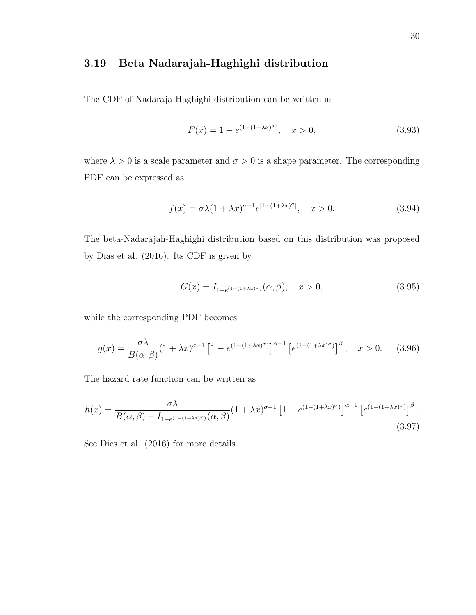## 3.19 Beta Nadarajah-Haghighi distribution

The CDF of Nadaraja-Haghighi distribution can be written as

$$
F(x) = 1 - e^{(1 - (1 + \lambda x)^{\sigma})}, \quad x > 0,
$$
\n(3.93)

where  $\lambda > 0$  is a scale parameter and  $\sigma > 0$  is a shape parameter. The corresponding PDF can be expressed as

$$
f(x) = \sigma \lambda (1 + \lambda x)^{\sigma - 1} e^{[1 - (1 + \lambda x)^{\sigma}]}, \quad x > 0.
$$
 (3.94)

The beta-Nadarajah-Haghighi distribution based on this distribution was proposed by Dias et al. (2016). Its CDF is given by

$$
G(x) = I_{1-e^{(1-(1+\lambda x)^{\sigma})}}(\alpha, \beta), \quad x > 0,
$$
\n(3.95)

while the corresponding PDF becomes

$$
g(x) = \frac{\sigma \lambda}{B(\alpha, \beta)} \left(1 + \lambda x\right)^{\sigma - 1} \left[1 - e^{\left(1 - \left(1 + \lambda x\right)^{\sigma}\right)}\right]^{\alpha - 1} \left[e^{\left(1 - \left(1 + \lambda x\right)^{\sigma}\right)}\right]^{\beta}, \quad x > 0. \tag{3.96}
$$

The hazard rate function can be written as

$$
h(x) = \frac{\sigma \lambda}{B(\alpha, \beta) - I_{1 - e^{(1 - (1 + \lambda x)^{\sigma})}}(\alpha, \beta)} (1 + \lambda x)^{\sigma - 1} \left[ 1 - e^{(1 - (1 + \lambda x)^{\sigma})} \right]^{\alpha - 1} \left[ e^{(1 - (1 + \lambda x)^{\sigma})} \right]^{\beta}.
$$
\n(3.97)

See Dies et al. (2016) for more details.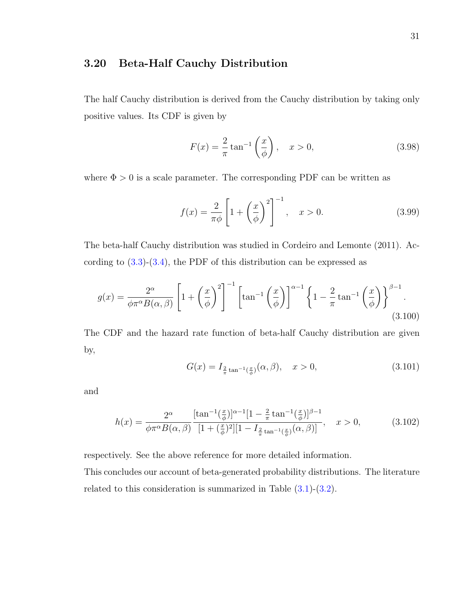#### 3.20 Beta-Half Cauchy Distribution

The half Cauchy distribution is derived from the Cauchy distribution by taking only positive values. Its CDF is given by

$$
F(x) = \frac{2}{\pi} \tan^{-1} \left( \frac{x}{\phi} \right), \quad x > 0,
$$
 (3.98)

where  $\Phi > 0$  is a scale parameter. The corresponding PDF can be written as

$$
f(x) = \frac{2}{\pi \phi} \left[ 1 + \left(\frac{x}{\phi}\right)^2 \right]^{-1}, \quad x > 0.
$$
 (3.99)

The beta-half Cauchy distribution was studied in Cordeiro and Lemonte (2011). According to  $(3.3)-(3.4)$  $(3.3)-(3.4)$ , the PDF of this distribution can be expressed as

$$
g(x) = \frac{2^{\alpha}}{\phi \pi^{\alpha} B(\alpha, \beta)} \left[ 1 + \left(\frac{x}{\phi}\right)^2 \right]^{-1} \left[ \tan^{-1} \left(\frac{x}{\phi}\right) \right]^{\alpha - 1} \left\{ 1 - \frac{2}{\pi} \tan^{-1} \left(\frac{x}{\phi}\right) \right\}^{\beta - 1} . \tag{3.100}
$$

The CDF and the hazard rate function of beta-half Cauchy distribution are given by,

$$
G(x) = I_{\frac{2}{\pi}\tan^{-1}(\frac{x}{\phi})}(\alpha, \beta), \quad x > 0,
$$
\n(3.101)

and

$$
h(x) = \frac{2^{\alpha}}{\phi \pi^{\alpha} B(\alpha, \beta)} \frac{[\tan^{-1}(\frac{x}{\phi})]^{\alpha - 1} [1 - \frac{2}{\pi} \tan^{-1}(\frac{x}{\phi})]^{\beta - 1}}{[1 + (\frac{x}{\phi})^2] [1 - I_{\frac{2}{\pi} \tan^{-1}(\frac{x}{\phi})}(\alpha, \beta)]}, \quad x > 0,
$$
 (3.102)

respectively. See the above reference for more detailed information.

This concludes our account of beta-generated probability distributions. The literature related to this consideration is summarized in Table [\(3.1\)](#page-41-0)-[\(3.2\)](#page-42-0).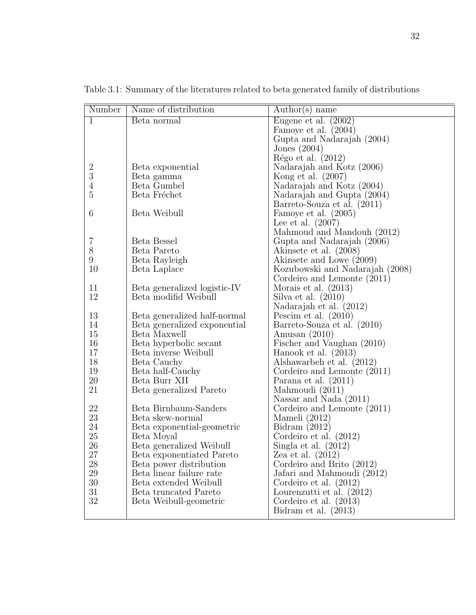| Number           | Name of distribution                           | $\text{Author}(s)$ name                              |
|------------------|------------------------------------------------|------------------------------------------------------|
| $\mathbf{1}$     | Beta normal                                    | Eugene et al. $(2002)$                               |
|                  |                                                | Famoye et al. $(2004)$                               |
|                  |                                                | Gupta and Nadarajah (2004)                           |
|                  |                                                | Jones $(2004)$                                       |
|                  |                                                | Régo et al. $(2012)$                                 |
| $\boldsymbol{2}$ | Beta exponential                               | Nadarajah and Kotz (2006)                            |
| $\boldsymbol{3}$ | Beta gamma                                     | Kong et al. $(2007)$                                 |
| $\overline{4}$   | Beta Gumbel                                    | Nadarajah and Kotz (2004)                            |
| $\overline{5}$   | Beta Fréchet                                   | Nadarajah and Gupta (2004)                           |
|                  |                                                | Barreto-Souza et al. (2011)                          |
| 6                | Beta Weibull                                   | Famoye et al. (2005)                                 |
|                  |                                                | Lee et al. $(2007)$                                  |
|                  |                                                | Mahmoud and Mandouh (2012)                           |
| 7                | Beta Bessel                                    | Gupta and Nadarajah (2006)                           |
| 8                | Beta Pareto                                    | Akinsete et al. (2008)                               |
| 9                | Beta Rayleigh                                  | Akinsete and Lowe (2009)                             |
| 10               | Beta Laplace                                   | Kozubowski and Nadarajah (2008)                      |
|                  |                                                | Cordeiro and Lemonte (2011)                          |
| 11               | Beta generalized logistic-IV                   | Morais et al. $(2013)$                               |
| 12               | Beta modifid Weibull                           | Silva et al. $(2010)$                                |
|                  |                                                | Nadarajah et al. (2012)                              |
| 13               | Beta generalized half-normal                   | Pescim et al. $(2010)$                               |
| 14               | Beta generalized exponential                   | Barreto-Souza et al. (2010)                          |
| 15<br>16         | Beta Maxwell                                   | Amusan $(2010)$                                      |
| 17               | Beta hyperbolic secant<br>Beta inverse Weibull | Fischer and Vaughan (2010)<br>Hanook et al. $(2013)$ |
| 18               | Beta Cauchy                                    | Alshawarbeh et al. (2012)                            |
| 19               | Beta half-Cauchy                               | Cordeiro and Lemonte (2011)                          |
| 20               | Beta Burr XII                                  | Parana et al. (2011)                                 |
| 21               | Beta generalized Pareto                        | Mahmoudi (2011)                                      |
|                  |                                                | Nassar and Nada $(2011)$                             |
| 22               | Beta Birnbaum-Sanders                          | Cordeiro and Lemonte (2011)                          |
| 23               | Beta skew-normal                               | Mameli $(2012)$                                      |
| 24               | Beta exponential-geometric                     | Bidram $(2012)$                                      |
| 25               | Beta Moyal                                     | Cordeiro et al. $(2012)$                             |
| 26               | Beta generalized Weibull                       | Singla et al. $(2012)$                               |
| 27               | Beta exponentiated Pareto                      | Zea et al. $(2012)$                                  |
| 28               | Beta power distribution                        | Cordeiro and Brito (2012)                            |
| 29               | Beta linear failure rate                       | Jafari and Mahmoudi (2012)                           |
| $30\,$           | Beta extended Weibull                          | Cordeiro et al. $(2012)$                             |
| 31               | Beta truncated Pareto                          | Lourenzutti et al. (2012)                            |
| $32\,$           | Beta Weibull-geometric                         | Cordeiro et al. $(2013)$                             |
|                  |                                                | Bidram et al. $(2013)$                               |

<span id="page-41-0"></span>Table 3.1: Summary of the literatures related to beta generated family of distributions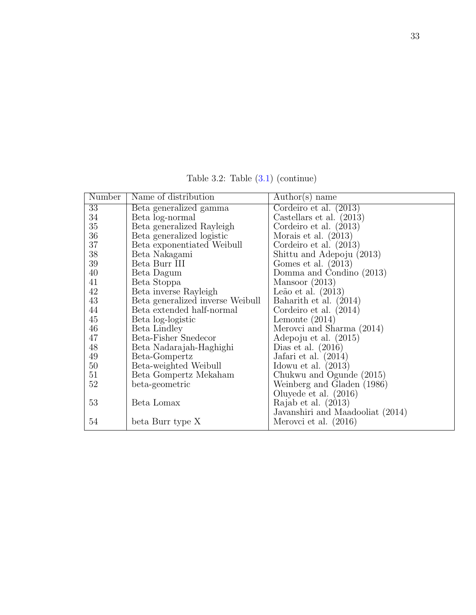<span id="page-42-0"></span>Number | Name of distribution | Author(s) name 33 Beta generalized gamma Cordeiro et al. (2013) 34 Beta log-normal Castellars et al. (2013)<br>35 Beta generalized Rayleigh Cordeiro et al. (2013) Beta generalized Rayleigh | Cordeiro et al. (2013) 36 Beta generalized logistic Morais et al. (2013)<br>37 Beta exponentiated Weibull Cordeiro et al. (2013) Beta exponentiated Weibull 38 Beta Nakagami Shittu and Adepoju (2013)<br>39 Beta Burr III Gomes et al. (2013) Beta Burr III Gomes et al. (2013)<br>Beta Dagum Domma and Condin 40 Beta Dagum Domma and Condino (2013) 41 Beta Stoppa<br>
42 Beta inverse Ravleigh Leão et al. (201 42 Beta inverse Rayleigh [Leão et al. (2013)<br>43 Beta generalized inverse Weibull [Baharith et al. (20 43 Beta generalized inverse Weibull | Baharith et al. (2014)<br>44 Beta extended half-normal | Cordeiro et al. (2014) Beta extended half-normal 45 Beta log-logistic Lemonte (2014) 46 Beta Lindley Merovci and Sharma (2014) 47 Beta-Fisher Snedecor Adepoju et al. (2015) 48 Beta Nadarajah-Haghighi Dias et al. (2016) 49 Beta-Gompertz Jafari et al. (2014) 50 Beta-weighted Weibull Idowu et al. (2013) 51 Beta Gompertz Mekaham Chukwu and Ogunde (2015)<br>52 beta-geometric Weinberg and Gladen (1986) beta-geometric Veinberg and Gladen (1986) Oluyede et al. (2016) 53 Beta Lomax Rajab et al. (2013) Javanshiri and Maadooliat (2014) 54 beta Burr type X Merovci et al. (2016)

Table 3.2: Table [\(3.1\)](#page-41-0) (continue)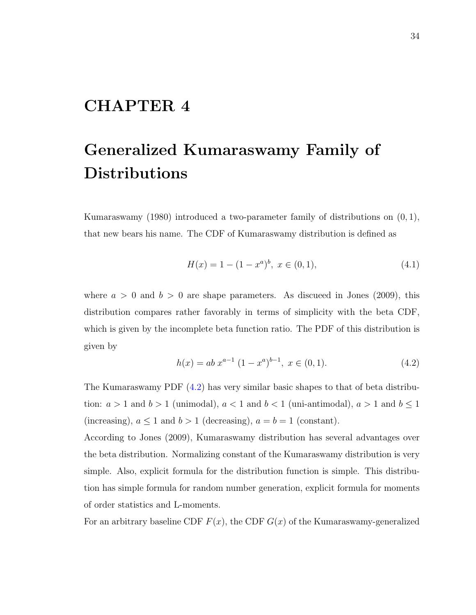# CHAPTER 4

# Generalized Kumaraswamy Family of Distributions

Kumaraswamy  $(1980)$  introduced a two-parameter family of distributions on  $(0, 1)$ , that new bears his name. The CDF of Kumaraswamy distribution is defined as

$$
H(x) = 1 - (1 - xa)b, \ x \in (0, 1), \tag{4.1}
$$

where  $a > 0$  and  $b > 0$  are shape parameters. As discused in Jones (2009), this distribution compares rather favorably in terms of simplicity with the beta CDF, which is given by the incomplete beta function ratio. The PDF of this distribution is given by

<span id="page-43-0"></span>
$$
h(x) = ab x^{a-1} (1 - x^a)^{b-1}, \ x \in (0, 1).
$$
 (4.2)

The Kumaraswamy PDF [\(4.2\)](#page-43-0) has very similar basic shapes to that of beta distribution:  $a > 1$  and  $b > 1$  (unimodal),  $a < 1$  and  $b < 1$  (uni-antimodal),  $a > 1$  and  $b \le 1$ (increasing),  $a \le 1$  and  $b > 1$  (decreasing),  $a = b = 1$  (constant).

According to Jones (2009), Kumaraswamy distribution has several advantages over the beta distribution. Normalizing constant of the Kumaraswamy distribution is very simple. Also, explicit formula for the distribution function is simple. This distribution has simple formula for random number generation, explicit formula for moments of order statistics and L-moments.

For an arbitrary baseline CDF  $F(x)$ , the CDF  $G(x)$  of the Kumaraswamy-generalized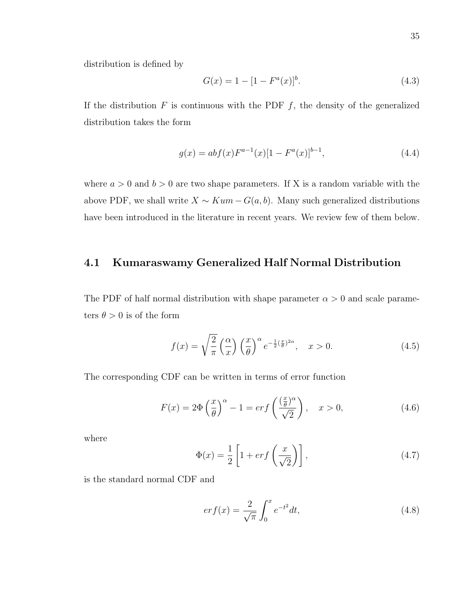distribution is defined by

$$
G(x) = 1 - [1 - Fa(x)]b.
$$
 (4.3)

If the distribution  $F$  is continuous with the PDF  $f$ , the density of the generalized distribution takes the form

$$
g(x) = abf(x)F^{a-1}(x)[1 - F^{a}(x)]^{b-1},
$$
\n(4.4)

where  $a > 0$  and  $b > 0$  are two shape parameters. If X is a random variable with the above PDF, we shall write  $X \sim Kum - G(a, b)$ . Many such generalized distributions have been introduced in the literature in recent years. We review few of them below.

#### 4.1 Kumaraswamy Generalized Half Normal Distribution

The PDF of half normal distribution with shape parameter  $\alpha > 0$  and scale parameters  $\theta > 0$  is of the form

$$
f(x) = \sqrt{\frac{2}{\pi}} \left(\frac{\alpha}{x}\right) \left(\frac{x}{\theta}\right)^{\alpha} e^{-\frac{1}{2}\left(\frac{x}{\theta}\right)^{2\alpha}}, \quad x > 0.
$$
 (4.5)

The corresponding CDF can be written in terms of error function

<span id="page-44-0"></span>
$$
F(x) = 2\Phi\left(\frac{x}{\theta}\right)^{\alpha} - 1 = erf\left(\frac{\left(\frac{x}{\theta}\right)^{\alpha}}{\sqrt{2}}\right), \quad x > 0,
$$
\n(4.6)

where

$$
\Phi(x) = \frac{1}{2} \left[ 1 + erf\left(\frac{x}{\sqrt{2}}\right) \right],\tag{4.7}
$$

is the standard normal CDF and

$$
er f(x) = \frac{2}{\sqrt{\pi}} \int_0^x e^{-t^2} dt,
$$
\n(4.8)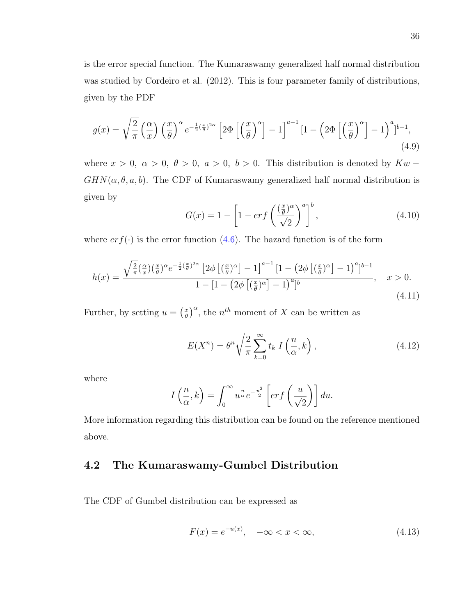is the error special function. The Kumaraswamy generalized half normal distribution was studied by Cordeiro et al. (2012). This is four parameter family of distributions, given by the PDF

$$
g(x) = \sqrt{\frac{2}{\pi}} \left(\frac{\alpha}{x}\right) \left(\frac{x}{\theta}\right)^{\alpha} e^{-\frac{1}{2}\left(\frac{x}{\theta}\right)^{2\alpha}} \left[2\Phi\left[\left(\frac{x}{\theta}\right)^{\alpha}\right] - 1\right]^{a-1} \left[1 - \left(2\Phi\left[\left(\frac{x}{\theta}\right)^{\alpha}\right] - 1\right)^{a}\right]^{b-1},\tag{4.9}
$$

where  $x > 0$ ,  $\alpha > 0$ ,  $\theta > 0$ ,  $a > 0$ ,  $b > 0$ . This distribution is denoted by  $Kw$  −  $GHN(\alpha, \theta, a, b)$ . The CDF of Kumaraswamy generalized half normal distribution is given by

$$
G(x) = 1 - \left[1 - erf\left(\frac{\left(\frac{x}{\theta}\right)^{\alpha}}{\sqrt{2}}\right)^{a}\right]^{b},\tag{4.10}
$$

where  $erf(\cdot)$  is the error function [\(4.6\)](#page-44-0). The hazard function is of the form

$$
h(x) = \frac{\sqrt{\frac{2}{\pi}} \left(\frac{\alpha}{x}\right) \left(\frac{x}{\theta}\right)^{\alpha} e^{-\frac{1}{2}\left(\frac{x}{\theta}\right)^{2\alpha}} \left[2\phi \left[\left(\frac{x}{\theta}\right)^{\alpha}\right] - 1\right]^{a-1} \left[1 - \left(2\phi \left[\left(\frac{x}{\theta}\right)^{\alpha}\right] - 1\right)^{a}\right]^{b-1}}{1 - \left[1 - \left(2\phi \left[\left(\frac{x}{\theta}\right)^{\alpha}\right] - 1\right)^{a}\right]^b}, \quad x > 0.
$$
\n(4.11)

Further, by setting  $u = \left(\frac{x}{\theta}\right)$  $\left(\frac{x}{\theta}\right)^{\alpha}$ , the *n*<sup>th</sup> moment of X can be written as

$$
E(X^n) = \theta^n \sqrt{\frac{2}{\pi}} \sum_{k=0}^{\infty} t_k I\left(\frac{n}{\alpha}, k\right),\tag{4.12}
$$

where

$$
I\left(\frac{n}{\alpha},k\right) = \int_0^\infty u^{\frac{n}{\alpha}} e^{-\frac{u^2}{2}} \left[ erf\left(\frac{u}{\sqrt{2}}\right) \right] du.
$$

More information regarding this distribution can be found on the reference mentioned above.

# 4.2 The Kumaraswamy-Gumbel Distribution

The CDF of Gumbel distribution can be expressed as

$$
F(x) = e^{-u(x)}, \quad -\infty < x < \infty,\tag{4.13}
$$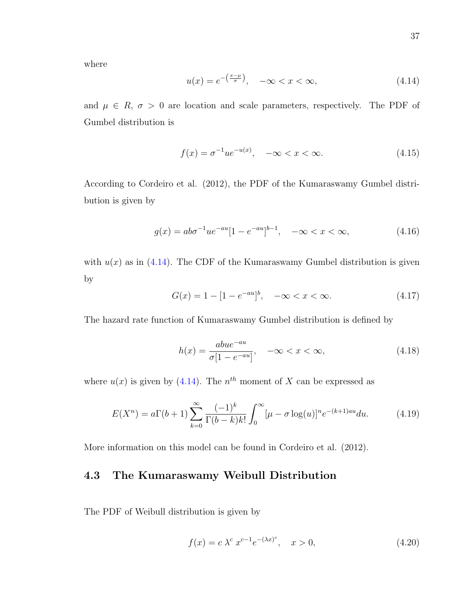where

<span id="page-46-0"></span>
$$
u(x) = e^{-\left(\frac{x-\mu}{\sigma}\right)}, \quad -\infty < x < \infty,\tag{4.14}
$$

and  $\mu \in R$ ,  $\sigma > 0$  are location and scale parameters, respectively. The PDF of Gumbel distribution is

$$
f(x) = \sigma^{-1} u e^{-u(x)}, \quad -\infty < x < \infty. \tag{4.15}
$$

According to Cordeiro et al. (2012), the PDF of the Kumaraswamy Gumbel distribution is given by

$$
g(x) = ab\sigma^{-1}ue^{-au}[1 - e^{-au}]^{b-1}, \quad -\infty < x < \infty,\tag{4.16}
$$

with  $u(x)$  as in [\(4.14\)](#page-46-0). The CDF of the Kumaraswamy Gumbel distribution is given by

$$
G(x) = 1 - [1 - e^{-au}]^b, \quad -\infty < x < \infty. \tag{4.17}
$$

The hazard rate function of Kumaraswamy Gumbel distribution is defined by

$$
h(x) = \frac{abue^{-au}}{\sigma[1 - e^{-au}]}, \quad -\infty < x < \infty,\tag{4.18}
$$

where  $u(x)$  is given by [\(4.14\)](#page-46-0). The  $n<sup>th</sup>$  moment of X can be expressed as

$$
E(X^{n}) = a\Gamma(b+1)\sum_{k=0}^{\infty} \frac{(-1)^{k}}{\Gamma(b-k)k!} \int_{0}^{\infty} [\mu - \sigma \log(u)]^{n} e^{-(k+1)au} du.
$$
 (4.19)

More information on this model can be found in Cordeiro et al. (2012).

### 4.3 The Kumaraswamy Weibull Distribution

The PDF of Weibull distribution is given by

$$
f(x) = c \lambda^c x^{c-1} e^{-(\lambda x)^c}, \quad x > 0,
$$
\n(4.20)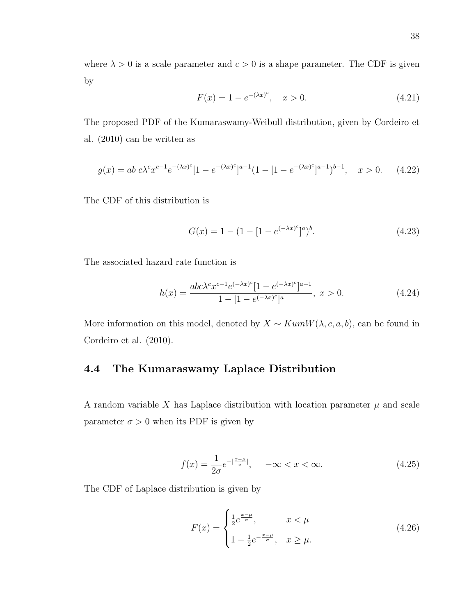where  $\lambda > 0$  is a scale parameter and  $c > 0$  is a shape parameter. The CDF is given by

$$
F(x) = 1 - e^{-(\lambda x)^c}, \quad x > 0.
$$
 (4.21)

The proposed PDF of the Kumaraswamy-Weibull distribution, given by Cordeiro et al. (2010) can be written as

$$
g(x) = ab \ c \lambda^c x^{c-1} e^{-(\lambda x)^c} [1 - e^{-(\lambda x)^c}]^{a-1} (1 - [1 - e^{-(\lambda x)^c}]^{a-1})^{b-1}, \quad x > 0. \tag{4.22}
$$

The CDF of this distribution is

$$
G(x) = 1 - (1 - [1 - e^{(-\lambda x)^c}]^a)^b.
$$
\n(4.23)

The associated hazard rate function is

$$
h(x) = \frac{abc\lambda^c x^{c-1} e^{(-\lambda x)^c} [1 - e^{(-\lambda x)^c}]^{a-1}}{1 - [1 - e^{(-\lambda x)^c}]^a}, \ x > 0.
$$
 (4.24)

More information on this model, denoted by  $X \sim KumW(\lambda, c, a, b)$ , can be found in Cordeiro et al. (2010).

# 4.4 The Kumaraswamy Laplace Distribution

A random variable X has Laplace distribution with location parameter  $\mu$  and scale parameter  $\sigma > 0$  when its PDF is given by

$$
f(x) = \frac{1}{2\sigma} e^{-|\frac{x-\mu}{\sigma}|}, \quad -\infty < x < \infty. \tag{4.25}
$$

The CDF of Laplace distribution is given by

$$
F(x) = \begin{cases} \frac{1}{2} e^{\frac{x-\mu}{\sigma}}, & x < \mu \\ 1 - \frac{1}{2} e^{-\frac{x-\mu}{\sigma}}, & x \ge \mu. \end{cases}
$$
(4.26)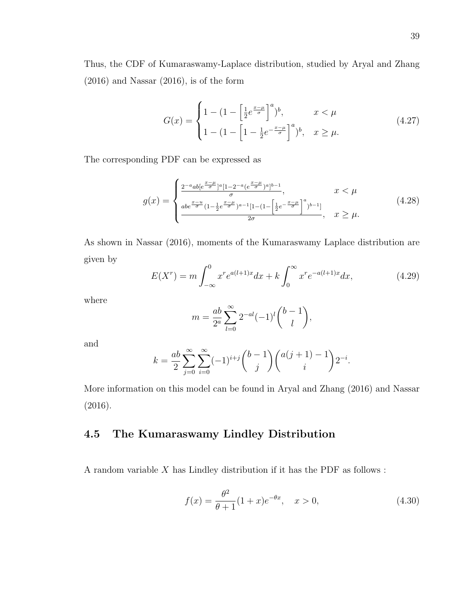$$
G(x) = \begin{cases} 1 - \left(1 - \left[\frac{1}{2}e^{\frac{x-\mu}{\sigma}}\right]^a\right)^b, & x < \mu \\ 1 - \left(1 - \left[1 - \frac{1}{2}e^{-\frac{x-\mu}{\sigma}}\right]^a\right)^b, & x \ge \mu. \end{cases}
$$
(4.27)

The corresponding PDF can be expressed as

$$
g(x) = \begin{cases} \frac{2^{-a}ab[e^{\frac{x-\mu}{\sigma}}]^{a}[1-2^{-a}(e^{\frac{x-\mu}{\sigma}})^{a}]^{b-1}}{\sigma}, & x < \mu \\ \frac{abe^{\frac{x-u}{\sigma}}(1-\frac{1}{2}e^{\frac{x-\mu}{\sigma}})^{a-1}[1-(1-\left[\frac{1}{2}e^{-\frac{x-\mu}{\sigma}}\right]^{a})^{b-1}]}{2\sigma}, & x \ge \mu. \end{cases}
$$
(4.28)

As shown in Nassar (2016), moments of the Kumaraswamy Laplace distribution are given by

$$
E(X^r) = m \int_{-\infty}^0 x^r e^{a(l+1)x} dx + k \int_0^\infty x^r e^{-a(l+1)x} dx,
$$
\n(4.29)

where

$$
m = \frac{ab}{2^a} \sum_{l=0}^{\infty} 2^{-al} (-1)^l {b-1 \choose l},
$$

and

$$
k = \frac{ab}{2} \sum_{j=0}^{\infty} \sum_{i=0}^{\infty} (-1)^{i+j} {b-1 \choose j} {a(j+1)-1 \choose i} 2^{-i}.
$$

More information on this model can be found in Aryal and Zhang (2016) and Nassar (2016).

# 4.5 The Kumaraswamy Lindley Distribution

A random variable  $X$  has Lindley distribution if it has the PDF as follows :

$$
f(x) = \frac{\theta^2}{\theta + 1} (1 + x)e^{-\theta x}, \quad x > 0,
$$
\n(4.30)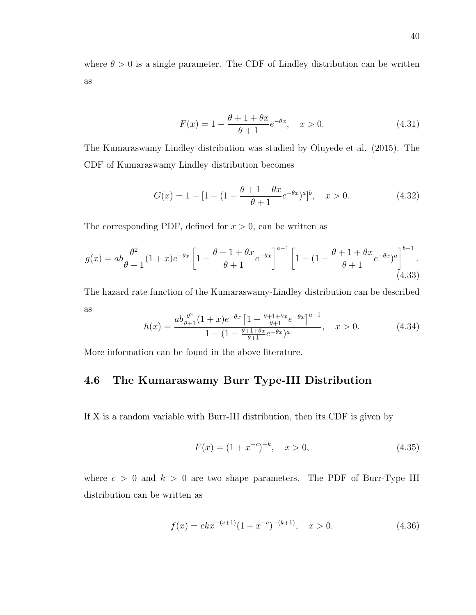where  $\theta > 0$  is a single parameter. The CDF of Lindley distribution can be written as

$$
F(x) = 1 - \frac{\theta + 1 + \theta x}{\theta + 1} e^{-\theta x}, \quad x > 0.
$$
 (4.31)

The Kumaraswamy Lindley distribution was studied by Oluyede et al. (2015). The CDF of Kumaraswamy Lindley distribution becomes

$$
G(x) = 1 - [1 - (1 - \frac{\theta + 1 + \theta x}{\theta + 1} e^{-\theta x})^a]^b, \quad x > 0.
$$
 (4.32)

The corresponding PDF, defined for  $x > 0$ , can be written as

$$
g(x) = ab \frac{\theta^2}{\theta + 1} (1 + x) e^{-\theta x} \left[ 1 - \frac{\theta + 1 + \theta x}{\theta + 1} e^{-\theta x} \right]^{a-1} \left[ 1 - (1 - \frac{\theta + 1 + \theta x}{\theta + 1} e^{-\theta x})^a \right]^{b-1}.
$$
\n(4.33)

The hazard rate function of the Kumaraswamy-Lindley distribution can be described as

$$
h(x) = \frac{ab \frac{\theta^2}{\theta+1} (1+x) e^{-\theta x} \left[1 - \frac{\theta+1+\theta x}{\theta+1} e^{-\theta x}\right]^{\alpha-1}}{1 - (1 - \frac{\theta+1+\theta x}{\theta+1} e^{-\theta x})^{\alpha}}, \quad x > 0.
$$
 (4.34)

More information can be found in the above literature.

#### 4.6 The Kumaraswamy Burr Type-III Distribution

If X is a random variable with Burr-III distribution, then its CDF is given by

$$
F(x) = (1 + x^{-c})^{-k}, \quad x > 0,
$$
\n(4.35)

where  $c > 0$  and  $k > 0$  are two shape parameters. The PDF of Burr-Type III distribution can be written as

$$
f(x) = c k x^{-(c+1)} (1 + x^{-c})^{-(k+1)}, \quad x > 0.
$$
 (4.36)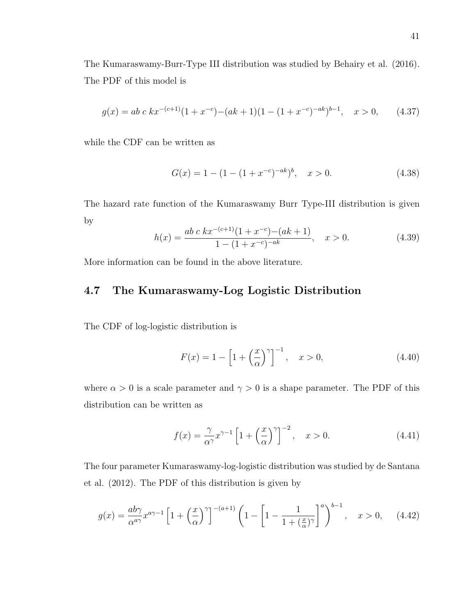The Kumaraswamy-Burr-Type III distribution was studied by Behairy et al. (2016). The PDF of this model is

$$
g(x) = ab \ c \ kx^{-(c+1)}(1+x^{-c}) - (ak+1)(1-(1+x^{-c})^{-ak})^{b-1}, \quad x > 0,
$$
 (4.37)

while the CDF can be written as

$$
G(x) = 1 - (1 - (1 + x^{-c})^{-ak})^b, \quad x > 0.
$$
\n(4.38)

The hazard rate function of the Kumaraswamy Burr Type-III distribution is given by

$$
h(x) = \frac{ab \ c \ kx^{-(c+1)}(1+x^{-c}) - (ak+1)}{1 - (1+x^{-c})^{-ak}}, \quad x > 0. \tag{4.39}
$$

More information can be found in the above literature.

## 4.7 The Kumaraswamy-Log Logistic Distribution

The CDF of log-logistic distribution is

$$
F(x) = 1 - \left[1 + \left(\frac{x}{\alpha}\right)^{\gamma}\right]^{-1}, \quad x > 0,
$$
\n(4.40)

where  $\alpha > 0$  is a scale parameter and  $\gamma > 0$  is a shape parameter. The PDF of this distribution can be written as

$$
f(x) = \frac{\gamma}{\alpha^{\gamma}} x^{\gamma - 1} \left[ 1 + \left(\frac{x}{\alpha}\right)^{\gamma} \right]^{-2}, \quad x > 0.
$$
 (4.41)

The four parameter Kumaraswamy-log-logistic distribution was studied by de Santana et al. (2012). The PDF of this distribution is given by

$$
g(x) = \frac{ab\gamma}{\alpha^{a\gamma}} x^{a\gamma - 1} \left[ 1 + \left(\frac{x}{\alpha}\right)^{\gamma} \right]^{-(a+1)} \left( 1 - \left[ 1 - \frac{1}{1 + \left(\frac{x}{\alpha}\right)^{\gamma}} \right]^{a} \right)^{b-1}, \quad x > 0, \quad (4.42)
$$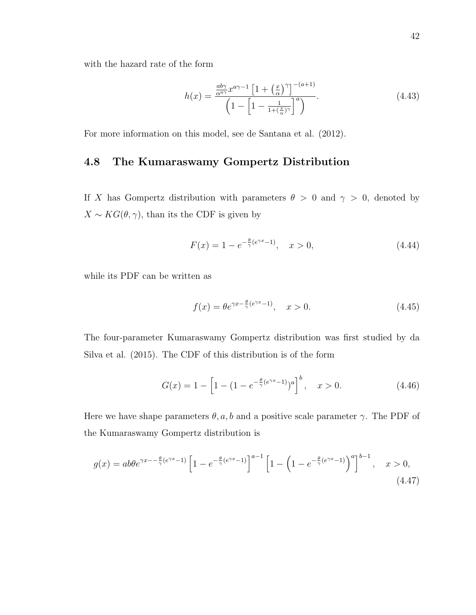with the hazard rate of the form

$$
h(x) = \frac{\frac{ab\gamma}{\alpha^{a\gamma}}x^{a\gamma - 1}\left[1 + \left(\frac{x}{\alpha}\right)^{\gamma}\right]^{-(a+1)}}{\left(1 - \left[1 - \frac{1}{1 + \left(\frac{x}{\alpha}\right)^{\gamma}}\right]^a\right)}.
$$
\n(4.43)

For more information on this model, see de Santana et al. (2012).

#### 4.8 The Kumaraswamy Gompertz Distribution

If X has Gompertz distribution with parameters  $\theta > 0$  and  $\gamma > 0$ , denoted by  $X \sim KG(\theta, \gamma)$ , than its the CDF is given by

$$
F(x) = 1 - e^{-\frac{\theta}{\gamma}(e^{\gamma x} - 1)}, \quad x > 0,
$$
\n(4.44)

while its PDF can be written as

$$
f(x) = \theta e^{\gamma x - \frac{\theta}{\gamma}(e^{\gamma x} - 1)}, \quad x > 0.
$$
\n(4.45)

The four-parameter Kumaraswamy Gompertz distribution was first studied by da Silva et al. (2015). The CDF of this distribution is of the form

$$
G(x) = 1 - \left[1 - (1 - e^{-\frac{\theta}{\gamma}(e^{\gamma x} - 1)})^a\right]^b, \quad x > 0.
$$
 (4.46)

Here we have shape parameters  $\theta$ , a, b and a positive scale parameter  $\gamma$ . The PDF of the Kumaraswamy Gompertz distribution is

$$
g(x) = ab\theta e^{\gamma x - \frac{\theta}{\gamma}(e^{\gamma x} - 1)} \left[ 1 - e^{-\frac{\theta}{\gamma}(e^{\gamma x} - 1)} \right]^{a-1} \left[ 1 - \left( 1 - e^{-\frac{\theta}{\gamma}(e^{\gamma x} - 1)} \right)^{a} \right]^{b-1}, \quad x > 0,
$$
\n(4.47)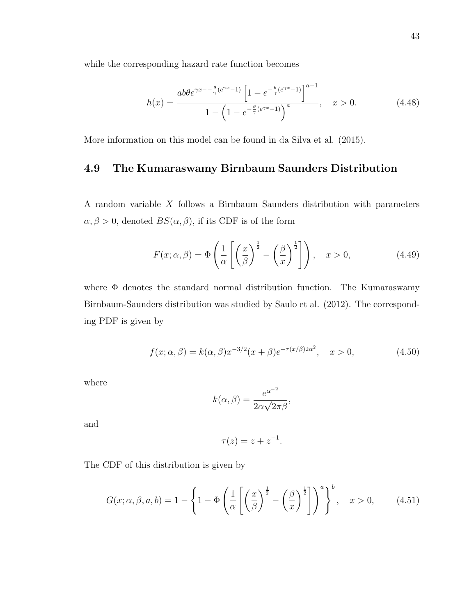while the corresponding hazard rate function becomes

$$
h(x) = \frac{ab\theta e^{\gamma x - \frac{\theta}{\gamma}(e^{\gamma x} - 1)} \left[1 - e^{-\frac{\theta}{\gamma}(e^{\gamma x} - 1)}\right]^{a-1}}{1 - \left(1 - e^{-\frac{\theta}{\gamma}(e^{\gamma x} - 1)}\right)^a}, \quad x > 0.
$$
 (4.48)

More information on this model can be found in da Silva et al. (2015).

# 4.9 The Kumaraswamy Birnbaum Saunders Distribution

A random variable X follows a Birnbaum Saunders distribution with parameters  $\alpha, \beta > 0$ , denoted  $BS(\alpha, \beta)$ , if its CDF is of the form

$$
F(x; \alpha, \beta) = \Phi\left(\frac{1}{\alpha} \left[ \left(\frac{x}{\beta}\right)^{\frac{1}{2}} - \left(\frac{\beta}{x}\right)^{\frac{1}{2}} \right] \right), \quad x > 0,
$$
\n(4.49)

where  $\Phi$  denotes the standard normal distribution function. The Kumaraswamy Birnbaum-Saunders distribution was studied by Saulo et al. (2012). The corresponding PDF is given by

$$
f(x; \alpha, \beta) = k(\alpha, \beta)x^{-3/2}(x+\beta)e^{-\tau(x/\beta)2\alpha^2}, \quad x > 0,
$$
\n(4.50)

where

$$
k(\alpha, \beta) = \frac{e^{\alpha^{-2}}}{2\alpha\sqrt{2\pi\beta}},
$$

and

$$
\tau(z) = z + z^{-1}.
$$

The CDF of this distribution is given by

$$
G(x; \alpha, \beta, a, b) = 1 - \left\{ 1 - \Phi\left(\frac{1}{\alpha} \left[ \left(\frac{x}{\beta}\right)^{\frac{1}{2}} - \left(\frac{\beta}{x}\right)^{\frac{1}{2}} \right] \right)^{a} \right\}^{b}, \quad x > 0, \quad (4.51)
$$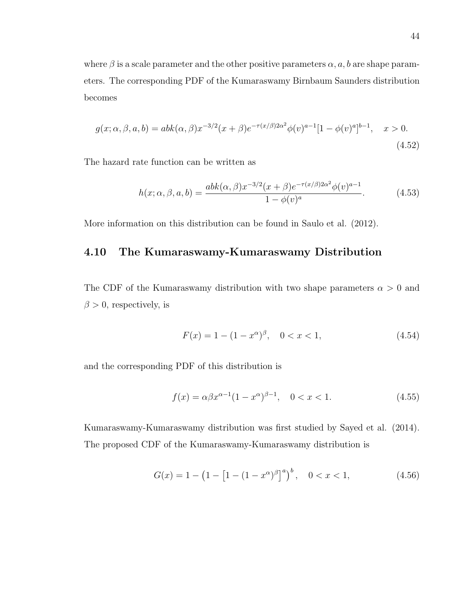where  $\beta$  is a scale parameter and the other positive parameters  $\alpha$ , a, b are shape parameters. The corresponding PDF of the Kumaraswamy Birnbaum Saunders distribution becomes

$$
g(x; \alpha, \beta, a, b) = abk(\alpha, \beta)x^{-3/2}(x+\beta)e^{-\tau(x/\beta)2\alpha^2}\phi(v)^{a-1}[1-\phi(v)^a]^{b-1}, \quad x > 0.
$$
\n(4.52)

The hazard rate function can be written as

$$
h(x; \alpha, \beta, a, b) = \frac{abk(\alpha, \beta)x^{-3/2}(x+\beta)e^{-\tau(x/\beta)2\alpha^2}\phi(v)^{a-1}}{1-\phi(v)^a}.
$$
 (4.53)

More information on this distribution can be found in Saulo et al. (2012).

#### 4.10 The Kumaraswamy-Kumaraswamy Distribution

The CDF of the Kumaraswamy distribution with two shape parameters  $\alpha > 0$  and  $\beta > 0$ , respectively, is

$$
F(x) = 1 - (1 - x^{\alpha})^{\beta}, \quad 0 < x < 1,\tag{4.54}
$$

and the corresponding PDF of this distribution is

$$
f(x) = \alpha \beta x^{\alpha - 1} (1 - x^{\alpha})^{\beta - 1}, \quad 0 < x < 1. \tag{4.55}
$$

Kumaraswamy-Kumaraswamy distribution was first studied by Sayed et al. (2014). The proposed CDF of the Kumaraswamy-Kumaraswamy distribution is

$$
G(x) = 1 - \left(1 - \left[1 - (1 - x^{\alpha})^{\beta}\right]^{a}\right)^{b}, \quad 0 < x < 1,\tag{4.56}
$$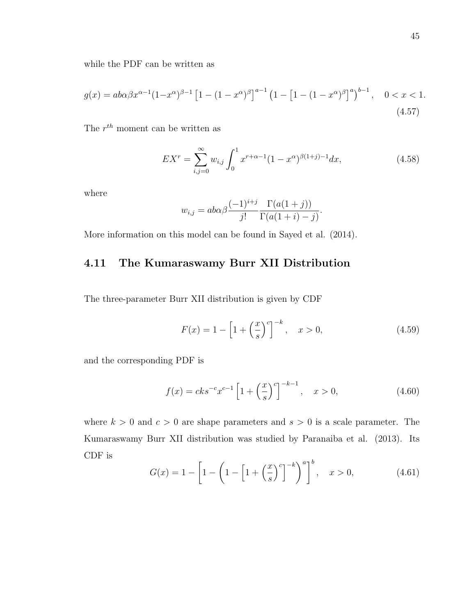while the PDF can be written as

$$
g(x) = ab\alpha\beta x^{\alpha - 1} (1 - x^{\alpha})^{\beta - 1} \left[ 1 - (1 - x^{\alpha})^{\beta} \right]^{a - 1} \left( 1 - \left[ 1 - (1 - x^{\alpha})^{\beta} \right]^{a} \right)^{b - 1}, \quad 0 < x < 1. \tag{4.57}
$$

The  $r^{th}$  moment can be written as

$$
EX^{r} = \sum_{i,j=0}^{\infty} w_{i,j} \int_{0}^{1} x^{r+\alpha-1} (1-x^{\alpha})^{\beta(1+j)-1} dx,
$$
\n(4.58)

where

$$
w_{i,j} = ab\alpha \beta \frac{(-1)^{i+j}}{j!} \frac{\Gamma(a(1+j))}{\Gamma(a(1+i)-j)}.
$$

More information on this model can be found in Sayed et al. (2014).

# 4.11 The Kumaraswamy Burr XII Distribution

The three-parameter Burr XII distribution is given by CDF

$$
F(x) = 1 - \left[1 + \left(\frac{x}{s}\right)^{c}\right]^{-k}, \quad x > 0,
$$
\n(4.59)

and the corresponding PDF is

$$
f(x) = cks^{-c}x^{c-1} \left[ 1 + \left(\frac{x}{s}\right)^c \right]^{-k-1}, \quad x > 0,
$$
\n(4.60)

where  $k > 0$  and  $c > 0$  are shape parameters and  $s > 0$  is a scale parameter. The Kumaraswamy Burr XII distribution was studied by Paranaiba et al. (2013). Its CDF is

$$
G(x) = 1 - \left[1 - \left(1 - \left[1 + \left(\frac{x}{s}\right)^c\right]^{-k}\right)^a\right]^b, \quad x > 0,
$$
\n(4.61)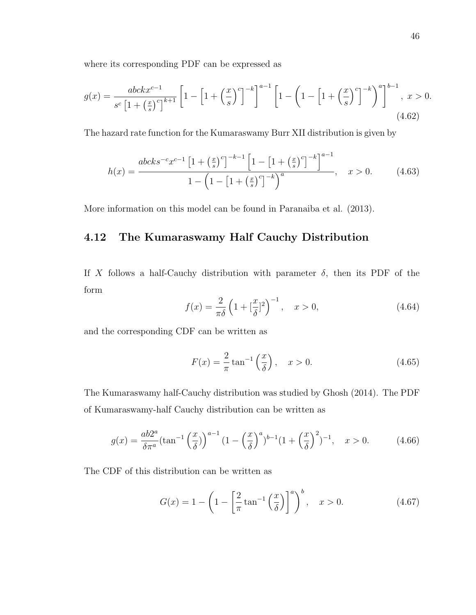where its corresponding PDF can be expressed as

$$
g(x) = \frac{abc k x^{c-1}}{s^c \left[1 + \left(\frac{x}{s}\right)^c\right]^{k+1}} \left[1 - \left[1 + \left(\frac{x}{s}\right)^c\right]^{-k}\right]^{a-1} \left[1 - \left(1 - \left[1 + \left(\frac{x}{s}\right)^c\right]^{-k}\right)^a\right]^{b-1}, \ x > 0. \tag{4.62}
$$

The hazard rate function for the Kumaraswamy Burr XII distribution is given by

$$
h(x) = \frac{abcks^{-c}x^{c-1}\left[1+\left(\frac{x}{s}\right)^c\right]^{-k-1}\left[1-\left[1+\left(\frac{x}{s}\right)^c\right]^{-k}\right]^{a-1}}{1-\left(1-\left[1+\left(\frac{x}{s}\right)^c\right]^{-k}\right)^a}, \quad x > 0. \tag{4.63}
$$

More information on this model can be found in Paranaiba et al. (2013).

#### 4.12 The Kumaraswamy Half Cauchy Distribution

If X follows a half-Cauchy distribution with parameter  $\delta$ , then its PDF of the form

$$
f(x) = \frac{2}{\pi \delta} \left( 1 + \left[ \frac{x}{\delta} \right]^2 \right)^{-1}, \quad x > 0,
$$
\n(4.64)

and the corresponding CDF can be written as

$$
F(x) = \frac{2}{\pi} \tan^{-1} \left( \frac{x}{\delta} \right), \quad x > 0.
$$
 (4.65)

The Kumaraswamy half-Cauchy distribution was studied by Ghosh (2014). The PDF of Kumaraswamy-half Cauchy distribution can be written as

$$
g(x) = \frac{ab2^a}{\delta \pi^a} (\tan^{-1} \left(\frac{x}{\delta}\right))^{a-1} \left(1 - \left(\frac{x}{\delta}\right)^a\right)^{b-1} \left(1 + \left(\frac{x}{\delta}\right)^2\right)^{-1}, \quad x > 0. \tag{4.66}
$$

The CDF of this distribution can be written as

$$
G(x) = 1 - \left(1 - \left[\frac{2}{\pi} \tan^{-1} \left(\frac{x}{\delta}\right)\right]^a\right)^b, \quad x > 0.
$$
 (4.67)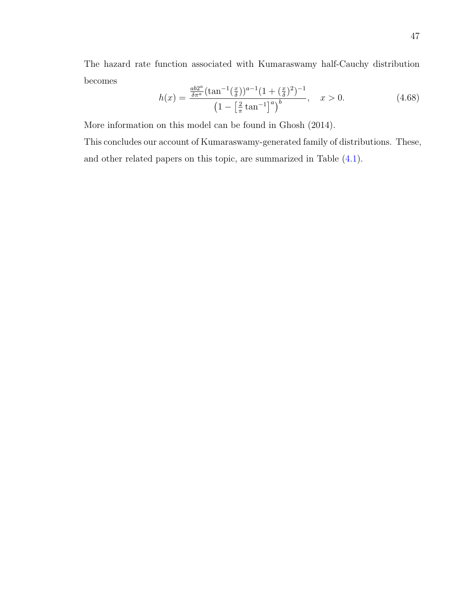The hazard rate function associated with Kumaraswamy half-Cauchy distribution becomes

$$
h(x) = \frac{\frac{ab2^a}{\delta \pi^a} (\tan^{-1}(\frac{x}{\delta}))^{a-1} (1 + (\frac{x}{\delta})^2)^{-1}}{\left(1 - \left[\frac{2}{\pi} \tan^{-1}\right]^a\right)^b}, \quad x > 0.
$$
 (4.68)

More information on this model can be found in Ghosh (2014).

This concludes our account of Kumaraswamy-generated family of distributions. These, and other related papers on this topic, are summarized in Table [\(4.1\)](#page-57-0).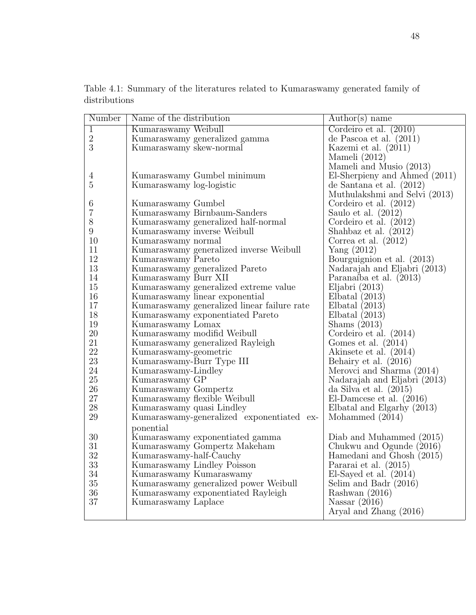| Number           | Name of the distribution                    | $\text{Author}(s)$ name       |
|------------------|---------------------------------------------|-------------------------------|
| $\overline{1}$   | Kumaraswamy Weibull                         | Cordeiro et al. $(2010)$      |
| $\sqrt{2}$       | Kumaraswamy generalized gamma               | de Pascoa et al. $(2011)$     |
| 3                | Kumaraswamy skew-normal                     | Kazemi et al. $(2011)$        |
|                  |                                             | Mameli $(2012)$               |
|                  |                                             | Mameli and Music (2013)       |
| 4                | Kumaraswamy Gumbel minimum                  | El-Sherpieny and Ahmed (2011) |
| $\overline{5}$   | Kumaraswamy log-logistic                    | de Santana et al. $(2012)$    |
|                  |                                             | Muthulakshmi and Selvi (2013) |
| 6                | Kumaraswamy Gumbel                          | Cordeiro et al. $(2012)$      |
| 7                | Kumaraswamy Birnbaum-Sanders                | Saulo et al. $(2012)$         |
| 8                | Kumaraswamy generalized half-normal         | Cordeiro et al. $(2012)$      |
| $\boldsymbol{9}$ | Kumaraswamy inverse Weibull                 | Shahbaz et al. $(2012)$       |
| 10               | Kumaraswamy normal                          | Correa et al. $(2012)$        |
| 11               | Kumaraswamy generalized inverse Weibull     | Yang $(2012)$                 |
| 12               | Kumaraswamy Pareto                          | Bourguignion et al. (2013)    |
| 13               | Kumaraswamy generalized Pareto              | Nadarajah and Eljabri (2013)  |
| 14               | Kumaraswamy Burr XII                        | Paranaíba et al. (2013)       |
| 15               | Kumaraswamy generalized extreme value       | Eljabri $(2013)$              |
| 16               | Kumaraswamy linear exponential              | Elbatal $(2013)$              |
| 17               | Kumaraswamy generalized linear failure rate | Elbatal $(2013)$              |
| 18               | Kumaraswamy exponentiated Pareto            | Elbatal $(2013)$              |
| 19               | Kumaraswamy Lomax                           | Shams $(2013)$                |
| $20\,$           | Kumaraswamy modifid Weibull                 | Cordeiro et al. $(2014)$      |
| 21               | Kumaraswamy generalized Rayleigh            | Gomes et al. $(2014)$         |
| 22               | Kumaraswamy-geometric                       | Akinsete et al. (2014)        |
| 23               | Kumaraswamy-Burr Type III                   | Behairy et al. (2016)         |
| 24               | Kumaraswamy-Lindley                         | Merovci and Sharma (2014)     |
| $25\,$           | Kumaraswamy GP                              | Nadarajah and Eljabri (2013)  |
| 26               | Kumaraswamy Gompertz                        | da Silva et al. $(2015)$      |
| $27\,$           | Kumaraswamy flexible Weibull                | El-Damcese et al. $(2016)$    |
| $28\,$           | Kumaraswamy quasi Lindley                   | Elbatal and Elgarhy (2013)    |
| 29               | Kumaraswamy-generalized exponentiated ex-   | Mohammed (2014)               |
|                  | ponential                                   |                               |
| 30               | Kumaraswamy exponentiated gamma             | Diab and Muhammed (2015)      |
| 31               | Kumaraswamy Gompertz Makeham                | Chukwu and Ogunde (2016)      |
| 32               | Kumaraswamy-half-Cauchy                     | Hamedani and Ghosh (2015)     |
| $33\,$           | Kumaraswamy Lindley Poisson                 | Pararai et al. (2015)         |
| 34               | Kumaraswamy Kumaraswamy                     | El-Sayed et al. $(2014)$      |
| 35               | Kumaraswamy generalized power Weibull       | Selim and Badr $(2016)$       |
| 36               | Kumaraswamy exponentiated Rayleigh          | Rashwan (2016)                |
| 37               | Kumaraswamy Laplace                         | Nassar $(2016)$               |
|                  |                                             | Aryal and Zhang (2016)        |
|                  |                                             |                               |

<span id="page-57-0"></span>Table 4.1: Summary of the literatures related to Kumaraswamy generated family of distributions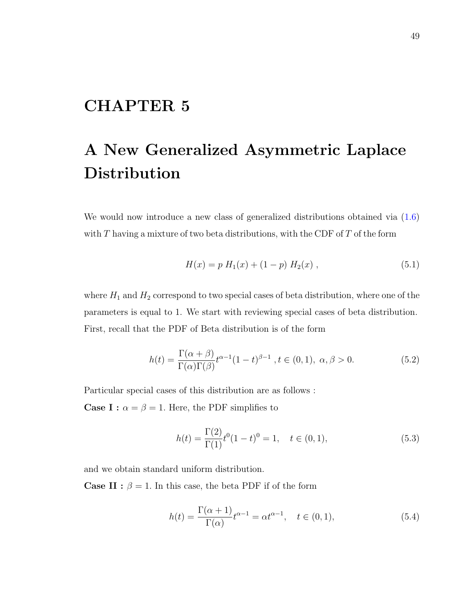# CHAPTER 5

# A New Generalized Asymmetric Laplace Distribution

We would now introduce a new class of generalized distributions obtained via  $(1.6)$ with  $T$  having a mixture of two beta distributions, with the CDF of  $T$  of the form

$$
H(x) = p H1(x) + (1 - p) H2(x) , \t\t(5.1)
$$

where  $H_1$  and  $H_2$  correspond to two special cases of beta distribution, where one of the parameters is equal to 1. We start with reviewing special cases of beta distribution. First, recall that the PDF of Beta distribution is of the form

$$
h(t) = \frac{\Gamma(\alpha + \beta)}{\Gamma(\alpha)\Gamma(\beta)} t^{\alpha - 1} (1 - t)^{\beta - 1}, t \in (0, 1), \alpha, \beta > 0.
$$
 (5.2)

Particular special cases of this distribution are as follows : **Case I :**  $\alpha = \beta = 1$ . Here, the PDF simplifies to

$$
h(t) = \frac{\Gamma(2)}{\Gamma(1)} t^{0} (1 - t)^{0} = 1, \quad t \in (0, 1),
$$
\n(5.3)

and we obtain standard uniform distribution.

**Case II :**  $\beta = 1$ . In this case, the beta PDF if of the form

$$
h(t) = \frac{\Gamma(\alpha + 1)}{\Gamma(\alpha)} t^{\alpha - 1} = \alpha t^{\alpha - 1}, \quad t \in (0, 1),
$$
\n
$$
(5.4)
$$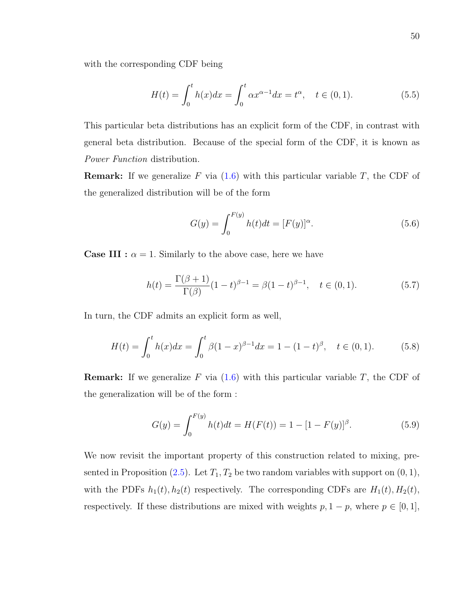with the corresponding CDF being

$$
H(t) = \int_0^t h(x)dx = \int_0^t \alpha x^{\alpha - 1} dx = t^{\alpha}, \quad t \in (0, 1).
$$
 (5.5)

This particular beta distributions has an explicit form of the CDF, in contrast with general beta distribution. Because of the special form of the CDF, it is known as Power Function distribution.

**Remark:** If we generalize F via  $(1.6)$  with this particular variable T, the CDF of the generalized distribution will be of the form

$$
G(y) = \int_0^{F(y)} h(t)dt = [F(y)]^{\alpha}.
$$
 (5.6)

**Case III :**  $\alpha = 1$ . Similarly to the above case, here we have

$$
h(t) = \frac{\Gamma(\beta + 1)}{\Gamma(\beta)} (1 - t)^{\beta - 1} = \beta (1 - t)^{\beta - 1}, \quad t \in (0, 1).
$$
 (5.7)

In turn, the CDF admits an explicit form as well,

$$
H(t) = \int_0^t h(x)dx = \int_0^t \beta(1-x)^{\beta-1}dx = 1 - (1-t)^{\beta}, \quad t \in (0,1).
$$
 (5.8)

**Remark:** If we generalize F via  $(1.6)$  with this particular variable T, the CDF of the generalization will be of the form :

$$
G(y) = \int_0^{F(y)} h(t)dt = H(F(t)) = 1 - [1 - F(y)]^{\beta}.
$$
 (5.9)

We now revisit the important property of this construction related to mixing, pre-sented in Proposition [\(2.5\)](#page-17-0). Let  $T_1, T_2$  be two random variables with support on  $(0, 1)$ , with the PDFs  $h_1(t)$ ,  $h_2(t)$  respectively. The corresponding CDFs are  $H_1(t)$ ,  $H_2(t)$ , respectively. If these distributions are mixed with weights  $p$ ,  $1 - p$ , where  $p \in [0, 1]$ ,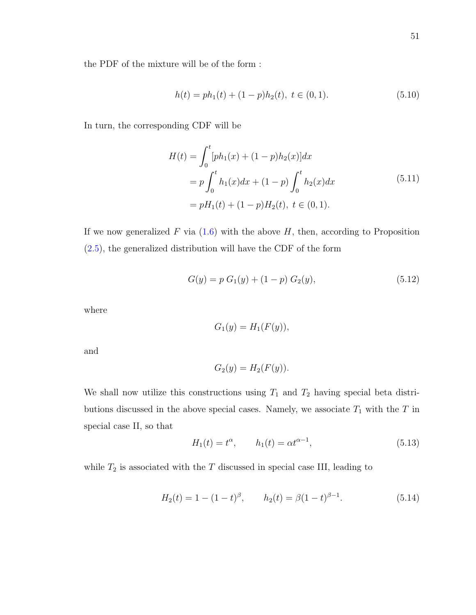the PDF of the mixture will be of the form :

<span id="page-60-0"></span>
$$
h(t) = ph_1(t) + (1 - p)h_2(t), \ t \in (0, 1). \tag{5.10}
$$

<span id="page-60-1"></span>In turn, the corresponding CDF will be

$$
H(t) = \int_0^t [ph_1(x) + (1-p)h_2(x)]dx
$$
  
=  $p \int_0^t h_1(x)dx + (1-p) \int_0^t h_2(x)dx$  (5.11)  
=  $pH_1(t) + (1-p)H_2(t), t \in (0,1).$ 

If we now generalized F via  $(1.6)$  with the above H, then, according to Proposition [\(2.5\)](#page-17-0), the generalized distribution will have the CDF of the form

$$
G(y) = p G1(y) + (1 - p) G2(y),
$$
\n(5.12)

where

$$
G_1(y) = H_1(F(y)),
$$

and

$$
G_2(y) = H_2(F(y)).
$$

We shall now utilize this constructions using  $T_1$  and  $T_2$  having special beta distributions discussed in the above special cases. Namely, we associate  $T_1$  with the  $T$  in special case II, so that

$$
H_1(t) = t^{\alpha}, \qquad h_1(t) = \alpha t^{\alpha - 1},
$$
 (5.13)

while  $T_2$  is associated with the  $T$  discussed in special case III, leading to

$$
H_2(t) = 1 - (1 - t)^{\beta}, \qquad h_2(t) = \beta (1 - t)^{\beta - 1}.
$$
 (5.14)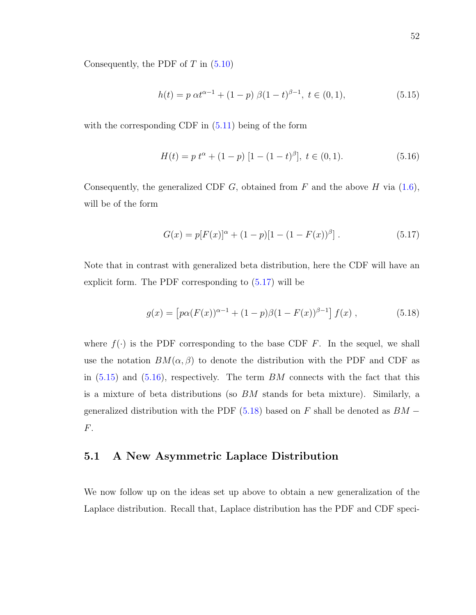Consequently, the PDF of  $T$  in  $(5.10)$ 

<span id="page-61-1"></span>
$$
h(t) = p \alpha t^{\alpha - 1} + (1 - p) \beta (1 - t)^{\beta - 1}, \ t \in (0, 1), \tag{5.15}
$$

with the corresponding CDF in  $(5.11)$  being of the form

<span id="page-61-2"></span>
$$
H(t) = p t^{\alpha} + (1 - p) [1 - (1 - t)^{\beta}], \ t \in (0, 1).
$$
 (5.16)

Consequently, the generalized CDF  $G$ , obtained from  $F$  and the above  $H$  via [\(1.6\)](#page-11-0), will be of the form

<span id="page-61-0"></span>
$$
G(x) = p[F(x)]^{\alpha} + (1 - p)[1 - (1 - F(x))^{\beta}].
$$
\n(5.17)

Note that in contrast with generalized beta distribution, here the CDF will have an explicit form. The PDF corresponding to [\(5.17\)](#page-61-0) will be

<span id="page-61-3"></span>
$$
g(x) = \left[ p\alpha (F(x))^{\alpha - 1} + (1 - p)\beta (1 - F(x))^{\beta - 1} \right] f(x) , \qquad (5.18)
$$

where  $f(\cdot)$  is the PDF corresponding to the base CDF F. In the sequel, we shall use the notation  $BM(\alpha, \beta)$  to denote the distribution with the PDF and CDF as in  $(5.15)$  and  $(5.16)$ , respectively. The term BM connects with the fact that this is a mixture of beta distributions (so BM stands for beta mixture). Similarly, a generalized distribution with the PDF  $(5.18)$  based on F shall be denoted as  $BM -$ F.

#### 5.1 A New Asymmetric Laplace Distribution

We now follow up on the ideas set up above to obtain a new generalization of the Laplace distribution. Recall that, Laplace distribution has the PDF and CDF speci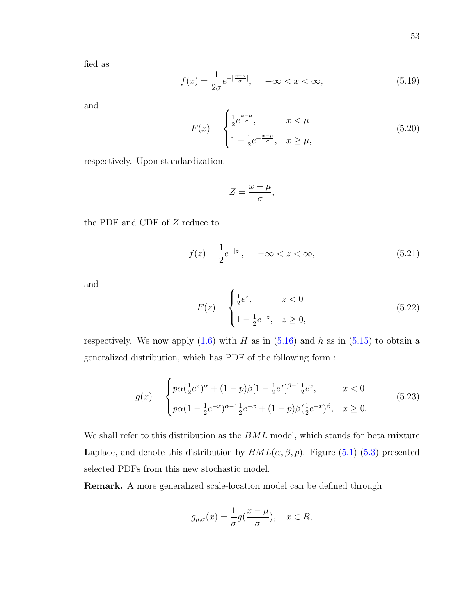fied as

<span id="page-62-1"></span>
$$
f(x) = \frac{1}{2\sigma} e^{-\left|\frac{x-\mu}{\sigma}\right|}, \quad -\infty < x < \infty,\tag{5.19}
$$

and

$$
F(x) = \begin{cases} \frac{1}{2} e^{\frac{x-\mu}{\sigma}}, & x < \mu \\ 1 - \frac{1}{2} e^{-\frac{x-\mu}{\sigma}}, & x \ge \mu, \end{cases}
$$
 (5.20)

respectively. Upon standardization,

$$
Z=\frac{x-\mu}{\sigma},
$$

the PDF and CDF of  $\boldsymbol{Z}$  reduce to

$$
f(z) = \frac{1}{2}e^{-|z|}, \quad -\infty < z < \infty,\tag{5.21}
$$

and

$$
F(z) = \begin{cases} \frac{1}{2}e^{z}, & z < 0\\ 1 - \frac{1}{2}e^{-z}, & z \ge 0, \end{cases}
$$
 (5.22)

respectively. We now apply  $(1.6)$  with H as in  $(5.16)$  and h as in  $(5.15)$  to obtain a generalized distribution, which has PDF of the following form :

<span id="page-62-0"></span>
$$
g(x) = \begin{cases} p\alpha(\frac{1}{2}e^x)^{\alpha} + (1-p)\beta[1-\frac{1}{2}e^x]^{\beta-1}\frac{1}{2}e^x, & x < 0\\ p\alpha(1-\frac{1}{2}e^{-x})^{\alpha-1}\frac{1}{2}e^{-x} + (1-p)\beta(\frac{1}{2}e^{-x})^{\beta}, & x \ge 0. \end{cases}
$$
(5.23)

We shall refer to this distribution as the  $BML$  model, which stands for beta mixture Laplace, and denote this distribution by  $BML(\alpha, \beta, p)$ . Figure [\(5.1\)](#page-63-0)-[\(5.3\)](#page-65-0) presented selected PDFs from this new stochastic model.

Remark. A more generalized scale-location model can be defined through

$$
g_{\mu,\sigma}(x) = \frac{1}{\sigma} g(\frac{x-\mu}{\sigma}), \quad x \in R,
$$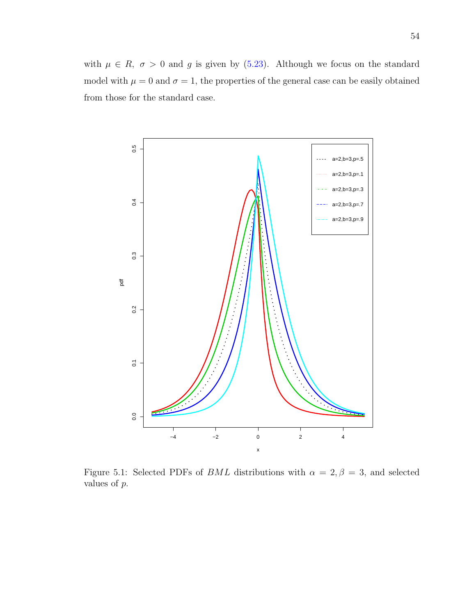with  $\mu \in R$ ,  $\sigma > 0$  and g is given by [\(5.23\)](#page-62-0). Although we focus on the standard model with  $\mu = 0$  and  $\sigma = 1$ , the properties of the general case can be easily obtained from those for the standard case.

<span id="page-63-0"></span>

Figure 5.1: Selected PDFs of *BML* distributions with  $\alpha = 2, \beta = 3$ , and selected values of p.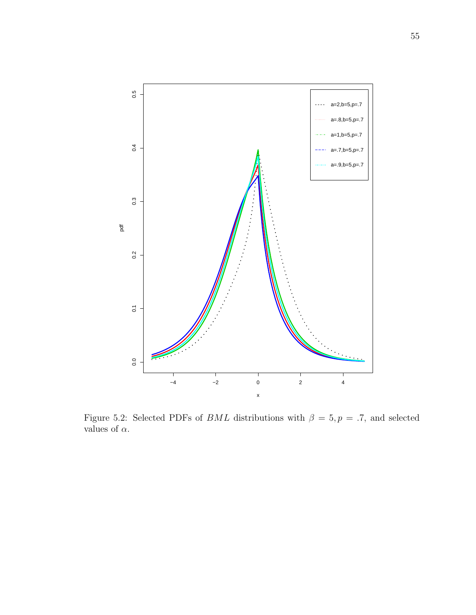

Figure 5.2: Selected PDFs of *BML* distributions with  $\beta = 5, p = .7$ , and selected values of  $\alpha.$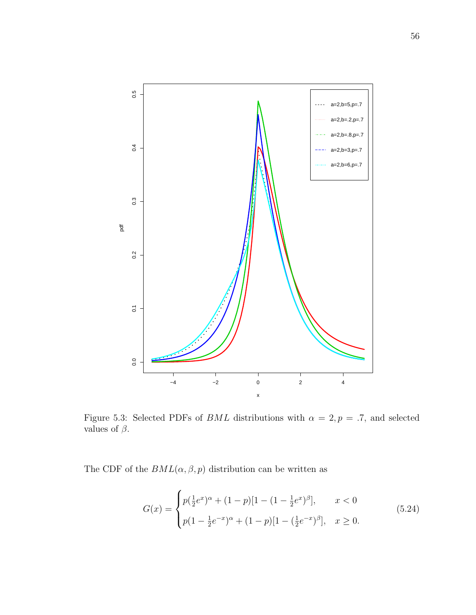<span id="page-65-0"></span>

Figure 5.3: Selected PDFs of  $BML$  distributions with  $\alpha = 2, p = .7$ , and selected values of  $\beta.$ 

The CDF of the  $BML(\alpha, \beta, p)$  distribution can be written as

<span id="page-65-1"></span>
$$
G(x) = \begin{cases} p(\frac{1}{2}e^x)^{\alpha} + (1-p)[1 - (1 - \frac{1}{2}e^x)^{\beta}], & x < 0\\ p(1 - \frac{1}{2}e^{-x})^{\alpha} + (1-p)[1 - (\frac{1}{2}e^{-x})^{\beta}], & x \ge 0. \end{cases}
$$
(5.24)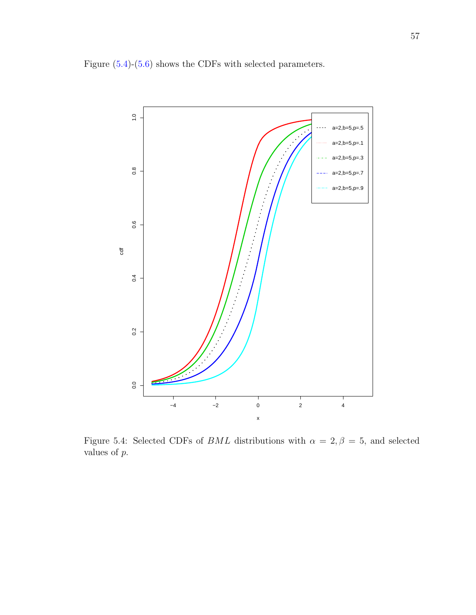<span id="page-66-0"></span>Figure [\(5.4\)](#page-66-0)-[\(5.6\)](#page-68-0) shows the CDFs with selected parameters.



Figure 5.4: Selected CDFs of *BML* distributions with  $\alpha = 2, \beta = 5$ , and selected values of p.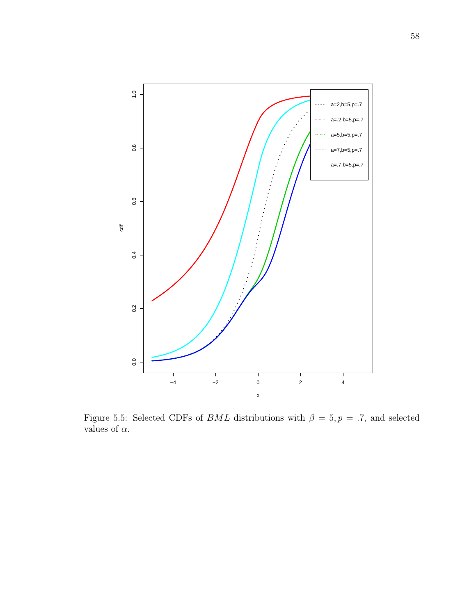

Figure 5.5: Selected CDFs of  $BML$  distributions with  $\beta = 5, p = .7$ , and selected values of  $\alpha.$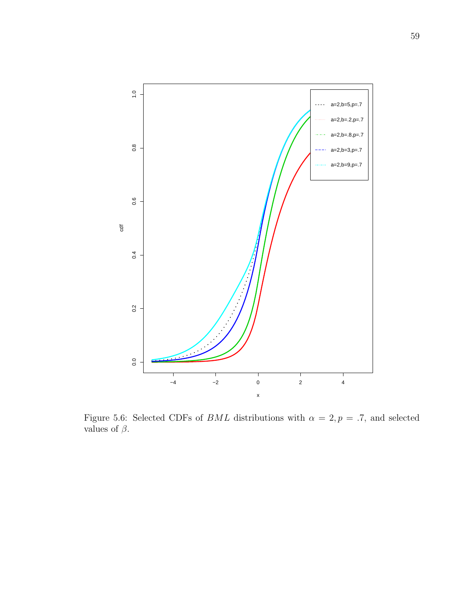<span id="page-68-0"></span>

Figure 5.6: Selected CDFs of *BML* distributions with  $\alpha = 2, p = .7$ , and selected values of  $\beta.$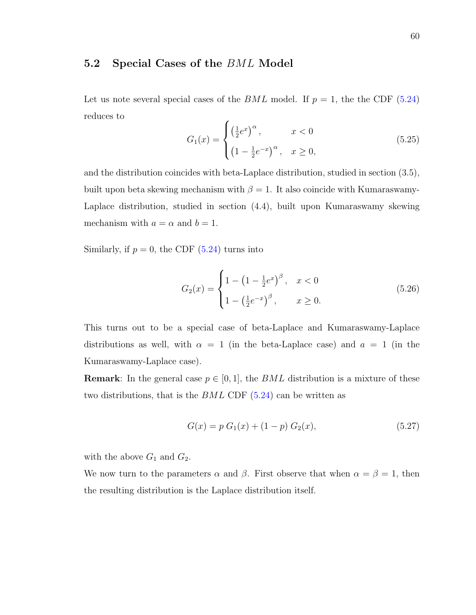#### 5.2 Special Cases of the BML Model

Let us note several special cases of the BML model. If  $p = 1$ , the the CDF [\(5.24\)](#page-65-1) reduces to í

<span id="page-69-0"></span>
$$
G_1(x) = \begin{cases} \left(\frac{1}{2}e^x\right)^{\alpha}, & x < 0\\ \left(1 - \frac{1}{2}e^{-x}\right)^{\alpha}, & x \ge 0, \end{cases}
$$
(5.25)

and the distribution coincides with beta-Laplace distribution, studied in section (3.5), built upon beta skewing mechanism with  $\beta = 1$ . It also coincide with Kumaraswamy-Laplace distribution, studied in section (4.4), built upon Kumaraswamy skewing mechanism with  $a = \alpha$  and  $b = 1$ .

Similarly, if  $p = 0$ , the CDF [\(5.24\)](#page-65-1) turns into

$$
G_2(x) = \begin{cases} 1 - \left(1 - \frac{1}{2}e^x\right)^{\beta}, & x < 0\\ 1 - \left(\frac{1}{2}e^{-x}\right)^{\beta}, & x \ge 0. \end{cases}
$$
(5.26)

This turns out to be a special case of beta-Laplace and Kumaraswamy-Laplace distributions as well, with  $\alpha = 1$  (in the beta-Laplace case) and  $a = 1$  (in the Kumaraswamy-Laplace case).

**Remark:** In the general case  $p \in [0, 1]$ , the BML distribution is a mixture of these two distributions, that is the  $BML$  CDF  $(5.24)$  can be written as

$$
G(x) = p G1(x) + (1 - p) G2(x),
$$
\n(5.27)

with the above  $G_1$  and  $G_2$ .

We now turn to the parameters  $\alpha$  and  $\beta$ . First observe that when  $\alpha = \beta = 1$ , then the resulting distribution is the Laplace distribution itself.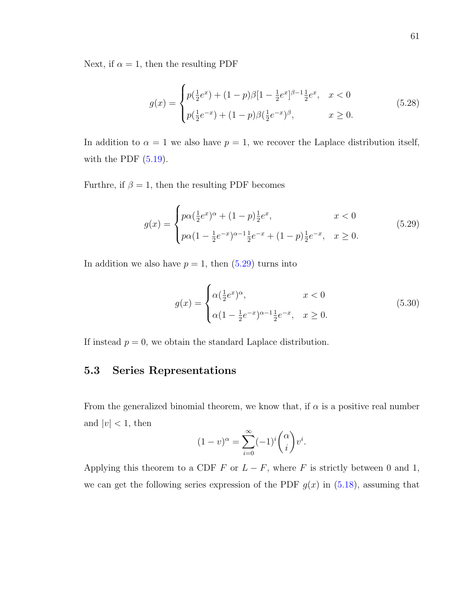Next, if  $\alpha = 1$ , then the resulting PDF

$$
g(x) = \begin{cases} p(\frac{1}{2}e^x) + (1-p)\beta[1 - \frac{1}{2}e^x]^{\beta - 1}\frac{1}{2}e^x, & x < 0\\ p(\frac{1}{2}e^{-x}) + (1-p)\beta(\frac{1}{2}e^{-x})^{\beta}, & x \ge 0. \end{cases}
$$
(5.28)

In addition to  $\alpha = 1$  we also have  $p = 1$ , we recover the Laplace distribution itself, with the PDF  $(5.19)$ .

Furthre, if  $\beta = 1$ , then the resulting PDF becomes

<span id="page-70-0"></span>
$$
g(x) = \begin{cases} p\alpha(\frac{1}{2}e^x)^{\alpha} + (1-p)\frac{1}{2}e^x, & x < 0\\ p\alpha(1 - \frac{1}{2}e^{-x})^{\alpha-1}\frac{1}{2}e^{-x} + (1-p)\frac{1}{2}e^{-x}, & x \ge 0. \end{cases}
$$
(5.29)

In addition we also have  $p = 1$ , then  $(5.29)$  turns into

$$
g(x) = \begin{cases} \alpha(\frac{1}{2}e^x)^{\alpha}, & x < 0\\ \alpha(1 - \frac{1}{2}e^{-x})^{\alpha - 1}\frac{1}{2}e^{-x}, & x \ge 0. \end{cases}
$$
(5.30)

If instead  $p = 0$ , we obtain the standard Laplace distribution.

#### 5.3 Series Representations

From the generalized binomial theorem, we know that, if  $\alpha$  is a positive real number and  $|v| < 1$ , then

$$
(1-v)^{\alpha} = \sum_{i=0}^{\infty} (-1)^i {\alpha \choose i} v^i.
$$

Applying this theorem to a CDF F or  $L - F$ , where F is strictly between 0 and 1, we can get the following series expression of the PDF  $g(x)$  in  $(5.18)$ , assuming that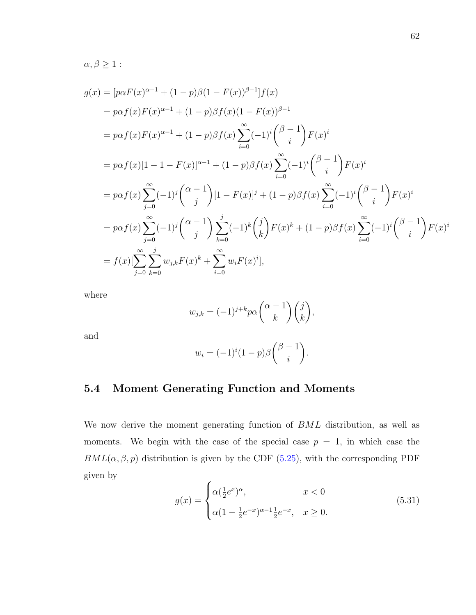$$
\alpha,\beta\geq 1:
$$

$$
g(x) = [p\alpha F(x)^{\alpha-1} + (1-p)\beta(1 - F(x))^{\beta-1}]f(x)
$$
  
\n
$$
= p\alpha f(x)F(x)^{\alpha-1} + (1-p)\beta f(x)(1 - F(x))^{\beta-1}
$$
  
\n
$$
= p\alpha f(x)F(x)^{\alpha-1} + (1-p)\beta f(x)\sum_{i=0}^{\infty} (-1)^{i} {(\beta-1) \choose i}F(x)^{i}
$$
  
\n
$$
= p\alpha f(x)[1 - 1 - F(x)]^{\alpha-1} + (1-p)\beta f(x)\sum_{i=0}^{\infty} (-1)^{i} {(\beta-1) \choose i}F(x)^{i}
$$
  
\n
$$
= p\alpha f(x)\sum_{j=0}^{\infty} (-1)^{j} {(\alpha-1) \choose j} [1 - F(x)]^{j} + (1-p)\beta f(x)\sum_{i=0}^{\infty} (-1)^{i} {(\beta-1) \choose i}F(x)^{i}
$$
  
\n
$$
= p\alpha f(x)\sum_{j=0}^{\infty} (-1)^{j} {(\alpha-1) \choose j} \sum_{k=0}^{j} (-1)^{k} {j \choose k}F(x)^{k} + (1-p)\beta f(x)\sum_{i=0}^{\infty} (-1)^{i} {(\beta-1) \choose i}F(x)^{i}
$$
  
\n
$$
= f(x)[\sum_{j=0}^{\infty} \sum_{k=0}^{j} w_{j,k}F(x)^{k} + \sum_{i=0}^{\infty} w_{i}F(x)^{i}],
$$

where

$$
w_{j,k} = (-1)^{j+k} p\alpha \binom{\alpha-1}{k} \binom{j}{k},
$$

and

$$
w_i = (-1)^i (1-p)\beta \binom{\beta-1}{i}.
$$

# 5.4 Moment Generating Function and Moments

We now derive the moment generating function of BML distribution, as well as moments. We begin with the case of the special case  $p = 1$ , in which case the  $BML(\alpha, \beta, p)$  distribution is given by the CDF [\(5.25\)](#page-69-0), with the corresponding PDF given by  $\lambda$ 

$$
g(x) = \begin{cases} \alpha(\frac{1}{2}e^x)^{\alpha}, & x < 0\\ \alpha(1 - \frac{1}{2}e^{-x})^{\alpha - 1}\frac{1}{2}e^{-x}, & x \ge 0. \end{cases}
$$
(5.31)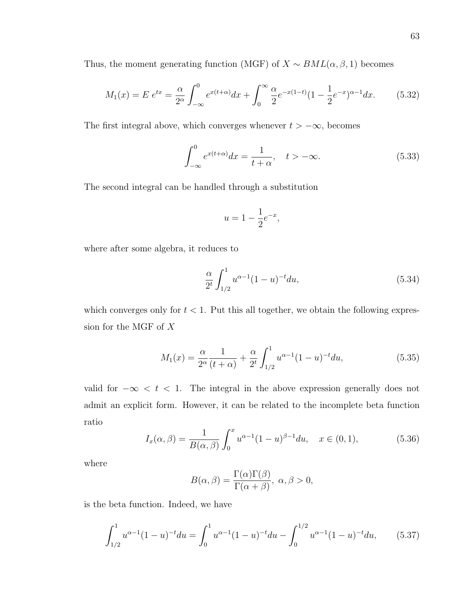Thus, the moment generating function (MGF) of  $X \sim BML(\alpha, \beta, 1)$  becomes

$$
M_1(x) = E e^{tx} = \frac{\alpha}{2^{\alpha}} \int_{-\infty}^0 e^{x(t+\alpha)} dx + \int_0^{\infty} \frac{\alpha}{2} e^{-x(1-t)} (1 - \frac{1}{2} e^{-x})^{\alpha - 1} dx.
$$
 (5.32)

The first integral above, which converges whenever  $t > -\infty$ , becomes

$$
\int_{-\infty}^{0} e^{x(t+\alpha)} dx = \frac{1}{t+\alpha}, \quad t > -\infty.
$$
 (5.33)

The second integral can be handled through a substitution

$$
u = 1 - \frac{1}{2}e^{-x},
$$

where after some algebra, it reduces to

$$
\frac{\alpha}{2^t} \int_{1/2}^1 u^{\alpha - 1} (1 - u)^{-t} du,\tag{5.34}
$$

which converges only for  $t < 1$ . Put this all together, we obtain the following expression for the MGF of X

<span id="page-72-0"></span>
$$
M_1(x) = \frac{\alpha}{2^{\alpha}} \frac{1}{(t+\alpha)} + \frac{\alpha}{2^t} \int_{1/2}^1 u^{\alpha-1} (1-u)^{-t} du,
$$
\n(5.35)

valid for  $-\infty < t < 1$ . The integral in the above expression generally does not admit an explicit form. However, it can be related to the incomplete beta function ratio

$$
I_x(\alpha, \beta) = \frac{1}{B(\alpha, \beta)} \int_0^x u^{\alpha - 1} (1 - u)^{\beta - 1} du, \quad x \in (0, 1),
$$
 (5.36)

where

$$
B(\alpha, \beta) = \frac{\Gamma(\alpha)\Gamma(\beta)}{\Gamma(\alpha + \beta)}, \ \alpha, \beta > 0,
$$

is the beta function. Indeed, we have

$$
\int_{1/2}^{1} u^{\alpha - 1} (1 - u)^{-t} du = \int_{0}^{1} u^{\alpha - 1} (1 - u)^{-t} du - \int_{0}^{1/2} u^{\alpha - 1} (1 - u)^{-t} du,
$$
 (5.37)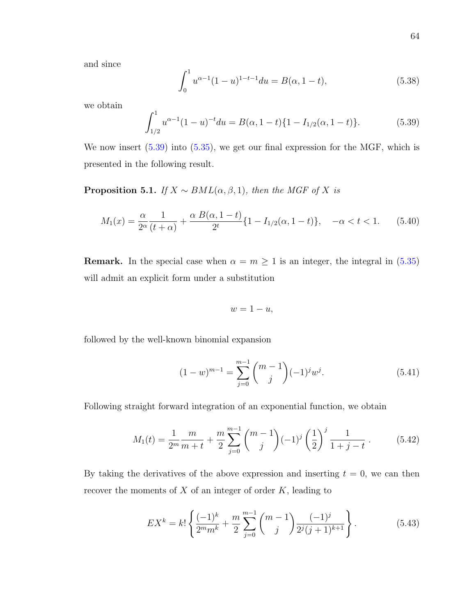and since

$$
\int_0^1 u^{\alpha - 1} (1 - u)^{1 - t - 1} du = B(\alpha, 1 - t),
$$
\n(5.38)

we obtain

<span id="page-73-0"></span>
$$
\int_{1/2}^{1} u^{\alpha - 1} (1 - u)^{-t} du = B(\alpha, 1 - t) \{1 - I_{1/2}(\alpha, 1 - t)\}.
$$
 (5.39)

We now insert  $(5.39)$  into  $(5.35)$ , we get our final expression for the MGF, which is presented in the following result.

**Proposition 5.1.** If  $X \sim BML(\alpha, \beta, 1)$ , then the MGF of X is

<span id="page-73-1"></span>
$$
M_1(x) = \frac{\alpha}{2^{\alpha}} \frac{1}{(t+\alpha)} + \frac{\alpha B(\alpha, 1-t)}{2^t} \{1 - I_{1/2}(\alpha, 1-t)\}, \quad -\alpha < t < 1. \tag{5.40}
$$

**Remark.** In the special case when  $\alpha = m \ge 1$  is an integer, the integral in [\(5.35\)](#page-72-0) will admit an explicit form under a substitution

$$
w=1-u,
$$

followed by the well-known binomial expansion

$$
(1-w)^{m-1} = \sum_{j=0}^{m-1} \binom{m-1}{j} (-1)^j w^j.
$$
 (5.41)

Following straight forward integration of an exponential function, we obtain

$$
M_1(t) = \frac{1}{2^m} \frac{m}{m+t} + \frac{m}{2} \sum_{j=0}^{m-1} {m-1 \choose j} (-1)^j \left(\frac{1}{2}\right)^j \frac{1}{1+j-t}.
$$
 (5.42)

By taking the derivatives of the above expression and inserting  $t = 0$ , we can then recover the moments of  $X$  of an integer of order  $K$ , leading to

<span id="page-73-2"></span>
$$
EX^{k} = k! \left\{ \frac{(-1)^{k}}{2^{m} m^{k}} + \frac{m}{2} \sum_{j=0}^{m-1} {m-1 \choose j} \frac{(-1)^{j}}{2^{j} (j+1)^{k+1}} \right\}.
$$
 (5.43)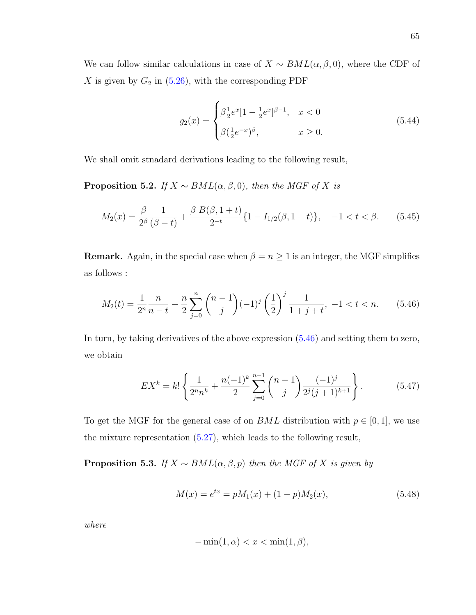We can follow similar calculations in case of  $X \sim BML(\alpha, \beta, 0)$ , where the CDF of  $X$  is given by  $G_2$  in [\(5.26\)](#page-69-0), with the corresponding PDF

$$
g_2(x) = \begin{cases} \beta \frac{1}{2} e^x [1 - \frac{1}{2} e^x]^{\beta - 1}, & x < 0 \\ \beta (\frac{1}{2} e^{-x})^{\beta}, & x \ge 0. \end{cases}
$$
(5.44)

We shall omit stnadard derivations leading to the following result,

**Proposition 5.2.** If  $X \sim BML(\alpha, \beta, 0)$ , then the MGF of X is

<span id="page-74-1"></span>
$$
M_2(x) = \frac{\beta}{2^{\beta}} \frac{1}{(\beta - t)} + \frac{\beta B(\beta, 1 + t)}{2^{-t}} \{1 - I_{1/2}(\beta, 1 + t)\}, \quad -1 < t < \beta.
$$
 (5.45)

**Remark.** Again, in the special case when  $\beta = n \geq 1$  is an integer, the MGF simplifies as follows :

<span id="page-74-0"></span>
$$
M_2(t) = \frac{1}{2^n} \frac{n}{n-t} + \frac{n}{2} \sum_{j=0}^n \binom{n-1}{j} (-1)^j \left(\frac{1}{2}\right)^j \frac{1}{1+j+t}, \ -1 < t < n. \tag{5.46}
$$

In turn, by taking derivatives of the above expression [\(5.46\)](#page-74-0) and setting them to zero, we obtain

<span id="page-74-2"></span>
$$
EX^{k} = k! \left\{ \frac{1}{2^{n}n^{k}} + \frac{n(-1)^{k}}{2} \sum_{j=0}^{n-1} {n-1 \choose j} \frac{(-1)^{j}}{2^{j}(j+1)^{k+1}} \right\}.
$$
 (5.47)

To get the MGF for the general case of on  $BML$  distribution with  $p \in [0,1]$ , we use the mixture representation [\(5.27\)](#page-69-1), which leads to the following result,

**Proposition 5.3.** If  $X \sim BML(\alpha, \beta, p)$  then the MGF of X is given by

$$
M(x) = e^{tx} = pM_1(x) + (1 - p)M_2(x),
$$
\n(5.48)

where

$$
-\min(1,\alpha) < x < \min(1,\beta),
$$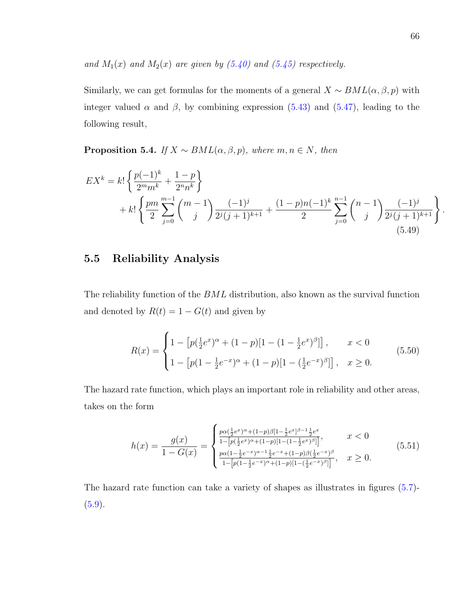and  $M_1(x)$  and  $M_2(x)$  are given by  $(5.40)$  and  $(5.45)$  respectively.

Similarly, we can get formulas for the moments of a general  $X \sim BML(\alpha, \beta, p)$  with integer valued  $\alpha$  and  $\beta$ , by combining expression [\(5.43\)](#page-73-2) and [\(5.47\)](#page-74-2), leading to the following result,

**Proposition 5.4.** If  $X \sim BML(\alpha, \beta, p)$ , where  $m, n \in N$ , then

$$
EX^{k} = k! \left\{ \frac{p(-1)^{k}}{2^{m} m^{k}} + \frac{1-p}{2^{n} n^{k}} \right\}
$$
  
+  $k! \left\{ \frac{pm}{2} \sum_{j=0}^{m-1} {m-1 \choose j} \frac{(-1)^{j}}{2^{j} (j+1)^{k+1}} + \frac{(1-p)n(-1)^{k}}{2} \sum_{j=0}^{n-1} {n-1 \choose j} \frac{(-1)^{j}}{2^{j} (j+1)^{k+1}} \right\}.$   
(5.49)

#### 5.5 Reliability Analysis

The reliability function of the BML distribution, also known as the survival function and denoted by  $R(t) = 1 - G(t)$  and given by

$$
R(x) = \begin{cases} 1 - \left[ p(\frac{1}{2}e^x)^{\alpha} + (1-p)[1 - (1-\frac{1}{2}e^x)^{\beta}] \right], & x < 0 \\ 1 - \left[ p(1-\frac{1}{2}e^{-x})^{\alpha} + (1-p)[1 - (\frac{1}{2}e^{-x})^{\beta}] \right], & x \ge 0. \end{cases}
$$
(5.50)

The hazard rate function, which plays an important role in reliability and other areas, takes on the form

$$
h(x) = \frac{g(x)}{1 - G(x)} = \begin{cases} \frac{p\alpha(\frac{1}{2}e^x)^{\alpha} + (1-p)\beta[1 - \frac{1}{2}e^x]^{\beta - 1}\frac{1}{2}e^x}{1 - [p(\frac{1}{2}e^x)^{\alpha} + (1-p)[1 - (1 - \frac{1}{2}e^x)^{\beta}]]}, & x < 0\\ \frac{p\alpha(1 - \frac{1}{2}e^{-x})^{\alpha - 1}\frac{1}{2}e^{-x} + (1-p)\beta(\frac{1}{2}e^{-x})^{\beta}}{1 - [p(1 - \frac{1}{2}e^{-x})^{\alpha} + (1-p)[1 - (\frac{1}{2}e^{-x})^{\beta}]]}, & x \ge 0. \end{cases}
$$
(5.51)

The hazard rate function can take a variety of shapes as illustrates in figures [\(5.7\)](#page-76-0)-  $(5.9).$  $(5.9).$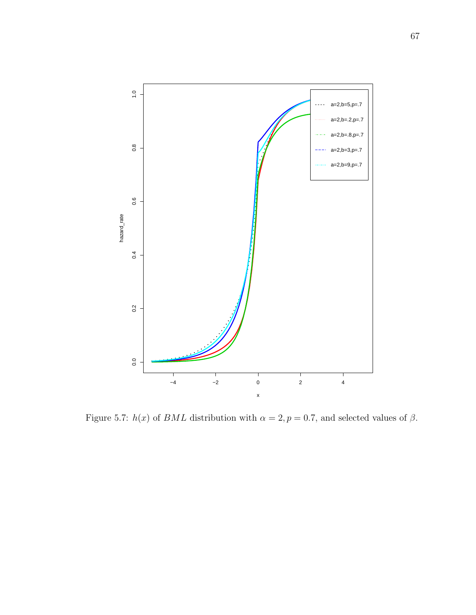<span id="page-76-0"></span>

Figure 5.7:  $h(x)$  of BML distribution with  $\alpha = 2, p = 0.7$ , and selected values of  $\beta$ .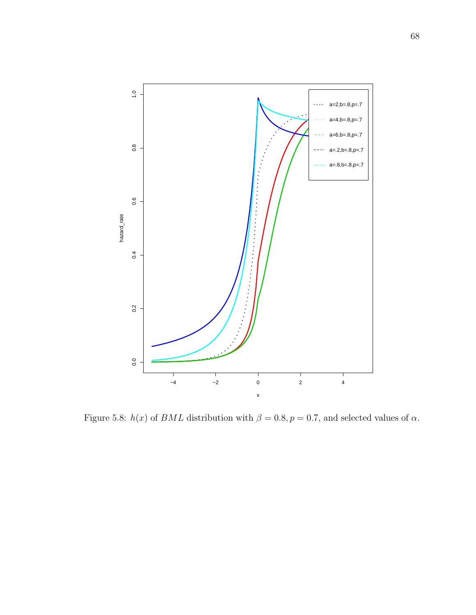

Figure 5.8:  $h(x)$  of BML distribution with  $\beta = 0.8, p = 0.7$ , and selected values of  $\alpha$ .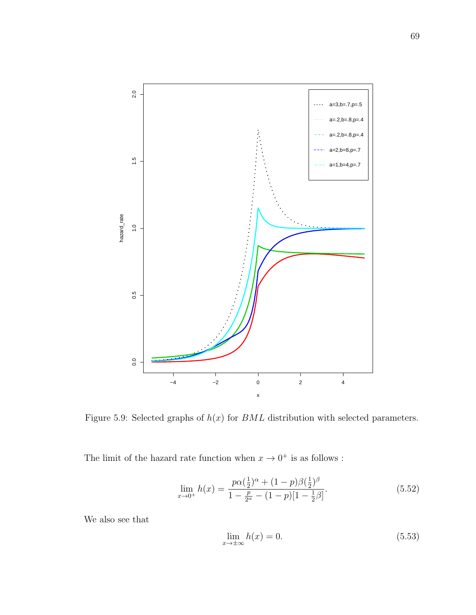<span id="page-78-0"></span>

Figure 5.9: Selected graphs of  $h(x)$  for  $BML$  distribution with selected parameters.

The limit of the hazard rate function when  $x \to 0^+$  is as follows :

$$
\lim_{x \to 0^{+}} h(x) = \frac{p\alpha(\frac{1}{2})^{\alpha} + (1 - p)\beta(\frac{1}{2})^{\beta}}{1 - \frac{p}{2^{\alpha}} - (1 - p)[1 - \frac{1}{2}\beta]}.
$$
\n(5.52)

We also see that

$$
\lim_{x \to \pm \infty} h(x) = 0. \tag{5.53}
$$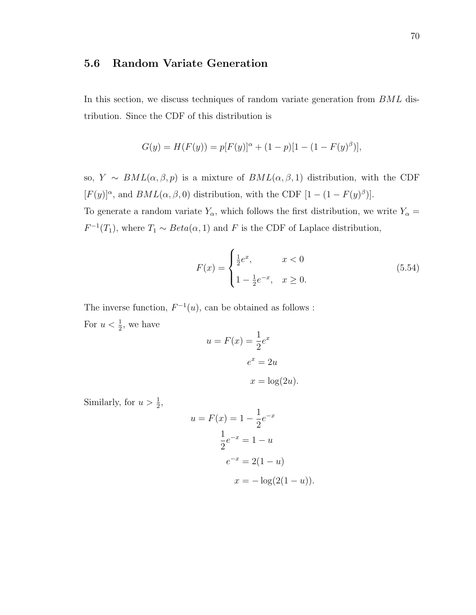#### 5.6 Random Variate Generation

In this section, we discuss techniques of random variate generation from  $BML$  distribution. Since the CDF of this distribution is

$$
G(y) = H(F(y)) = p[F(y)]^{\alpha} + (1 - p)[1 - (1 - F(y)^{\beta})],
$$

so,  $Y \sim BML(\alpha, \beta, p)$  is a mixture of  $BML(\alpha, \beta, 1)$  distribution, with the CDF  $[F(y)]^{\alpha}$ , and  $BML(\alpha, \beta, 0)$  distribution, with the CDF  $[1 - (1 - F(y)^{\beta})]$ .

To generate a random variate  $Y_{\alpha}$ , which follows the first distribution, we write  $Y_{\alpha} =$  $F^{-1}(T_1)$ , where  $T_1 \sim Beta(\alpha, 1)$  and F is the CDF of Laplace distribution,

$$
F(x) = \begin{cases} \frac{1}{2}e^x, & x < 0\\ 1 - \frac{1}{2}e^{-x}, & x \ge 0. \end{cases}
$$
 (5.54)

The inverse function,  $F^{-1}(u)$ , can be obtained as follows : For  $u < \frac{1}{2}$ , we have

$$
u = F(x) = \frac{1}{2}e^x
$$

$$
e^x = 2u
$$

$$
x = \log(2u).
$$

Similarly, for  $u > \frac{1}{2}$ ,

$$
u = F(x) = 1 - \frac{1}{2}e^{-x}
$$

$$
\frac{1}{2}e^{-x} = 1 - u
$$

$$
e^{-x} = 2(1 - u)
$$

$$
x = -\log(2(1 - u)).
$$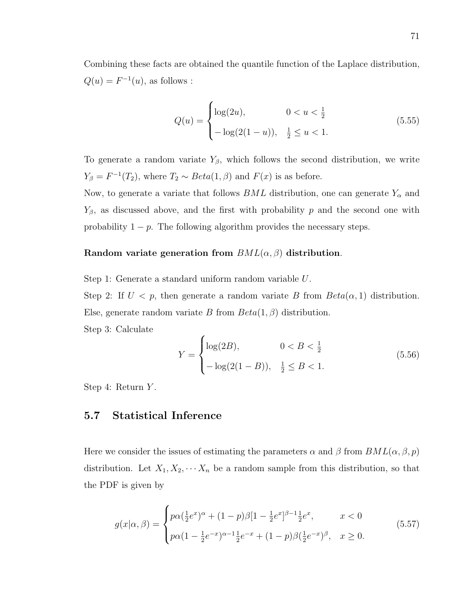Combining these facts are obtained the quantile function of the Laplace distribution,  $Q(u) = F^{-1}(u)$ , as follows :

$$
Q(u) = \begin{cases} \log(2u), & 0 < u < \frac{1}{2} \\ -\log(2(1-u)), & \frac{1}{2} \le u < 1. \end{cases}
$$
(5.55)

To generate a random variate  $Y_\beta$ , which follows the second distribution, we write  $Y_{\beta} = F^{-1}(T_2)$ , where  $T_2 \sim Beta(1, \beta)$  and  $F(x)$  is as before.

Now, to generate a variate that follows  $BML$  distribution, one can generate  $Y_{\alpha}$  and  $Y_{\beta}$ , as discussed above, and the first with probability p and the second one with probability  $1 - p$ . The following algorithm provides the necessary steps.

#### Random variate generation from  $BML(\alpha, \beta)$  distribution.

Step 1: Generate a standard uniform random variable U.

Step 2: If  $U < p$ , then generate a random variate B from  $Beta(\alpha, 1)$  distribution. Else, generate random variate B from  $Beta(1,\beta)$  distribution. Step 3: Calculate

$$
Y = \begin{cases} \log(2B), & 0 < B < \frac{1}{2} \\ -\log(2(1-B)), & \frac{1}{2} \le B < 1. \end{cases}
$$
(5.56)

Step 4: Return Y.

#### 5.7 Statistical Inference

Here we consider the issues of estimating the parameters  $\alpha$  and  $\beta$  from  $BML(\alpha, \beta, p)$ distribution. Let  $X_1, X_2, \cdots, X_n$  be a random sample from this distribution, so that the PDF is given by

<span id="page-80-0"></span>
$$
g(x|\alpha,\beta) = \begin{cases} p\alpha(\frac{1}{2}e^x)^{\alpha} + (1-p)\beta[1-\frac{1}{2}e^x]^{\beta-1}\frac{1}{2}e^x, & x < 0\\ p\alpha(1-\frac{1}{2}e^{-x})^{\alpha-1}\frac{1}{2}e^{-x} + (1-p)\beta(\frac{1}{2}e^{-x})^{\beta}, & x \ge 0. \end{cases}
$$
(5.57)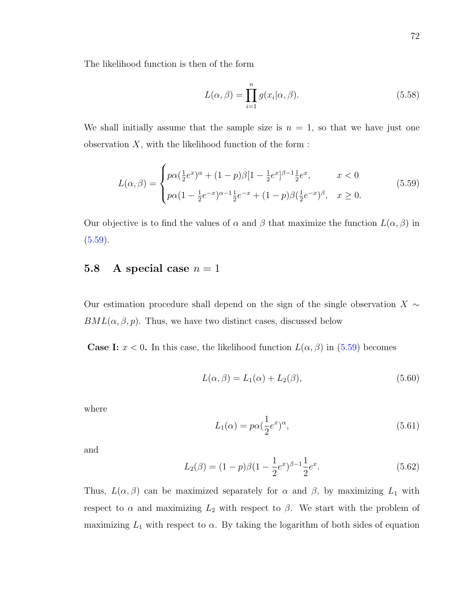The likelihood function is then of the form

<span id="page-81-3"></span>
$$
L(\alpha, \beta) = \prod_{i=1}^{n} g(x_i | \alpha, \beta).
$$
 (5.58)

We shall initially assume that the sample size is  $n = 1$ , so that we have just one observation  $X$ , with the likelihood function of the form :

<span id="page-81-0"></span>
$$
L(\alpha, \beta) = \begin{cases} p\alpha(\frac{1}{2}e^x)^{\alpha} + (1-p)\beta[1-\frac{1}{2}e^x]^{\beta-1}\frac{1}{2}e^x, & x < 0\\ p\alpha(1-\frac{1}{2}e^{-x})^{\alpha-1}\frac{1}{2}e^{-x} + (1-p)\beta(\frac{1}{2}e^{-x})^{\beta}, & x \ge 0. \end{cases}
$$
(5.59)

Our objective is to find the values of  $\alpha$  and  $\beta$  that maximize the function  $L(\alpha, \beta)$  in  $(5.59).$  $(5.59).$ 

#### 5.8 A special case  $n = 1$

Our estimation procedure shall depend on the sign of the single observation  $X \sim$  $BML(\alpha, \beta, p)$ . Thus, we have two distinct cases, discussed below

**Case I:**  $x < 0$ . In this case, the likelihood function  $L(\alpha, \beta)$  in [\(5.59\)](#page-81-0) becomes

$$
L(\alpha, \beta) = L_1(\alpha) + L_2(\beta), \qquad (5.60)
$$

where

<span id="page-81-1"></span>
$$
L_1(\alpha) = p\alpha \left(\frac{1}{2}e^x\right)^\alpha, \tag{5.61}
$$

and

<span id="page-81-2"></span>
$$
L_2(\beta) = (1 - p)\beta(1 - \frac{1}{2}e^x)^{\beta - 1}\frac{1}{2}e^x.
$$
\n(5.62)

Thus,  $L(\alpha, \beta)$  can be maximized separately for  $\alpha$  and  $\beta$ , by maximizing  $L_1$  with respect to  $\alpha$  and maximizing  $L_2$  with respect to  $\beta$ . We start with the problem of maximizing  $L_1$  with respect to  $\alpha$ . By taking the logarithm of both sides of equation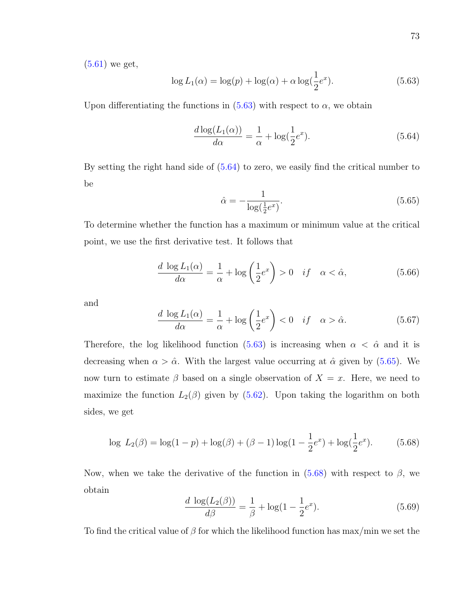[\(5.61\)](#page-81-1) we get,

<span id="page-82-0"></span>
$$
\log L_1(\alpha) = \log(p) + \log(\alpha) + \alpha \log(\frac{1}{2}e^x). \tag{5.63}
$$

Upon differentiating the functions in  $(5.63)$  with respect to  $\alpha$ , we obtain

<span id="page-82-1"></span>
$$
\frac{d \log(L_1(\alpha))}{d \alpha} = \frac{1}{\alpha} + \log(\frac{1}{2}e^x). \tag{5.64}
$$

By setting the right hand side of [\(5.64\)](#page-82-1) to zero, we easily find the critical number to be

<span id="page-82-2"></span>
$$
\hat{\alpha} = -\frac{1}{\log(\frac{1}{2}e^x)}.\tag{5.65}
$$

To determine whether the function has a maximum or minimum value at the critical point, we use the first derivative test. It follows that

$$
\frac{d \log L_1(\alpha)}{d\alpha} = \frac{1}{\alpha} + \log\left(\frac{1}{2}e^x\right) > 0 \quad \text{if} \quad \alpha < \hat{\alpha},\tag{5.66}
$$

and

$$
\frac{d \log L_1(\alpha)}{d\alpha} = \frac{1}{\alpha} + \log\left(\frac{1}{2}e^x\right) < 0 \quad \text{if} \quad \alpha > \hat{\alpha}.\tag{5.67}
$$

Therefore, the log likelihood function [\(5.63\)](#page-82-0) is increasing when  $\alpha < \hat{\alpha}$  and it is decreasing when  $\alpha > \hat{\alpha}$ . With the largest value occurring at  $\hat{\alpha}$  given by [\(5.65\)](#page-82-2). We now turn to estimate  $\beta$  based on a single observation of  $X = x$ . Here, we need to maximize the function  $L_2(\beta)$  given by [\(5.62\)](#page-81-2). Upon taking the logarithm on both sides, we get

<span id="page-82-3"></span>
$$
\log L_2(\beta) = \log(1 - p) + \log(\beta) + (\beta - 1)\log(1 - \frac{1}{2}e^x) + \log(\frac{1}{2}e^x). \tag{5.68}
$$

Now, when we take the derivative of the function in  $(5.68)$  with respect to  $\beta$ , we obtain

<span id="page-82-4"></span>
$$
\frac{d \log(L_2(\beta))}{d\beta} = \frac{1}{\beta} + \log(1 - \frac{1}{2}e^x).
$$
 (5.69)

To find the critical value of  $\beta$  for which the likelihood function has max/min we set the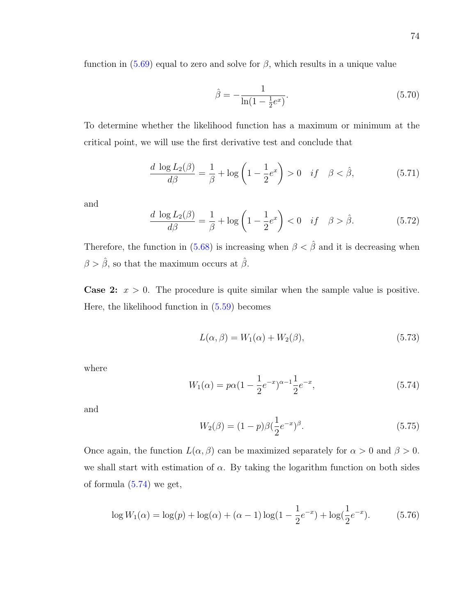function in  $(5.69)$  equal to zero and solve for  $\beta$ , which results in a unique value

$$
\hat{\beta} = -\frac{1}{\ln(1 - \frac{1}{2}e^x)}.\tag{5.70}
$$

To determine whether the likelihood function has a maximum or minimum at the critical point, we will use the first derivative test and conclude that

$$
\frac{d \log L_2(\beta)}{d\beta} = \frac{1}{\beta} + \log\left(1 - \frac{1}{2}e^x\right) > 0 \quad \text{if} \quad \beta < \hat{\beta},\tag{5.71}
$$

and

$$
\frac{d \log L_2(\beta)}{d\beta} = \frac{1}{\beta} + \log \left( 1 - \frac{1}{2} e^x \right) < 0 \quad \text{if} \quad \beta > \hat{\beta}.\tag{5.72}
$$

Therefore, the function in [\(5.68\)](#page-82-3) is increasing when  $\beta < \hat{\beta}$  and it is decreasing when  $\beta > \hat{\beta},$  so that the maximum occurs at  $\hat{\beta}.$ 

**Case 2:**  $x > 0$ . The procedure is quite similar when the sample value is positive. Here, the likelihood function in [\(5.59\)](#page-81-0) becomes

$$
L(\alpha, \beta) = W_1(\alpha) + W_2(\beta), \qquad (5.73)
$$

where

<span id="page-83-0"></span>
$$
W_1(\alpha) = p\alpha (1 - \frac{1}{2}e^{-x})^{\alpha - 1} \frac{1}{2}e^{-x},
$$
\n(5.74)

and

<span id="page-83-1"></span>
$$
W_2(\beta) = (1 - p)\beta \left(\frac{1}{2}e^{-x}\right)^{\beta}.
$$
\n(5.75)

Once again, the function  $L(\alpha, \beta)$  can be maximized separately for  $\alpha > 0$  and  $\beta > 0$ . we shall start with estimation of  $\alpha$ . By taking the logarithm function on both sides of formula  $(5.74)$  we get,

$$
\log W_1(\alpha) = \log(p) + \log(\alpha) + (\alpha - 1)\log(1 - \frac{1}{2}e^{-x}) + \log(\frac{1}{2}e^{-x}).
$$
 (5.76)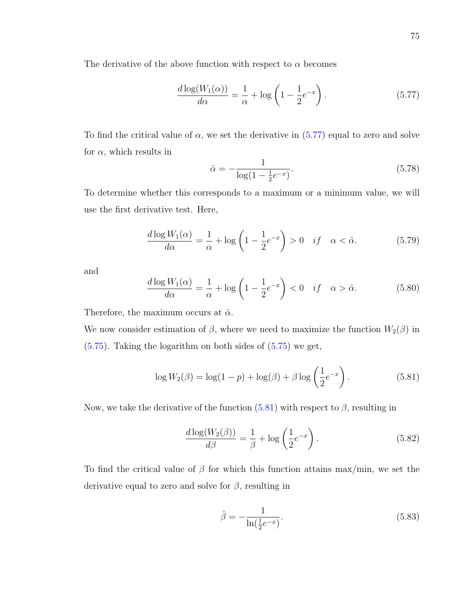The derivative of the above function with respect to  $\alpha$  becomes

<span id="page-84-0"></span>
$$
\frac{d \log(W_1(\alpha))}{d \alpha} = \frac{1}{\alpha} + \log\left(1 - \frac{1}{2}e^{-x}\right). \tag{5.77}
$$

To find the critical value of  $\alpha$ , we set the derivative in  $(5.77)$  equal to zero and solve for  $\alpha$ , which results in

$$
\hat{\alpha} = -\frac{1}{\log(1 - \frac{1}{2}e^{-x})}.\tag{5.78}
$$

To determine whether this corresponds to a maximum or a minimum value, we will use the first derivative test. Here,

$$
\frac{d\log W_1(\alpha)}{d\alpha} = \frac{1}{\alpha} + \log\left(1 - \frac{1}{2}e^{-x}\right) > 0 \quad \text{if} \quad \alpha < \hat{\alpha}.\tag{5.79}
$$

and

$$
\frac{d \log W_1(\alpha)}{d \alpha} = \frac{1}{\alpha} + \log \left( 1 - \frac{1}{2} e^{-x} \right) < 0 \quad \text{if} \quad \alpha > \hat{\alpha}.\tag{5.80}
$$

Therefore, the maximum occurs at  $\hat{\alpha}$ .

We now consider estimation of  $\beta$ , where we need to maximize the function  $W_2(\beta)$  in [\(5.75\)](#page-83-1). Taking the logarithm on both sides of [\(5.75\)](#page-83-1) we get,

<span id="page-84-1"></span>
$$
\log W_2(\beta) = \log(1 - p) + \log(\beta) + \beta \log \left(\frac{1}{2}e^{-x}\right).
$$
 (5.81)

Now, we take the derivative of the function  $(5.81)$  with respect to  $\beta$ , resulting in

$$
\frac{d \log(W_2(\beta))}{d \beta} = \frac{1}{\beta} + \log\left(\frac{1}{2}e^{-x}\right). \tag{5.82}
$$

To find the critical value of  $\beta$  for which this function attains max/min, we set the derivative equal to zero and solve for  $\beta$ , resulting in

<span id="page-84-2"></span>
$$
\hat{\beta} = -\frac{1}{\ln(\frac{1}{2}e^{-x})}.
$$
\n(5.83)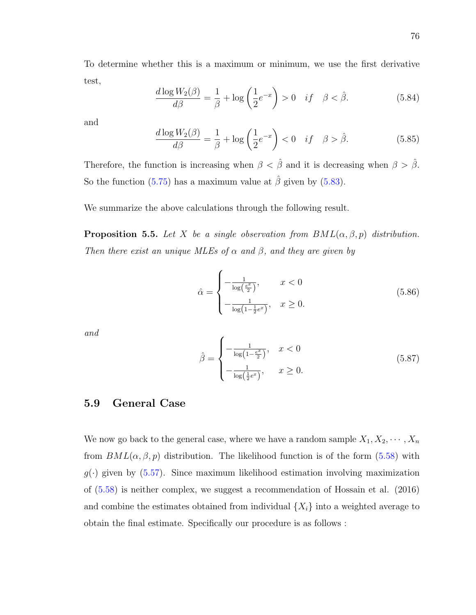To determine whether this is a maximum or minimum, we use the first derivative test,

$$
\frac{d \log W_2(\beta)}{d \beta} = \frac{1}{\beta} + \log \left( \frac{1}{2} e^{-x} \right) > 0 \quad if \quad \beta < \hat{\beta}.
$$
 (5.84)

and

$$
\frac{d\log W_2(\beta)}{d\beta} = \frac{1}{\beta} + \log\left(\frac{1}{2}e^{-x}\right) < 0 \quad \text{if} \quad \beta > \hat{\beta}.\tag{5.85}
$$

Therefore, the function is increasing when  $\beta < \hat{\beta}$  and it is decreasing when  $\beta > \hat{\beta}$ . So the function [\(5.75\)](#page-83-1) has a maximum value at  $\hat{\beta}$  given by [\(5.83\)](#page-84-2).

We summarize the above calculations through the following result.

<span id="page-85-2"></span>**Proposition 5.5.** Let X be a single observation from  $BML(\alpha, \beta, p)$  distribution. Then there exist an unique MLEs of  $\alpha$  and  $\beta$ , and they are given by

<span id="page-85-0"></span>
$$
\hat{\alpha} = \begin{cases}\n-\frac{1}{\log\left(\frac{e^x}{2}\right)}, & x < 0 \\
-\frac{1}{\log\left(1 - \frac{1}{2}e^x\right)}, & x \ge 0.\n\end{cases}
$$
\n(5.86)

and

<span id="page-85-1"></span>
$$
\hat{\beta} = \begin{cases}\n-\frac{1}{\log\left(1 - \frac{e^x}{2}\right)}, & x < 0 \\
-\frac{1}{\log\left(\frac{1}{2}e^x\right)}, & x \ge 0.\n\end{cases}
$$
\n(5.87)

#### 5.9 General Case

We now go back to the general case, where we have a random sample  $X_1, X_2, \cdots, X_n$ from  $BML(\alpha, \beta, p)$  distribution. The likelihood function is of the form [\(5.58\)](#page-81-3) with  $g(\cdot)$  given by [\(5.57\)](#page-80-0). Since maximum likelihood estimation involving maximization of [\(5.58\)](#page-81-3) is neither complex, we suggest a recommendation of Hossain et al. (2016) and combine the estimates obtained from individual  $\{X_i\}$  into a weighted average to obtain the final estimate. Specifically our procedure is as follows :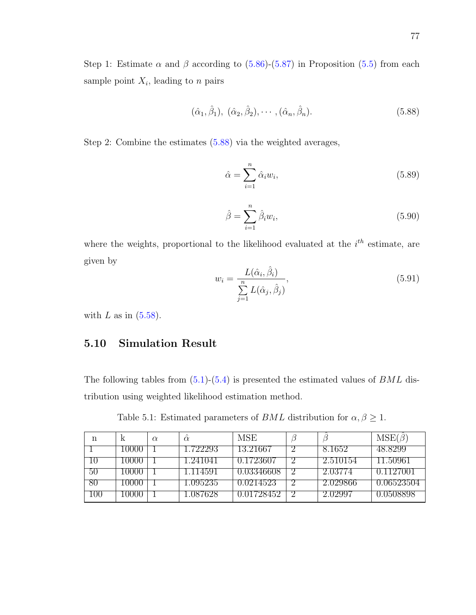Step 1: Estimate  $\alpha$  and  $\beta$  according to [\(5.86\)](#page-85-0)-[\(5.87\)](#page-85-1) in Proposition [\(5.5\)](#page-85-2) from each sample point  $X_i$ , leading to n pairs

<span id="page-86-0"></span>
$$
(\hat{\alpha}_1, \hat{\beta}_1), (\hat{\alpha}_2, \hat{\beta}_2), \cdots, (\hat{\alpha}_n, \hat{\beta}_n).
$$
 (5.88)

Step 2: Combine the estimates [\(5.88\)](#page-86-0) via the weighted averages,

$$
\hat{\alpha} = \sum_{i=1}^{n} \hat{\alpha}_i w_i,
$$
\n(5.89)

$$
\hat{\beta} = \sum_{i=1}^{n} \hat{\beta}_i w_i,
$$
\n(5.90)

where the weights, proportional to the likelihood evaluated at the  $i<sup>th</sup>$  estimate, are given by

$$
w_i = \frac{L(\hat{\alpha}_i, \hat{\beta}_i)}{\sum\limits_{j=1}^n L(\hat{\alpha}_j, \hat{\beta}_j)},
$$
\n(5.91)

with  $L$  as in  $(5.58)$ .

### 5.10 Simulation Result

The following tables from  $(5.1)-(5.4)$  $(5.1)-(5.4)$  is presented the estimated values of *BML* distribution using weighted likelihood estimation method.

Table 5.1: Estimated parameters of  $BML$  distribution for  $\alpha, \beta \geq 1$ .

<span id="page-86-1"></span>

| n   | K     | $\alpha$ | $\alpha$ | <b>MSE</b> |          | $MSE(\beta)$ |
|-----|-------|----------|----------|------------|----------|--------------|
|     | LOOOO |          | .722293  | 13.21667   | 8.1652   | 48.8299      |
| IU. | 10000 |          | 241041   | 0.1723607  | 2.510154 | 11.50961     |
| 50  | 10000 |          | 114591   | 0.03346608 | 2.03774  | 0.1127001    |
| 80  | 10000 |          | 1.095235 | 0.0214523  | 2.029866 | 0.06523504   |
| 100 | -0000 |          | .087628  | 0.01728452 | 2.02997  | 9.0508898    |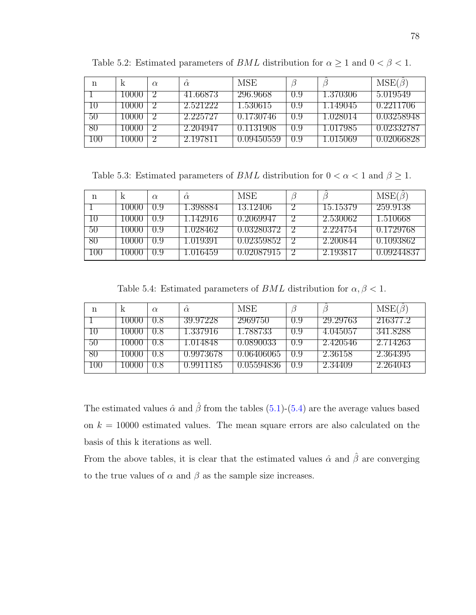| n   | k     | $\alpha$ | $\hat{\alpha}$ | <b>MSE</b> |       |                 | $MSE(\beta)$ |
|-----|-------|----------|----------------|------------|-------|-----------------|--------------|
|     | 10000 |          | 41.66873       | 296.9668   | (0.9) | 1.370306        | 5.019549     |
| ПU  | 10000 |          | 2.521222       | 1.530615   | (1.9) | 1.149045        | 0.2211706    |
| 50  | 10000 |          | 2.225727       | 0.1730746  | 0.9   | 1.028014        | 0.03258948   |
| 80  | 10000 |          | 2.204947       | 0.1131908  | 0.9   | 1.017985        | 0.02332787   |
| 100 | 10000 |          | 2.197811       | 0.09450559 | 0.9   | <b>U.015069</b> | 0.02066828   |

Table 5.2: Estimated parameters of *BML* distribution for  $\alpha \geq 1$  and  $0 < \beta < 1$ .

Table 5.3: Estimated parameters of *BML* distribution for  $0 < \alpha < 1$  and  $\beta \ge 1$ .

| n   | K     | $\alpha$ | $\alpha$ | <b>MSE</b> |          | $MSE(\beta)$ |
|-----|-------|----------|----------|------------|----------|--------------|
|     | 10000 | (0.9)    | 1.398884 | 13.12406   | 15.15379 | 259.9138     |
|     | 10000 | 0.9      | 1.142916 | 0.2069947  | 2.530062 | 1.510668     |
| 50  | 10000 | 0.9      | 1.028462 | 0.03280372 | 2.224754 | 0.1729768    |
| 80  | 10000 | 0.9      | 1.01939  | 0.02359852 | 2.200844 | 0.1093862    |
| 100 | 10000 | 0.9      | 1.016459 | 0.02087915 | 2.193817 | 0.09244837   |

Table 5.4: Estimated parameters of  $BML$  distribution for  $\alpha, \beta < 1$ .

<span id="page-87-0"></span>

| n       | K     | $\alpha$ | $\alpha$  | <b>MSE</b> |       |          | $MSE(\beta)$ |
|---------|-------|----------|-----------|------------|-------|----------|--------------|
|         | 10000 | 0.8      | 39.97228  | 2969750    | (0.9) | 29.29763 | 216377.2     |
|         | 10000 | 0.8      | 1.337916  | 1.788733   | (0.9) | 4.045057 | 341.8288     |
| 50      | 10000 | 0.8      | 1.014848  | 0.0890033  | (0.9) | 2.420546 | 2.714263     |
| 80      | 10000 | 0.8      | 0.9973678 | 0.06406065 | 0.9   | 2.36158  | 2.364395     |
| $100\,$ | 10000 | 0.8      | 0.9911185 | 0.05594836 | 0.9   | 2.34409  | 2.264043     |

The estimated values  $\hat{\alpha}$  and  $\hat{\beta}$  from the tables [\(5.1\)](#page-86-1)-[\(5.4\)](#page-87-0) are the average values based on  $k = 10000$  estimated values. The mean square errors are also calculated on the basis of this k iterations as well.

From the above tables, it is clear that the estimated values  $\hat{\alpha}$  and  $\hat{\beta}$  are converging to the true values of  $\alpha$  and  $\beta$  as the sample size increases.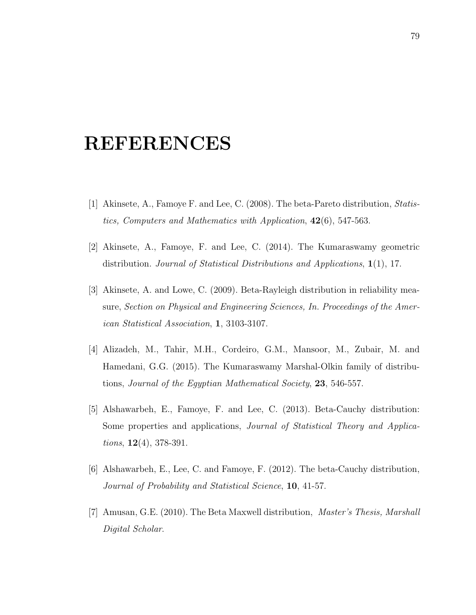# REFERENCES

- [1] Akinsete, A., Famoye F. and Lee, C. (2008). The beta-Pareto distribution, Statistics, Computers and Mathematics with Application,  $42(6)$ , 547-563.
- [2] Akinsete, A., Famoye, F. and Lee, C. (2014). The Kumaraswamy geometric distribution. Journal of Statistical Distributions and Applications, 1(1), 17.
- [3] Akinsete, A. and Lowe, C. (2009). Beta-Rayleigh distribution in reliability measure, Section on Physical and Engineering Sciences, In. Proceedings of the American Statistical Association, 1, 3103-3107.
- [4] Alizadeh, M., Tahir, M.H., Cordeiro, G.M., Mansoor, M., Zubair, M. and Hamedani, G.G. (2015). The Kumaraswamy Marshal-Olkin family of distributions, Journal of the Egyptian Mathematical Society, 23, 546-557.
- [5] Alshawarbeh, E., Famoye, F. and Lee, C. (2013). Beta-Cauchy distribution: Some properties and applications, Journal of Statistical Theory and Applica*tions*,  $12(4)$ , 378-391.
- [6] Alshawarbeh, E., Lee, C. and Famoye, F. (2012). The beta-Cauchy distribution, Journal of Probability and Statistical Science, 10, 41-57.
- [7] Amusan, G.E. (2010). The Beta Maxwell distribution, Master's Thesis, Marshall Digital Scholar.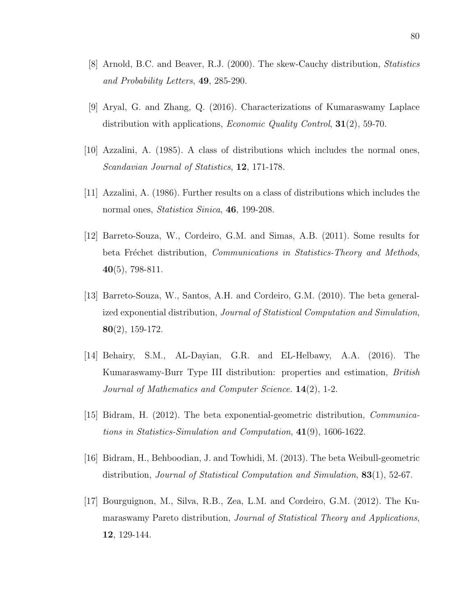- [8] Arnold, B.C. and Beaver, R.J. (2000). The skew-Cauchy distribution, Statistics and Probability Letters, 49, 285-290.
- [9] Aryal, G. and Zhang, Q. (2016). Characterizations of Kumaraswamy Laplace distribution with applications, *Economic Quality Control*, **31**(2), 59-70.
- [10] Azzalini, A. (1985). A class of distributions which includes the normal ones, Scandavian Journal of Statistics, 12, 171-178.
- [11] Azzalini, A. (1986). Further results on a class of distributions which includes the normal ones, Statistica Sinica, 46, 199-208.
- [12] Barreto-Souza, W., Cordeiro, G.M. and Simas, A.B. (2011). Some results for beta Fréchet distribution, Communications in Statistics-Theory and Methods, 40(5), 798-811.
- [13] Barreto-Souza, W., Santos, A.H. and Cordeiro, G.M. (2010). The beta generalized exponential distribution, Journal of Statistical Computation and Simulation, 80(2), 159-172.
- [14] Behairy, S.M., AL-Dayian, G.R. and EL-Helbawy, A.A. (2016). The Kumaraswamy-Burr Type III distribution: properties and estimation, British Journal of Mathematics and Computer Science. 14(2), 1-2.
- [15] Bidram, H. (2012). The beta exponential-geometric distribution, Communications in Statistics-Simulation and Computation, 41(9), 1606-1622.
- [16] Bidram, H., Behboodian, J. and Towhidi, M. (2013). The beta Weibull-geometric distribution, Journal of Statistical Computation and Simulation, 83(1), 52-67.
- [17] Bourguignon, M., Silva, R.B., Zea, L.M. and Cordeiro, G.M. (2012). The Kumaraswamy Pareto distribution, Journal of Statistical Theory and Applications, 12, 129-144.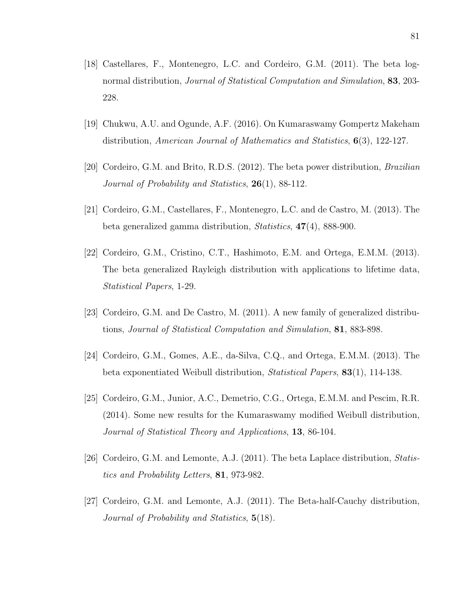- [18] Castellares, F., Montenegro, L.C. and Cordeiro, G.M. (2011). The beta lognormal distribution, Journal of Statistical Computation and Simulation, 83, 203- 228.
- [19] Chukwu, A.U. and Ogunde, A.F. (2016). On Kumaraswamy Gompertz Makeham distribution, American Journal of Mathematics and Statistics,  $6(3)$ , 122-127.
- [20] Cordeiro, G.M. and Brito, R.D.S. (2012). The beta power distribution, Brazilian Journal of Probability and Statistics, 26(1), 88-112.
- [21] Cordeiro, G.M., Castellares, F., Montenegro, L.C. and de Castro, M. (2013). The beta generalized gamma distribution, Statistics, 47(4), 888-900.
- [22] Cordeiro, G.M., Cristino, C.T., Hashimoto, E.M. and Ortega, E.M.M. (2013). The beta generalized Rayleigh distribution with applications to lifetime data, Statistical Papers, 1-29.
- [23] Cordeiro, G.M. and De Castro, M. (2011). A new family of generalized distributions, Journal of Statistical Computation and Simulation, 81, 883-898.
- [24] Cordeiro, G.M., Gomes, A.E., da-Silva, C.Q., and Ortega, E.M.M. (2013). The beta exponentiated Weibull distribution, Statistical Papers, 83(1), 114-138.
- [25] Cordeiro, G.M., Junior, A.C., Demetrio, C.G., Ortega, E.M.M. and Pescim, R.R. (2014). Some new results for the Kumaraswamy modified Weibull distribution, Journal of Statistical Theory and Applications, 13, 86-104.
- [26] Cordeiro, G.M. and Lemonte, A.J. (2011). The beta Laplace distribution, Statistics and Probability Letters, 81, 973-982.
- [27] Cordeiro, G.M. and Lemonte, A.J. (2011). The Beta-half-Cauchy distribution, Journal of Probability and Statistics, 5(18).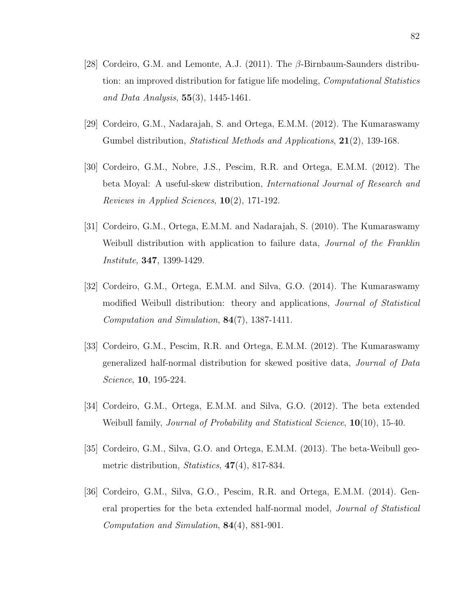- [28] Cordeiro, G.M. and Lemonte, A.J. (2011). The β-Birnbaum-Saunders distribution: an improved distribution for fatigue life modeling, *Computational Statistics* and Data Analysis,  $55(3)$ , 1445-1461.
- [29] Cordeiro, G.M., Nadarajah, S. and Ortega, E.M.M. (2012). The Kumaraswamy Gumbel distribution, *Statistical Methods and Applications*, **21**(2), 139-168.
- [30] Cordeiro, G.M., Nobre, J.S., Pescim, R.R. and Ortega, E.M.M. (2012). The beta Moyal: A useful-skew distribution, International Journal of Research and Reviews in Applied Sciences,  $10(2)$ , 171-192.
- [31] Cordeiro, G.M., Ortega, E.M.M. and Nadarajah, S. (2010). The Kumaraswamy Weibull distribution with application to failure data, Journal of the Franklin Institute, 347, 1399-1429.
- [32] Cordeiro, G.M., Ortega, E.M.M. and Silva, G.O. (2014). The Kumaraswamy modified Weibull distribution: theory and applications, Journal of Statistical Computation and Simulation, 84(7), 1387-1411.
- [33] Cordeiro, G.M., Pescim, R.R. and Ortega, E.M.M. (2012). The Kumaraswamy generalized half-normal distribution for skewed positive data, Journal of Data Science, **10**, 195-224.
- [34] Cordeiro, G.M., Ortega, E.M.M. and Silva, G.O. (2012). The beta extended Weibull family, *Journal of Probability and Statistical Science*, **10**(10), 15-40.
- [35] Cordeiro, G.M., Silva, G.O. and Ortega, E.M.M. (2013). The beta-Weibull geometric distribution, Statistics, 47(4), 817-834.
- [36] Cordeiro, G.M., Silva, G.O., Pescim, R.R. and Ortega, E.M.M. (2014). General properties for the beta extended half-normal model, Journal of Statistical Computation and Simulation, 84(4), 881-901.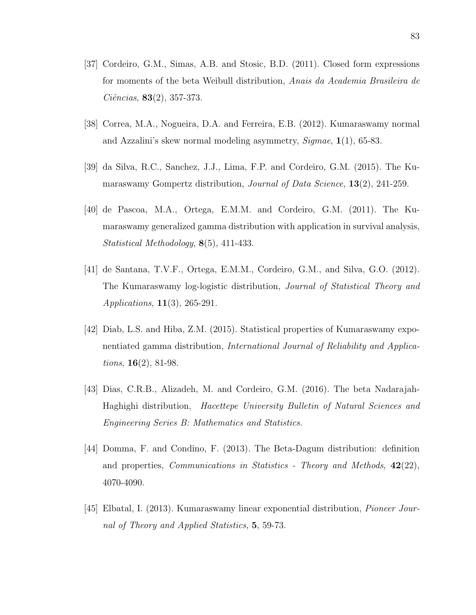- [37] Cordeiro, G.M., Simas, A.B. and Stosic, B.D. (2011). Closed form expressions for moments of the beta Weibull distribution, Anais da Academia Brasileira de  $Ci\hat{e}ncias, 83(2), 357-373.$
- [38] Correa, M.A., Nogueira, D.A. and Ferreira, E.B. (2012). Kumaraswamy normal and Azzalini's skew normal modeling asymmetry, Sigmae, 1(1), 65-83.
- [39] da Silva, R.C., Sanchez, J.J., Lima, F.P. and Cordeiro, G.M. (2015). The Kumaraswamy Gompertz distribution, *Journal of Data Science*, **13**(2), 241-259.
- [40] de Pascoa, M.A., Ortega, E.M.M. and Cordeiro, G.M. (2011). The Kumaraswamy generalized gamma distribution with application in survival analysis, Statistical Methodology, 8(5), 411-433.
- [41] de Santana, T.V.F., Ortega, E.M.M., Cordeiro, G.M., and Silva, G.O. (2012). The Kumaraswamy log-logistic distribution, Journal of Statistical Theory and *Applications*,  $11(3)$ , 265-291.
- [42] Diab, L.S. and Hiba, Z.M. (2015). Statistical properties of Kumaraswamy exponentiated gamma distribution, International Journal of Reliability and Applica*tions*,  $16(2)$ , 81-98.
- [43] Dias, C.R.B., Alizadeh, M. and Cordeiro, G.M. (2016). The beta Nadarajah-Haghighi distribution, Hacettepe University Bulletin of Natural Sciences and Engineering Series B: Mathematics and Statistics.
- [44] Domma, F. and Condino, F. (2013). The Beta-Dagum distribution: definition and properties, *Communications in Statistics - Theory and Methods*,  $42(22)$ , 4070-4090.
- [45] Elbatal, I. (2013). Kumaraswamy linear exponential distribution, Pioneer Journal of Theory and Applied Statistics, 5, 59-73.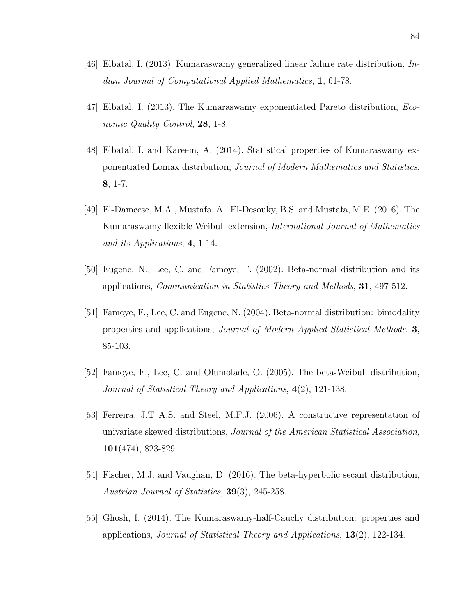- [46] Elbatal, I. (2013). Kumaraswamy generalized linear failure rate distribution, Indian Journal of Computational Applied Mathematics, 1, 61-78.
- [47] Elbatal, I. (2013). The Kumaraswamy exponentiated Pareto distribution, Economic Quality Control, 28, 1-8.
- [48] Elbatal, I. and Kareem, A. (2014). Statistical properties of Kumaraswamy exponentiated Lomax distribution, Journal of Modern Mathematics and Statistics, 8, 1-7.
- [49] El-Damcese, M.A., Mustafa, A., El-Desouky, B.S. and Mustafa, M.E. (2016). The Kumaraswamy flexible Weibull extension, International Journal of Mathematics and its Applications, 4, 1-14.
- [50] Eugene, N., Lee, C. and Famoye, F. (2002). Beta-normal distribution and its applications, *Communication in Statistics-Theory and Methods*, **31**, 497-512.
- [51] Famoye, F., Lee, C. and Eugene, N. (2004). Beta-normal distribution: bimodality properties and applications, Journal of Modern Applied Statistical Methods, 3, 85-103.
- [52] Famoye, F., Lee, C. and Olumolade, O. (2005). The beta-Weibull distribution, Journal of Statistical Theory and Applications, 4(2), 121-138.
- [53] Ferreira, J.T A.S. and Steel, M.F.J. (2006). A constructive representation of univariate skewed distributions, Journal of the American Statistical Association, 101(474), 823-829.
- [54] Fischer, M.J. and Vaughan, D. (2016). The beta-hyperbolic secant distribution, Austrian Journal of Statistics, **39**(3), 245-258.
- [55] Ghosh, I. (2014). The Kumaraswamy-half-Cauchy distribution: properties and applications, *Journal of Statistical Theory and Applications*,  $13(2)$ , 122-134.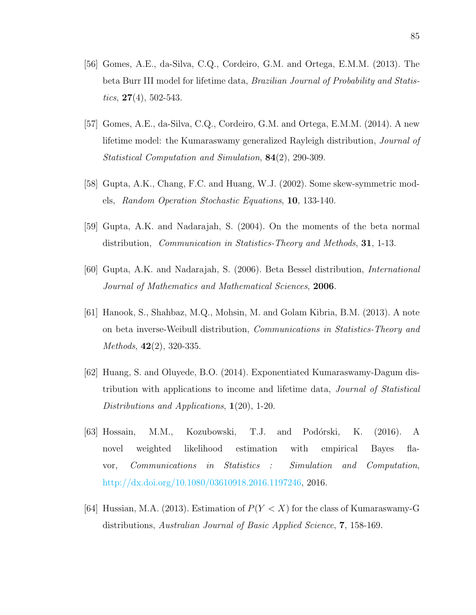- [56] Gomes, A.E., da-Silva, C.Q., Cordeiro, G.M. and Ortega, E.M.M. (2013). The beta Burr III model for lifetime data, Brazilian Journal of Probability and Statistics,  $27(4)$ , 502-543.
- [57] Gomes, A.E., da-Silva, C.Q., Cordeiro, G.M. and Ortega, E.M.M. (2014). A new lifetime model: the Kumaraswamy generalized Rayleigh distribution, Journal of Statistical Computation and Simulation, 84(2), 290-309.
- [58] Gupta, A.K., Chang, F.C. and Huang, W.J. (2002). Some skew-symmetric models, Random Operation Stochastic Equations, 10, 133-140.
- [59] Gupta, A.K. and Nadarajah, S. (2004). On the moments of the beta normal distribution, *Communication in Statistics-Theory and Methods*, **31**, 1-13.
- [60] Gupta, A.K. and Nadarajah, S. (2006). Beta Bessel distribution, International Journal of Mathematics and Mathematical Sciences, 2006.
- [61] Hanook, S., Shahbaz, M.Q., Mohsin, M. and Golam Kibria, B.M. (2013). A note on beta inverse-Weibull distribution, Communications in Statistics-Theory and Methods, 42(2), 320-335.
- [62] Huang, S. and Oluyede, B.O. (2014). Exponentiated Kumaraswamy-Dagum distribution with applications to income and lifetime data, Journal of Statistical Distributions and Applications,  $\mathbf{1}(20)$ , 1-20.
- [63] Hossain, M.M., Kozubowski, T.J. and Podórski, K. (2016). A novel weighted likelihood estimation with empirical Bayes flavor, Communications in Statistics : Simulation and Computation, [http://dx.doi.org/10.1080/03610918.2016.1197246,](http://dx.doi.org/10.1080/03610918.2016.1197246) 2016.
- [64] Hussian, M.A. (2013). Estimation of  $P(Y < X)$  for the class of Kumaraswamy-G distributions, Australian Journal of Basic Applied Science, 7, 158-169.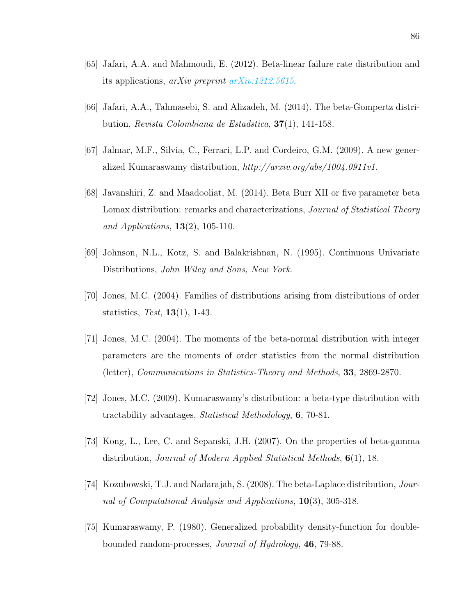- [65] Jafari, A.A. and Mahmoudi, E. (2012). Beta-linear failure rate distribution and its applications, arXiv preprint [arXiv:1212.5615](http://arxiv.org/abs/1212.5615).
- [66] Jafari, A.A., Tahmasebi, S. and Alizadeh, M. (2014). The beta-Gompertz distribution, Revista Colombiana de Estadstica, 37(1), 141-158.
- [67] Jalmar, M.F., Silvia, C., Ferrari, L.P. and Cordeiro, G.M. (2009). A new generalized Kumaraswamy distribution, http://arxiv.org/abs/1004.0911v1.
- [68] Javanshiri, Z. and Maadooliat, M. (2014). Beta Burr XII or five parameter beta Lomax distribution: remarks and characterizations, *Journal of Statistical Theory* and Applications,  $13(2)$ , 105-110.
- [69] Johnson, N.L., Kotz, S. and Balakrishnan, N. (1995). Continuous Univariate Distributions, John Wiley and Sons, New York.
- [70] Jones, M.C. (2004). Families of distributions arising from distributions of order statistics, Test,  $13(1)$ , 1-43.
- [71] Jones, M.C. (2004). The moments of the beta-normal distribution with integer parameters are the moments of order statistics from the normal distribution (letter), Communications in Statistics-Theory and Methods, 33, 2869-2870.
- [72] Jones, M.C. (2009). Kumaraswamy's distribution: a beta-type distribution with tractability advantages, Statistical Methodology, 6, 70-81.
- [73] Kong, L., Lee, C. and Sepanski, J.H. (2007). On the properties of beta-gamma distribution, Journal of Modern Applied Statistical Methods, 6(1), 18.
- [74] Kozubowski, T.J. and Nadarajah, S. (2008). The beta-Laplace distribution, Journal of Computational Analysis and Applications,  $10(3)$ , 305-318.
- [75] Kumaraswamy, P. (1980). Generalized probability density-function for doublebounded random-processes, Journal of Hydrology, 46, 79-88.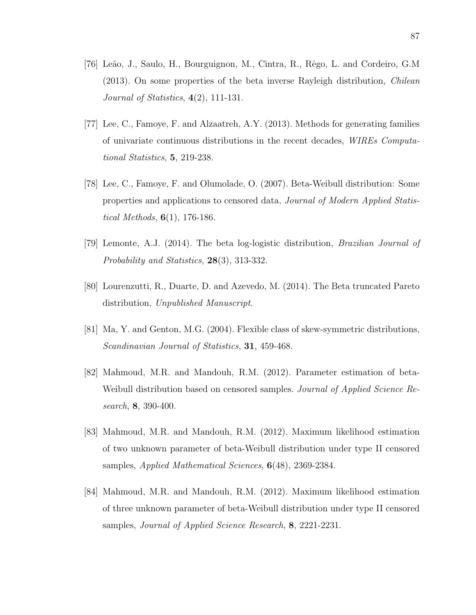- [76] Leão, J., Saulo, H., Bourguignon, M., Cintra, R., Rêgo, L. and Cordeiro, G.M (2013). On some properties of the beta inverse Rayleigh distribution, Chilean Journal of Statistics,  $4(2)$ , 111-131.
- [77] Lee, C., Famoye, F. and Alzaatreh, A.Y. (2013). Methods for generating families of univariate continuous distributions in the recent decades, WIREs Computational Statistics, 5, 219-238.
- [78] Lee, C., Famoye, F. and Olumolade, O. (2007). Beta-Weibull distribution: Some properties and applications to censored data, Journal of Modern Applied Statistical Methods,  $6(1)$ , 176-186.
- [79] Lemonte, A.J. (2014). The beta log-logistic distribution, Brazilian Journal of Probability and Statistics, 28(3), 313-332.
- [80] Lourenzutti, R., Duarte, D. and Azevedo, M. (2014). The Beta truncated Pareto distribution, Unpublished Manuscript.
- [81] Ma, Y. and Genton, M.G. (2004). Flexible class of skew-symmetric distributions, Scandinavian Journal of Statistics, **31**, 459-468.
- [82] Mahmoud, M.R. and Mandouh, R.M. (2012). Parameter estimation of beta-Weibull distribution based on censored samples. *Journal of Applied Science Re*search, **8**, 390-400.
- [83] Mahmoud, M.R. and Mandouh, R.M. (2012). Maximum likelihood estimation of two unknown parameter of beta-Weibull distribution under type II censored samples, Applied Mathematical Sciences, 6(48), 2369-2384.
- [84] Mahmoud, M.R. and Mandouh, R.M. (2012). Maximum likelihood estimation of three unknown parameter of beta-Weibull distribution under type II censored samples, Journal of Applied Science Research, 8, 2221-2231.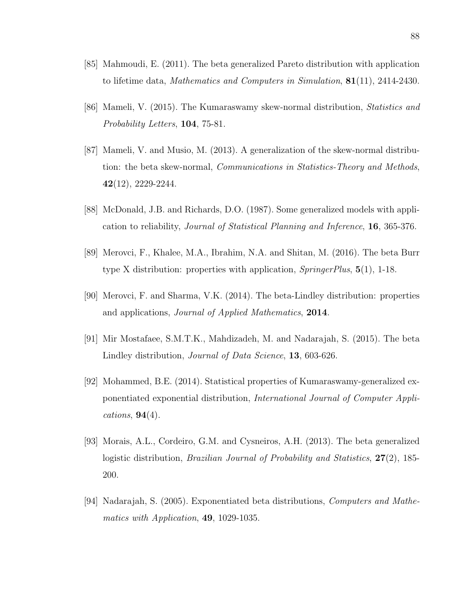- [85] Mahmoudi, E. (2011). The beta generalized Pareto distribution with application to lifetime data, Mathematics and Computers in Simulation, 81(11), 2414-2430.
- [86] Mameli, V. (2015). The Kumaraswamy skew-normal distribution, Statistics and Probability Letters, **104**, 75-81.
- [87] Mameli, V. and Musio, M. (2013). A generalization of the skew-normal distribution: the beta skew-normal, Communications in Statistics-Theory and Methods, 42(12), 2229-2244.
- [88] McDonald, J.B. and Richards, D.O. (1987). Some generalized models with application to reliability, Journal of Statistical Planning and Inference, 16, 365-376.
- [89] Merovci, F., Khalee, M.A., Ibrahim, N.A. and Shitan, M. (2016). The beta Burr type X distribution: properties with application, SpringerPlus, 5(1), 1-18.
- [90] Merovci, F. and Sharma, V.K. (2014). The beta-Lindley distribution: properties and applications, Journal of Applied Mathematics, 2014.
- [91] Mir Mostafaee, S.M.T.K., Mahdizadeh, M. and Nadarajah, S. (2015). The beta Lindley distribution, Journal of Data Science, 13, 603-626.
- [92] Mohammed, B.E. (2014). Statistical properties of Kumaraswamy-generalized exponentiated exponential distribution, International Journal of Computer Applications,  $94(4)$ .
- [93] Morais, A.L., Cordeiro, G.M. and Cysneiros, A.H. (2013). The beta generalized logistic distribution, *Brazilian Journal of Probability and Statistics*, **27**(2), 185-200.
- [94] Nadarajah, S. (2005). Exponentiated beta distributions, Computers and Mathematics with Application, **49**, 1029-1035.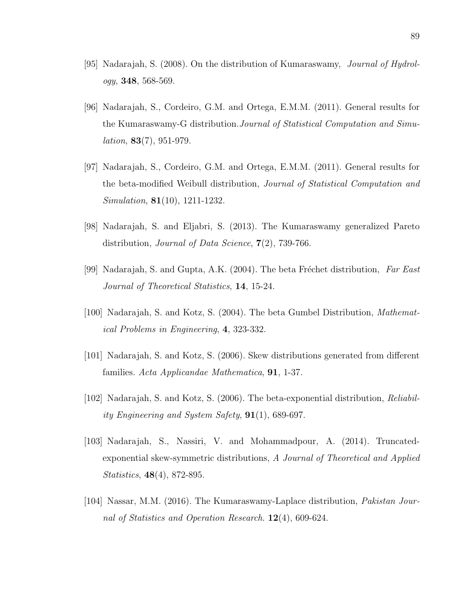- [95] Nadarajah, S. (2008). On the distribution of Kumaraswamy, Journal of Hydrology, 348, 568-569.
- [96] Nadarajah, S., Cordeiro, G.M. and Ortega, E.M.M. (2011). General results for the Kumaraswamy-G distribution.Journal of Statistical Computation and Simu $lation, 83(7), 951-979.$
- [97] Nadarajah, S., Cordeiro, G.M. and Ortega, E.M.M. (2011). General results for the beta-modified Weibull distribution, Journal of Statistical Computation and Simulation, **81**(10), 1211-1232.
- [98] Nadarajah, S. and Eljabri, S. (2013). The Kumaraswamy generalized Pareto distribution, *Journal of Data Science*,  $7(2)$ , 739-766.
- [99] Nadarajah, S. and Gupta, A.K. (2004). The beta Fréchet distribution, Far East Journal of Theoretical Statistics, 14, 15-24.
- [100] Nadarajah, S. and Kotz, S. (2004). The beta Gumbel Distribution, Mathematical Problems in Engineering, 4, 323-332.
- [101] Nadarajah, S. and Kotz, S. (2006). Skew distributions generated from different families. Acta Applicandae Mathematica, 91, 1-37.
- [102] Nadarajah, S. and Kotz, S. (2006). The beta-exponential distribution, Reliability Engineering and System Safety,  $91(1)$ , 689-697.
- [103] Nadarajah, S., Nassiri, V. and Mohammadpour, A. (2014). Truncatedexponential skew-symmetric distributions, A Journal of Theoretical and Applied Statistics, 48(4), 872-895.
- [104] Nassar, M.M. (2016). The Kumaraswamy-Laplace distribution, Pakistan Journal of Statistics and Operation Research. 12(4), 609-624.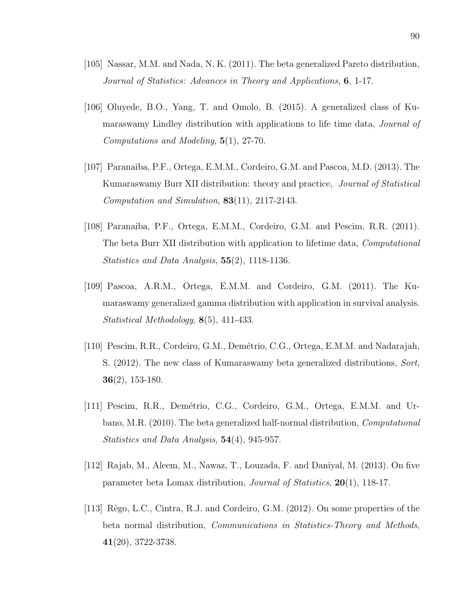- [105] Nassar, M.M. and Nada, N. K. (2011). The beta generalized Pareto distribution, Journal of Statistics: Advances in Theory and Applications, 6, 1-17.
- [106] Oluyede, B.O., Yang, T. and Omolo, B. (2015). A generalized class of Kumaraswamy Lindley distribution with applications to life time data, *Journal of* Computations and Modeling, 5(1), 27-70.
- [107] Paranaiba, P.F., Ortega, E.M.M., Cordeiro, G.M. and Pascoa, M.D. (2013). The Kumaraswamy Burr XII distribution: theory and practice, Journal of Statistical Computation and Simulation, 83(11), 2117-2143.
- [108] Paranaiba, P.F., Ortega, E.M.M., Cordeiro, G.M. and Pescim, R.R. (2011). The beta Burr XII distribution with application to lifetime data, Computational Statistics and Data Analysis, 55(2), 1118-1136.
- [109] Pascoa, A.R.M., Ortega, E.M.M. and Cordeiro, G.M. (2011). The Kumaraswamy generalized gamma distribution with application in survival analysis. Statistical Methodology, 8(5), 411-433.
- [110] Pescim, R.R., Cordeiro, G.M., Demétrio, C.G., Ortega, E.M.M. and Nadarajah, S. (2012). The new class of Kumaraswamy beta generalized distributions, Sort,  $36(2)$ , 153-180.
- [111] Pescim, R.R., Demétrio, C.G., Cordeiro, G.M., Ortega, E.M.M. and Urbano, M.R. (2010). The beta generalized half-normal distribution, Computational Statistics and Data Analysis, 54(4), 945-957.
- [112] Rajab, M., Aleem, M., Nawaz, T., Louzada, F. and Daniyal, M. (2013). On five parameter beta Lomax distribution, Journal of Statistics, 20(1), 118-17.
- [113] Rêgo, L.C., Cintra, R.J. and Cordeiro, G.M. (2012). On some properties of the beta normal distribution, Communications in Statistics-Theory and Methods, 41(20), 3722-3738.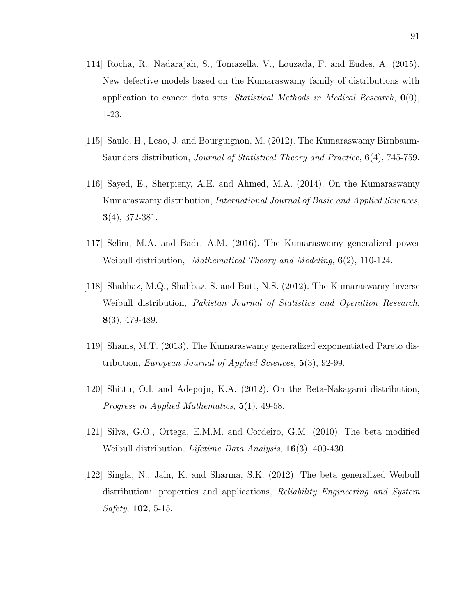- [114] Rocha, R., Nadarajah, S., Tomazella, V., Louzada, F. and Eudes, A. (2015). New defective models based on the Kumaraswamy family of distributions with application to cancer data sets, *Statistical Methods in Medical Research*,  $\mathbf{0}(0)$ , 1-23.
- [115] Saulo, H., Leao, J. and Bourguignon, M. (2012). The Kumaraswamy Birnbaum-Saunders distribution, *Journal of Statistical Theory and Practice*,  $6(4)$ , 745-759.
- [116] Sayed, E., Sherpieny, A.E. and Ahmed, M.A. (2014). On the Kumaraswamy Kumaraswamy distribution, International Journal of Basic and Applied Sciences, 3(4), 372-381.
- [117] Selim, M.A. and Badr, A.M. (2016). The Kumaraswamy generalized power Weibull distribution, Mathematical Theory and Modeling,  $6(2)$ , 110-124.
- [118] Shahbaz, M.Q., Shahbaz, S. and Butt, N.S. (2012). The Kumaraswamy-inverse Weibull distribution, Pakistan Journal of Statistics and Operation Research, 8(3), 479-489.
- [119] Shams, M.T. (2013). The Kumaraswamy generalized exponentiated Pareto distribution, European Journal of Applied Sciences, 5(3), 92-99.
- [120] Shittu, O.I. and Adepoju, K.A. (2012). On the Beta-Nakagami distribution, Progress in Applied Mathematics, 5(1), 49-58.
- [121] Silva, G.O., Ortega, E.M.M. and Cordeiro, G.M. (2010). The beta modified Weibull distribution, *Lifetime Data Analysis*, **16**(3), 409-430.
- [122] Singla, N., Jain, K. and Sharma, S.K. (2012). The beta generalized Weibull distribution: properties and applications, *Reliability Engineering and System*  $Safety, 102, 5-15.$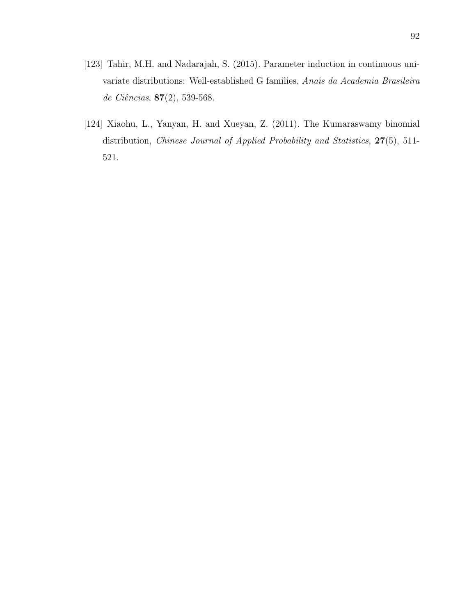- [123] Tahir, M.H. and Nadarajah, S. (2015). Parameter induction in continuous univariate distributions: Well-established G families, Anais da Academia Brasileira de Ciências, 87(2), 539-568.
- [124] Xiaohu, L., Yanyan, H. and Xueyan, Z. (2011). The Kumaraswamy binomial distribution, Chinese Journal of Applied Probability and Statistics,  $27(5)$ , 511-521.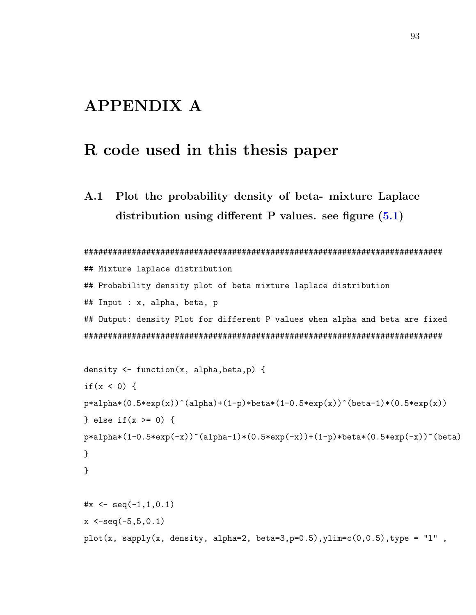## APPENDIX A

### R code used in this thesis paper

A.1 Plot the probability density of beta- mixture Laplace distribution using different P values. see figure  $(5.1)$ 

```
###########################################################################
## Mixture laplace distribution
## Probability density plot of beta mixture laplace distribution
## Input : x, alpha, beta, p
## Output: density Plot for different P values when alpha and beta are fixed
###########################################################################
```

```
density <- function(x, alpha,beta,p) {
if(x < 0) {
p*alpha*(0.5*exp(x))^(alpha)+(1-p)*beta*(1-0.5*exp(x))^(beta-1)*(0.5*exp(x))} else if(x >= 0) {
p*alpha*(1-0.5*exp(-x))^(alpha-1)*(0.5*exp(-x))+(1-p)*beta*(0.5*exp(-x))^(beta)}
}
\#x \leq -\text{seq}(-1,1,0.1)x \le -seq(-5, 5, 0.1)plot(x, sapply(x, density, alpha=2, beta=3, p=0.5), ylim=c(0,0.5), type = "l",
```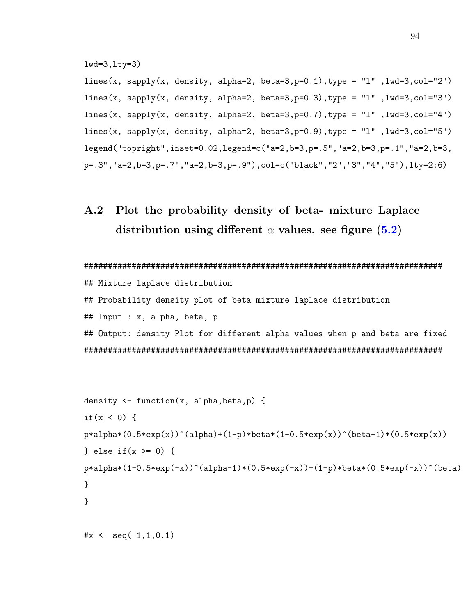lwd=3,lty=3)

lines(x, sapply(x, density, alpha=2, beta=3, p=0.1), type = "l", lwd=3, col="2") lines(x, sapply(x, density, alpha=2, beta=3, p=0.3), type = "l",  $lwd=3$ ,  $col="3"$ ) lines(x, sapply(x, density, alpha=2, beta=3, p=0.7), type = "l", lwd=3, col="4") lines(x, sapply(x, density, alpha=2, beta=3, p=0.9), type = "l", lwd=3, col="5") legend("topright",inset=0.02,legend=c("a=2,b=3,p=.5","a=2,b=3,p=.1","a=2,b=3, p=.3","a=2,b=3,p=.7","a=2,b=3,p=.9"),col=c("black","2","3","4","5"),lty=2:6)

### A.2 Plot the probability density of beta- mixture Laplace distribution using different  $\alpha$  values. see figure [\(5.2\)](#page-64-0)

```
###########################################################################
## Mixture laplace distribution
## Probability density plot of beta mixture laplace distribution
## Input : x, alpha, beta, p
## Output: density Plot for different alpha values when p and beta are fixed
###########################################################################
```

```
density \leq function(x, alpha, beta, p) {
if(x < 0) {
p*alpha*(0.5*exp(x))^(alpha)+(1-p)*beta*(1-0.5*exp(x))^(beta-1)*(0.5*exp(x))} else if(x >= 0) {
p*alpha*(1-0.5*exp(-x))^(alpha-1)*(0.5*exp(-x))+(1-p)*beta*(0.5*exp(-x))^(beta)}
}
\#x \leq -\text{seq}(-1,1,0.1)
```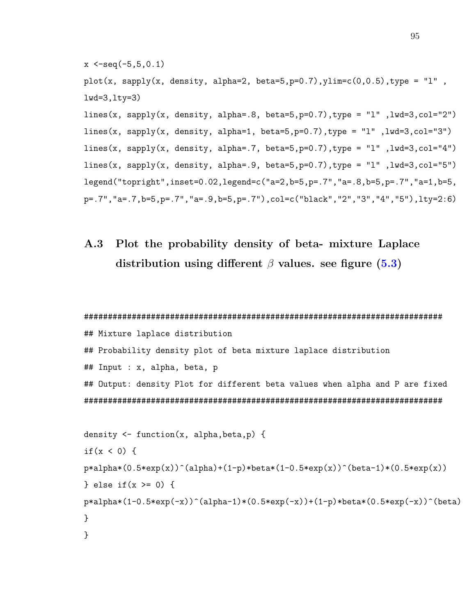```
x \le -seq(-5, 5, 0.1)plot(x, sapply(x, density, alpha=2, beta=5,p=0.7), ylim=c(0,0.5), type = "l",
lwd=3,lty=3)
lines(x, sapply(x, density, alpha=.8, beta=5,p=0.7),type = "1",1wd=3,col=''2")lines(x, sapply(x, density, alpha=1, beta=5, p=0.7), type = "l", lwd=3, col="3")
lines(x, sapply(x, density, alpha=.7, beta=5,p=0.7),type = "1",lwd=3,col="4")
lines(x, sapply(x, density, alpha=.9, beta=5,p=0.7),type = "1",lwd=3,col="5")
legend("topright",inset=0.02,legend=c("a=2,b=5,p=.7","a=.8,b=5,p=.7","a=1,b=5,
p=.7","a=.7,b=5,p=.7","a=.9,b=5,p=.7"),col=c("black","2","3","4","5"),lty=2:6)
```
A.3 Plot the probability density of beta- mixture Laplace distribution using different  $\beta$  values. see figure [\(5.3\)](#page-65-0)

```
###########################################################################
## Mixture laplace distribution
## Probability density plot of beta mixture laplace distribution
## Input : x, alpha, beta, p
## Output: density Plot for different beta values when alpha and P are fixed
###########################################################################
```

```
density \leq function(x, alpha, beta, p) {
if(x < 0) {
p*alpha*(0.5*exp(x))^(alpha)+(1-p)*beta*(1-0.5*exp(x))^(beta-1)*(0.5*exp(x))} else if(x >= 0) {
p*alpha*(1-0.5*exp(-x))^(alpha-1)*(0.5*exp(-x))+(1-p)*beta*(0.5*exp(-x))^(beta)}
}
```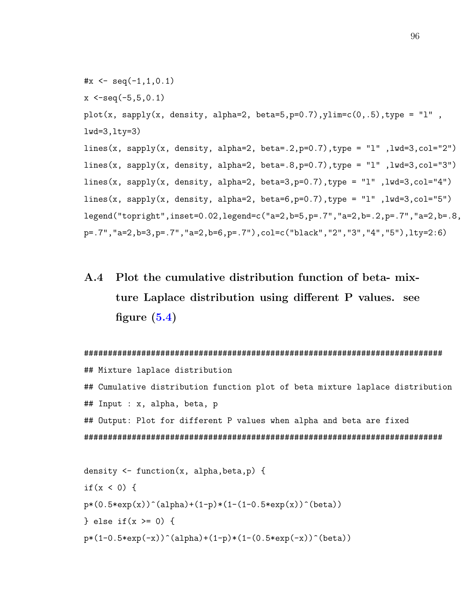```
\#x \leq -\text{seq}(-1,1,0.1)x \le -seq(-5, 5, 0.1)plot(x, sapply(x, density, alpha=2, beta=5, p=0.7), ylim=c(0, .5), type = "l",
lwd=3,lty=3)
lines(x, sapply(x, density, alpha=2, beta=.2,p=0.7),type = "l",lwd=3,col="2")
lines(x, sapply(x, density, alpha=2, beta=.8,p=0.7),type = "1",lwd=3,col="3")
lines(x, sapply(x, density, alpha=2, beta=3, p=0.7), type = "1", lwd=3, col="4")
lines(x, sapply(x, density, alpha=2, beta=6, p=0.7), type = "l", lwd=3, col="5")
legend("topright",inset=0.02,legend=c("a=2,b=5,p=.7","a=2,b=.2,p=.7","a=2,b=.8,
p=.7","a=2,b=3,p=.7","a=2,b=6,p=.7"),col=c("black","2","3","4","5"),lty=2:6)
```
A.4 Plot the cumulative distribution function of beta- mixture Laplace distribution using different P values. see figure  $(5.4)$ 

```
###########################################################################
## Mixture laplace distribution
## Cumulative distribution function plot of beta mixture laplace distribution
## Input : x, alpha, beta, p
## Output: Plot for different P values when alpha and beta are fixed
###########################################################################
density \leq function(x, alpha, beta, p) {
```

```
if(x < 0) {
p*(0.5*exp(x))<sup>(alpha)+(1-p)*(1-(1-0.5*exp(x))<sup>o</sup>(beta))</sup>
} else if(x >= 0) {
p*(1-0.5*exp(-x))^(alpha)+(1-p)*(1-(0.5*exp(-x))^(beta))
```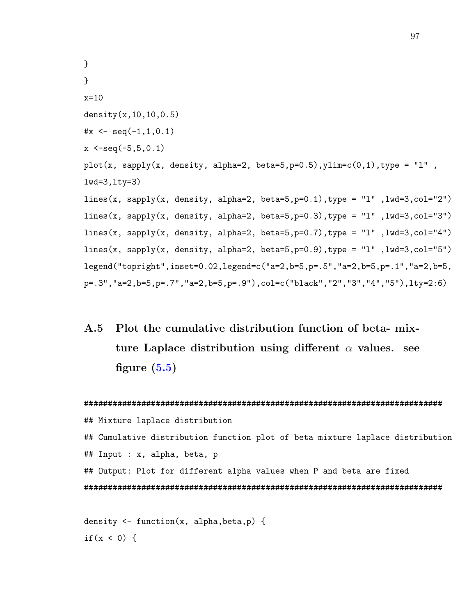```
}
}
x=10density(x,10,10,0.5)
\#x \leq -\text{seq}(-1,1,0.1)x \le -seq(-5, 5, 0.1)plot(x, sapply(x, density, alpha=2, beta=5, p=0.5), ylim=c(0,1), type = "l",
lwd=3,lty=3)
lines(x, sapply(x, density, alpha=2, beta=5, p=0.1), type = "l", lwd=3, col="2")
lines(x, sapply(x, density, alpha=2, beta=5, p=0.3), type = "l", lwd=3, col="3")
lines(x, sapply(x, density, alpha=2, beta=5, p=0.7), type = "l", lwd=3, col="4")
lines(x, sapply(x, density, alpha=2, beta=5,p=0.9),type = "l" ,lwd=3,col="5")
legend("topright",inset=0.02,legend=c("a=2,b=5,p=.5","a=2,b=5,p=.1","a=2,b=5,
p=.3","a=2,b=5,p=.7","a=2,b=5,p=.9"),col=c("black","2","3","4","5"),lty=2:6)
```
A.5 Plot the cumulative distribution function of beta- mixture Laplace distribution using different  $\alpha$  values. see figure  $(5.5)$ 

```
###########################################################################
## Mixture laplace distribution
## Cumulative distribution function plot of beta mixture laplace distribution
## Input : x, alpha, beta, p
## Output: Plot for different alpha values when P and beta are fixed
###########################################################################
```

```
density \leq function(x, alpha, beta, p) {
if(x < 0) {
```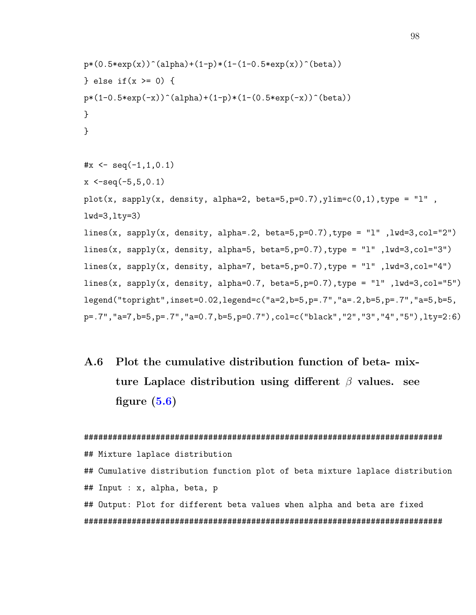```
p*(0.5*exp(x))<sup>(alpha)+(1-p)*(1-(1-0.5*exp(x))<sup>-</sup>(beta))</sup>
} else if(x >= 0) {
p*(1-0.5*exp(-x))^(alpha)+(1-p)*(1-(0.5*exp(-x))^(beta))}
}
\#x \leq -\text{seq}(-1,1,0.1)x \le -seq(-5, 5, 0.1)plot(x, sapply(x, density, alpha=2, beta=5,p=0.7), ylim=c(0,1), type = "l",
lwd=3, lty=3)lines(x, sapply(x, density, alpha=.2, beta=5,p=0.7),type = "1",1wd=3,col=''2")lines(x, sapply(x, density, alpha=5, beta=5, p=0.7), type = "1", lwd=3, col="3")
lines(x, sapply(x, density, alpha=7, beta=5, p=0.7), type = "l", lwd=3, col="4")
lines(x, sapply(x, density, alpha=0.7, beta=5, p=0.7), type = "1", lwd=3, col="5")
legend("topright",inset=0.02,legend=c("a=2,b=5,p=.7","a=.2,b=5,p=.7","a=5,b=5,
p=.7","a=7,b=5,p=.7","a=0.7,b=5,p=0.7"),col=c("black","2","3","4","5"),lty=2:6)
```
A.6 Plot the cumulative distribution function of beta- mixture Laplace distribution using different  $\beta$  values. see figure  $(5.6)$ 

```
###########################################################################
## Mixture laplace distribution
## Cumulative distribution function plot of beta mixture laplace distribution
## Input : x, alpha, beta, p
## Output: Plot for different beta values when alpha and beta are fixed
###########################################################################
```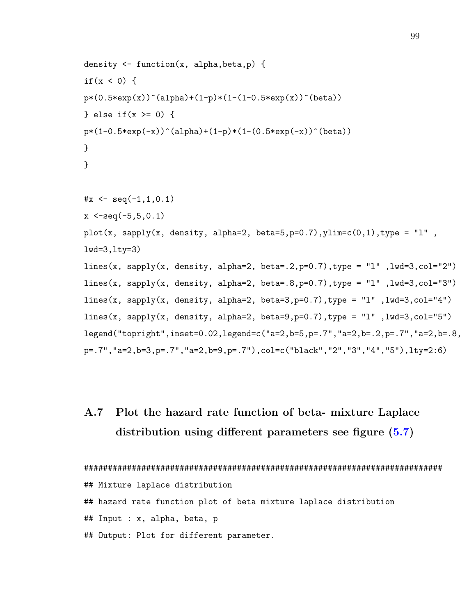```
density \leq function(x, alpha, beta, p) {
if(x < 0) {
p*(0.5*exp(x))^(alpha)+(1-p)*(1-(1-0.5*exp(x))^(beta))} else if(x >= 0) {
p*(1-0.5*exp(-x))^(alpha)+(1-p)*(1-(0.5*exp(-x))^(beta))}
}
\#x \leq -\text{seq}(-1,1,0.1)x \le -seq(-5, 5, 0.1)plot(x, sapply(x, density, alpha=2, beta=5, p=0.7), ylim=c(0,1), type = "l",
lwd=3,lty=3)
lines(x, sapply(x, density, alpha=2, beta=.2,p=0.7),type = "1",1wd=3,col=''2")lines(x, sapply(x, density, alpha=2, beta=.8,p=0.7),type = "1",1wd=3,col="3")
lines(x, sapply(x, density, alpha=2, beta=3, p=0.7), type = "1", lwd=3, col="4")
lines(x, sapply(x, density, alpha=2, beta=9, p=0.7), type = "l", lwd=3, col="5")
legend("topright",inset=0.02,legend=c("a=2,b=5,p=.7","a=2,b=.2,p=.7","a=2,b=.8,
p=.7","a=2,b=3,p=.7","a=2,b=9,p=.7"),col=c("black","2","3","4","5"),lty=2:6)
```
## A.7 Plot the hazard rate function of beta- mixture Laplace distribution using different parameters see figure  $(5.7)$

```
###########################################################################
## Mixture laplace distribution
## hazard rate function plot of beta mixture laplace distribution
## Input : x, alpha, beta, p
## Output: Plot for different parameter.
```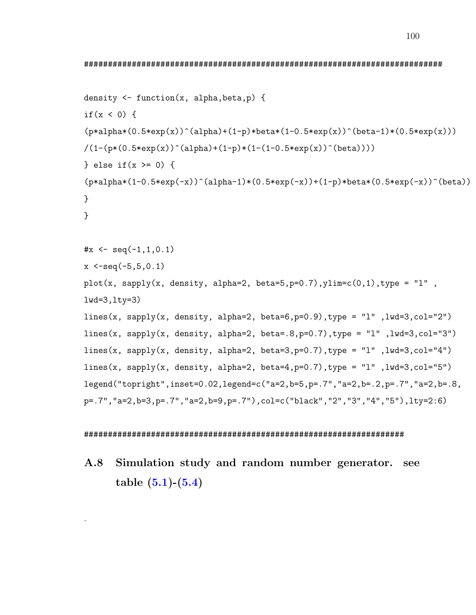100

```
density \leq function(x, alpha, beta, p) {
if(x < 0) {
(p*alpha*(0.5*exp(x))^(alpha)+(1-p)*beta*(1-0.5*exp(x))^(beta-1)*(0.5*exp(x)))/(1-(p*(0.5*exp(x))^(alpha)+(1-p)*(1-(1-0.5*exp(x))^(beta)))} else if(x >= 0) {
(p*alpha*(1-0.5*exp(-x))^(alpha-1)*(0.5*exp(-x))+(1-p)*beta*(0.5*exp(-x))^(beta)}
}
\#x \leq -\text{seq}(-1,1,0.1)x \le -seq(-5, 5, 0.1)plot(x, sapply(x, density, alpha=2, beta=5, p=0.7), ylim=c(0,1), type = "l",
lwd=3, lty=3)lines(x, sapply(x, density, alpha=2, beta=6, p=0.9), type = "1", lwd=3, col="2")
lines(x, sapply(x, density, alpha=2, beta=.8,p=0.7),type = "1",lwd=3,col="3")
lines(x, sapply(x, density, alpha=2, beta=3, p=0.7), type = "l", lwd=3, col="4")
lines(x, sapply(x, density, alpha=2, beta=4, p=0.7), type = "l", lwd=3, col="5")
legend("topright",inset=0.02,legend=c("a=2,b=5,p=.7","a=2,b=.2,p=.7","a=2,b=.8,
p=.7","a=2,b=3,p=.7","a=2,b=9,p=.7"),col=c("black","2","3","4","5"),lty=2:6)
```
## ###################################################################

## A.8 Simulation study and random number generator. see table  $(5.1)-(5.4)$  $(5.1)-(5.4)$  $(5.1)-(5.4)$

.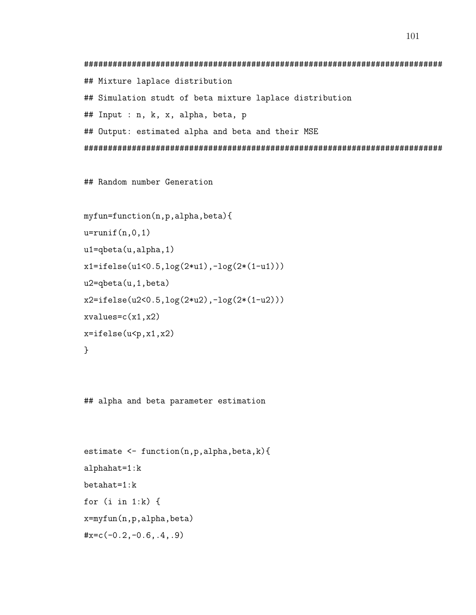```
###########################################################################
## Mixture laplace distribution
## Simulation studt of beta mixture laplace distribution
## Input : n, k, x, alpha, beta, p
## Output: estimated alpha and beta and their MSE
###########################################################################
```
## Random number Generation

```
myfun=function(n,p,alpha,beta){
u=runif(n,0,1)u1=qbeta(u,alpha,1)
x1=ifelse(u1<0.5,log(2*u1),-log(2*(1-u1)))
u2=qbeta(u,1,beta)
x2=ifelse(u2<0.5,log(2*u2),-log(2*(1-u2)))
xvalues=c(x1,x2)
x=ifelse(u<p,x1,x2)
}
```
## alpha and beta parameter estimation

```
estimate \leq function(n, p, alpha, beta, k){
alphahat=1:k
betahat=1:k
for (i in 1:k) {
x=myfun(n,p,alpha,beta)
\#x=c(-0.2,-0.6,.4,.9)
```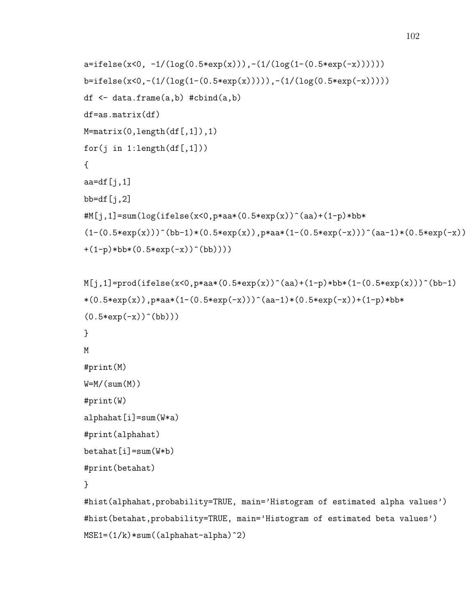```
a=ifelse(x<0, -1/(log(0.5*exp(x))),-(1/(log(1-(0.5*exp(-x))))))b=ifelse(x<0,-(1/(log(1-(0.5*exp(x))))),-(1/(log(0.5*exp(-x)))))
df \leq data.frame(a,b) #cbind(a,b)df=as.matrix(df)
M=matrix(0,length(df[,1]),1)
for(j in 1:\text{length}(df[,1]))
{
aa=df[j,1]bb=df[i,2]#M[j,1]=sum(log(ifelse(x<0,p*aa*(0.5*exp(x))^(aa)+(1-p)*bb*(1-(0.5*exp(x)))^{\hat{ }}(bb-1)*(0.5*exp(x)),pxaa*(1-(0.5*exp(-x)))^{\hat{ }}(aa-1)*(0.5*exp(-x))+(1-p)*bb*(0.5*exp(-x))^(bb))
```

```
M[j,1]=\text{prod}(ifelse(x<0,p*aa*(0.5*exp(x))^(aa)+(1-p)*bb*(1-(0.5*exp(x)))^(bb-1)*(0.5*exp(x)),p*aa*(1-(0.5*exp(-x)))^(aa-1)*(0.5*exp(-x))+(1-p)*bb*(0.5*exp(-x))^{\hat{(}}b)))
}
M
#print(M)
W=M/(sum(M))#print(W)
alphahat[i]=sum(W*a)
#print(alphahat)
betahat[i]=sum(W*b)
#print(betahat)
}
#hist(alphahat,probability=TRUE, main='Histogram of estimated alpha values')
#hist(betahat,probability=TRUE, main='Histogram of estimated beta values')
MSE1=(1/k)*sum((alphahat-alpha)^2)
```